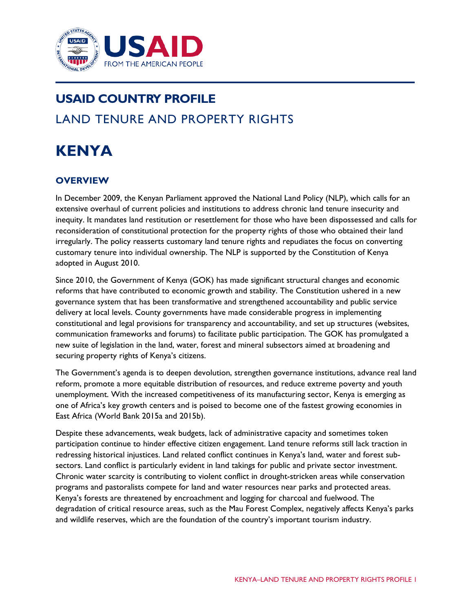

# **USAID COUNTRY PROFILE** LAND TENURE AND PROPERTY RIGHTS

# **KENYA**

# **OVERVIEW**

In December 2009, the Kenyan Parliament approved the National Land Policy (NLP), which calls for an extensive overhaul of current policies and institutions to address chronic land tenure insecurity and inequity. It mandates land restitution or resettlement for those who have been dispossessed and calls for reconsideration of constitutional protection for the property rights of those who obtained their land irregularly. The policy reasserts customary land tenure rights and repudiates the focus on converting customary tenure into individual ownership. The NLP is supported by the Constitution of Kenya adopted in August 2010.

Since 2010, the Government of Kenya (GOK) has made significant structural changes and economic reforms that have contributed to economic growth and stability. The Constitution ushered in a new governance system that has been transformative and strengthened accountability and public service delivery at local levels. County governments have made considerable progress in implementing constitutional and legal provisions for transparency and accountability, and set up structures (websites, communication frameworks and forums) to facilitate public participation. The GOK has promulgated a new suite of legislation in the land, water, forest and mineral subsectors aimed at broadening and securing property rights of Kenya's citizens.

The Government's agenda is to deepen devolution, strengthen governance institutions, advance real land reform, promote a more equitable distribution of resources, and reduce extreme poverty and youth unemployment. With the increased competitiveness of its manufacturing sector, Kenya is emerging as one of Africa's key growth centers and is poised to become one of the fastest growing economies in East Africa (World Bank 2015a and 2015b).

Despite these advancements, weak budgets, lack of administrative capacity and sometimes token participation continue to hinder effective citizen engagement. Land tenure reforms still lack traction in redressing historical injustices. Land related conflict continues in Kenya's land, water and forest subsectors. Land conflict is particularly evident in land takings for public and private sector investment. Chronic water scarcity is contributing to violent conflict in drought-stricken areas while conservation programs and pastoralists compete for land and water resources near parks and protected areas. Kenya's forests are threatened by encroachment and logging for charcoal and fuelwood. The degradation of critical resource areas, such as the Mau Forest Complex, negatively affects Kenya's parks and wildlife reserves, which are the foundation of the country's important tourism industry.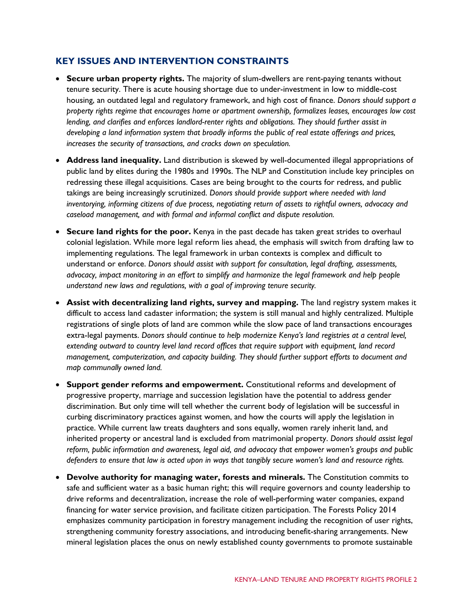# **KEY ISSUES AND INTERVENTION CONSTRAINTS**

- **Secure urban property rights.** The majority of slum-dwellers are rent-paying tenants without tenure security. There is acute housing shortage due to under-investment in low to middle-cost housing, an outdated legal and regulatory framework, and high cost of finance. *Donors should support a property rights regime that encourages home or apartment ownership, formalizes leases, encourages low cost lending, and clarifies and enforces landlord-renter rights and obligations. They should further assist in developing a land information system that broadly informs the public of real estate offerings and prices, increases the security of transactions, and cracks down on speculation.*
- **Address land inequality.** Land distribution is skewed by well-documented illegal appropriations of public land by elites during the 1980s and 1990s. The NLP and Constitution include key principles on redressing these illegal acquisitions. Cases are being brought to the courts for redress, and public takings are being increasingly scrutinized. *Donors should provide support where needed with land inventorying, informing citizens of due process, negotiating return of assets to rightful owners, advocacy and caseload management, and with formal and informal conflict and dispute resolution.*
- **Secure land rights for the poor.** Kenya in the past decade has taken great strides to overhaul colonial legislation. While more legal reform lies ahead, the emphasis will switch from drafting law to implementing regulations. The legal framework in urban contexts is complex and difficult to understand or enforce. *Donors should assist with support for consultation, legal drafting, assessments, advocacy, impact monitoring in an effort to simplify and harmonize the legal framework and help people understand new laws and regulations, with a goal of improving tenure security.*
- **Assist with decentralizing land rights, survey and mapping.** The land registry system makes it difficult to access land cadaster information; the system is still manual and highly centralized. Multiple registrations of single plots of land are common while the slow pace of land transactions encourages extra-legal payments. *Donors should continue to help modernize Kenya's land registries at a central level, extending outward to country level land record offices that require support with equipment, land record management, computerization, and capacity building. They should further support efforts to document and map communally owned land.*
- **Support gender reforms and empowerment.** Constitutional reforms and development of progressive property, marriage and succession legislation have the potential to address gender discrimination. But only time will tell whether the current body of legislation will be successful in curbing discriminatory practices against women, and how the courts will apply the legislation in practice. While current law treats daughters and sons equally, women rarely inherit land, and inherited property or ancestral land is excluded from matrimonial property. *Donors should assist legal reform, public information and awareness, legal aid, and advocacy that empower women's groups and public defenders to ensure that law is acted upon in ways that tangibly secure women's land and resource rights.*
- **Devolve authority for managing water, forests and minerals.** The Constitution commits to safe and sufficient water as a basic human right; this will require governors and county leadership to drive reforms and decentralization, increase the role of well-performing water companies, expand financing for water service provision, and facilitate citizen participation. The Forests Policy 2014 emphasizes community participation in forestry management including the recognition of user rights, strengthening community forestry associations, and introducing benefit-sharing arrangements. New mineral legislation places the onus on newly established county governments to promote sustainable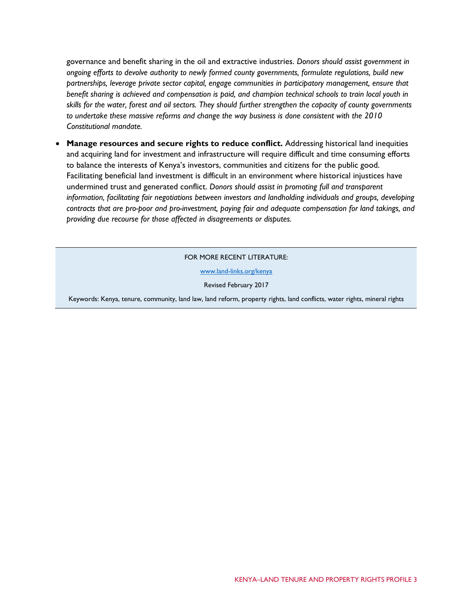governance and benefit sharing in the oil and extractive industries. *Donors should assist government in ongoing efforts to devolve authority to newly formed county governments, formulate regulations, build new partnerships, leverage private sector capital, engage communities in participatory management, ensure that benefit sharing is achieved and compensation is paid, and champion technical schools to train local youth in skills for the water, forest and oil sectors. They should further strengthen the capacity of county governments to undertake these massive reforms and change the way business is done consistent with the 2010 Constitutional mandate.*

• **Manage resources and secure rights to reduce conflict.** Addressing historical land inequities and acquiring land for investment and infrastructure will require difficult and time consuming efforts to balance the interests of Kenya's investors, communities and citizens for the public good. Facilitating beneficial land investment is difficult in an environment where historical injustices have undermined trust and generated conflict. *Donors should assist in promoting full and transparent information, facilitating fair negotiations between investors and landholding individuals and groups, developing contracts that are pro-poor and pro-investment, paying fair and adequate compensation for land takings, and providing due recourse for those affected in disagreements or disputes.*

FOR MORE RECENT LITERATURE:

www.land-links.org/kenya

Revised February 2017

Keywords: Kenya, tenure, community, land law, land reform, property rights, land conflicts, water rights, mineral rights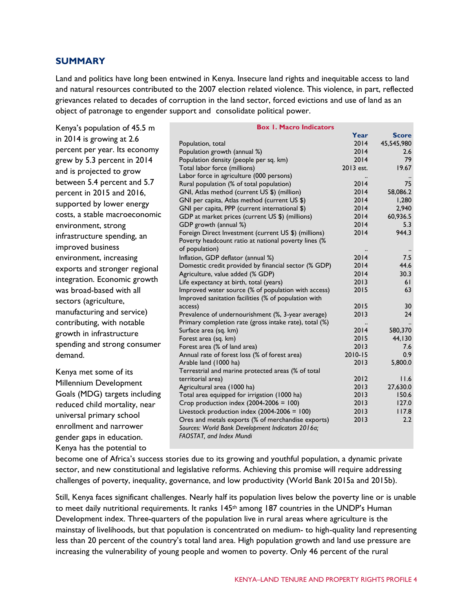## **SUMMARY**

Land and politics have long been entwined in Kenya. Insecure land rights and inequitable access to land and natural resources contributed to the 2007 election related violence. This violence, in part, reflected grievances related to decades of corruption in the land sector, forced evictions and use of land as an object of patronage to engender support and consolidate political power.

Kenya's population of 45.5 m in 2014 is growing at 2.6 percent per year. Its economy grew by 5.3 percent in 2014 and is projected to grow between 5.4 percent and 5.7 percent in 2015 and 2016, supported by lower energy costs, a stable macroeconomic environment, strong infrastructure spending, an improved business environment, increasing exports and stronger regional integration. Economic growth was broad-based with all sectors (agriculture, manufacturing and service) contributing, with notable growth in infrastructure spending and strong consumer demand.

Kenya met some of its Millennium Development Goals (MDG) targets including reduced child mortality, near universal primary school enrollment and narrower gender gaps in education. Kenya has the potential to

| <b>Box 1. Macro Indicators</b>                                                                                                             |           |              |
|--------------------------------------------------------------------------------------------------------------------------------------------|-----------|--------------|
|                                                                                                                                            | Year      | <b>Score</b> |
| Population, total                                                                                                                          | 2014      | 45,545,980   |
| Population growth (annual %)                                                                                                               | 2014      | 2.6          |
| Population density (people per sq. km)                                                                                                     | 2014      | 79           |
| Total labor force (millions)                                                                                                               | 2013 est. | 19.67        |
| Labor force in agriculture (000 persons)                                                                                                   |           |              |
| Rural population (% of total population)                                                                                                   | 2014      | 75           |
| GNI, Atlas method (current US \$) (million)                                                                                                | 2014      | 58,086.2     |
| GNI per capita, Atlas method (current US \$)                                                                                               | 2014      | 1,280        |
| GNI per capita, PPP (current international \$)                                                                                             | 2014      | 2,940        |
| GDP at market prices (current US \$) (millions)                                                                                            | 2014      | 60,936.5     |
| GDP growth (annual %)                                                                                                                      | 2014      | 5.3          |
| Foreign Direct Investment (current US \$) (millions)                                                                                       | 2014      | 944.3        |
| Poverty headcount ratio at national poverty lines (%                                                                                       |           |              |
| of population)                                                                                                                             |           |              |
| Inflation, GDP deflator (annual %)                                                                                                         | 2014      | 7.5          |
| Domestic credit provided by financial sector (% GDP)                                                                                       | 2014      | 44.6         |
| Agriculture, value added (% GDP)                                                                                                           | 2014      | 30.3         |
| Life expectancy at birth, total (years)                                                                                                    | 2013      | 61           |
| Improved water source (% of population with access)                                                                                        | 2015      | 63           |
| Improved sanitation facilities (% of population with                                                                                       |           |              |
| access)                                                                                                                                    | 2015      | 30           |
| Prevalence of undernourishment (%, 3-year average)                                                                                         | 2013      | 24           |
| Primary completion rate (gross intake rate), total (%)                                                                                     |           |              |
| Surface area (sq. km)                                                                                                                      | 2014      | 580,370      |
| Forest area (sq. km)                                                                                                                       | 2015      | 44,130       |
| Forest area (% of land area)                                                                                                               | 2013      | 7.6          |
| Annual rate of forest loss (% of forest area)                                                                                              | 2010-15   | 0.9          |
| Arable land (1000 ha)                                                                                                                      | 2013      | 5,800.0      |
| Terrestrial and marine protected areas (% of total                                                                                         |           |              |
| territorial area)                                                                                                                          | 2012      | 11.6         |
| Agricultural area (1000 ha)                                                                                                                | 2013      | 27,630.0     |
| Total area equipped for irrigation (1000 ha)                                                                                               | 2013      | 150.6        |
| Crop production index $(2004-2006 = 100)$                                                                                                  | 2013      | 127.0        |
| Livestock production index $(2004-2006 = 100)$                                                                                             | 2013      | 117.8        |
| Ores and metals exports (% of merchandise exports)<br>Sources: World Bank Development Indicators 2016a;<br><b>FAOSTAT, and Index Mundi</b> | 2013      | 2.2          |
|                                                                                                                                            |           |              |

become one of Africa's success stories due to its growing and youthful population, a dynamic private sector, and new constitutional and legislative reforms. Achieving this promise will require addressing challenges of poverty, inequality, governance, and low productivity (World Bank 2015a and 2015b).

Still, Kenya faces significant challenges. Nearly half its population lives below the poverty line or is unable to meet daily nutritional requirements. It ranks 145<sup>th</sup> among 187 countries in the UNDP's Human Development index. Three-quarters of the population live in rural areas where agriculture is the mainstay of livelihoods, but that population is concentrated on medium- to high-quality land representing less than 20 percent of the country's total land area. High population growth and land use pressure are increasing the vulnerability of young people and women to poverty. Only 46 percent of the rural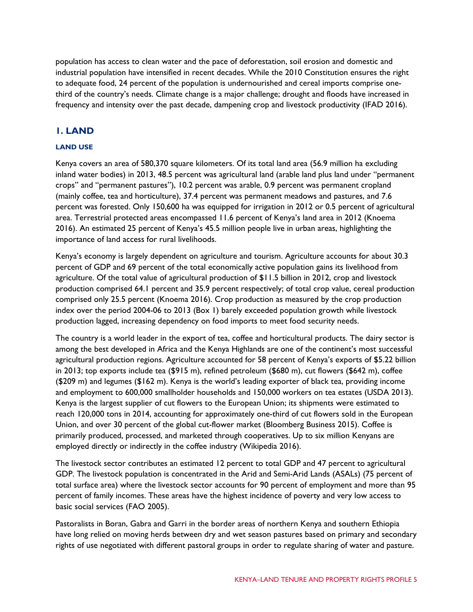population has access to clean water and the pace of deforestation, soil erosion and domestic and industrial population have intensified in recent decades. While the 2010 Constitution ensures the right to adequate food, 24 percent of the population is undernourished and cereal imports comprise onethird of the country's needs. Climate change is a major challenge; drought and floods have increased in frequency and intensity over the past decade, dampening crop and livestock productivity (IFAD 2016).

# **1. LAND**

## **LAND USE**

Kenya covers an area of 580,370 square kilometers. Of its total land area (56.9 million ha excluding inland water bodies) in 2013, 48.5 percent was agricultural land (arable land plus land under "permanent crops" and "permanent pastures"), 10.2 percent was arable, 0.9 percent was permanent cropland (mainly coffee, tea and horticulture), 37.4 percent was permanent meadows and pastures, and 7.6 percent was forested. Only 150,600 ha was equipped for irrigation in 2012 or 0.5 percent of agricultural area. Terrestrial protected areas encompassed 11.6 percent of Kenya's land area in 2012 (Knoema 2016). An estimated 25 percent of Kenya's 45.5 million people live in urban areas, highlighting the importance of land access for rural livelihoods.

Kenya's economy is largely dependent on agriculture and tourism. Agriculture accounts for about 30.3 percent of GDP and 69 percent of the total economically active population gains its livelihood from agriculture. Of the total value of agricultural production of \$11.5 billion in 2012, crop and livestock production comprised 64.1 percent and 35.9 percent respectively; of total crop value, cereal production comprised only 25.5 percent (Knoema 2016). Crop production as measured by the crop production index over the period 2004-06 to 2013 (Box 1) barely exceeded population growth while livestock production lagged, increasing dependency on food imports to meet food security needs.

The country is a world leader in the export of tea, coffee and horticultural products. The dairy sector is among the best developed in Africa and the Kenya Highlands are one of the continent's most successful agricultural production regions. Agriculture accounted for 58 percent of Kenya's exports of \$5.22 billion in 2013; top exports include tea (\$915 m), refined petroleum (\$680 m), cut flowers (\$642 m), coffee (\$209 m) and legumes (\$162 m). Kenya is the world's leading exporter of black tea, providing income and employment to 600,000 smallholder households and 150,000 workers on tea estates (USDA 2013). Kenya is the largest supplier of cut flowers to the European Union; its shipments were estimated to reach 120,000 tons in 2014, accounting for approximately one-third of cut flowers sold in the European Union, and over 30 percent of the global cut-flower market (Bloomberg Business 2015). Coffee is primarily produced, processed, and marketed through cooperatives. Up to six million Kenyans are employed directly or indirectly in the coffee industry (Wikipedia 2016).

The livestock sector contributes an estimated 12 percent to total GDP and 47 percent to agricultural GDP. The livestock population is concentrated in the Arid and Semi-Arid Lands (ASALs) (75 percent of total surface area) where the livestock sector accounts for 90 percent of employment and more than 95 percent of family incomes. These areas have the highest incidence of poverty and very low access to basic social services (FAO 2005).

Pastoralists in Boran, Gabra and Garri in the border areas of northern Kenya and southern Ethiopia have long relied on moving herds between dry and wet season pastures based on primary and secondary rights of use negotiated with different pastoral groups in order to regulate sharing of water and pasture.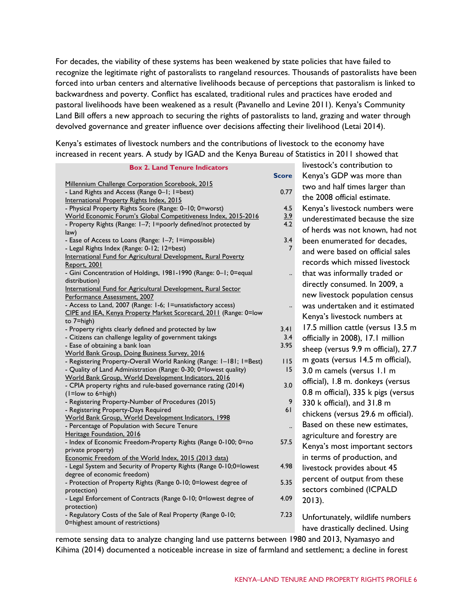For decades, the viability of these systems has been weakened by state policies that have failed to recognize the legitimate right of pastoralists to rangeland resources. Thousands of pastoralists have been forced into urban centers and alternative livelihoods because of perceptions that pastoralism is linked to backwardness and poverty. Conflict has escalated, traditional rules and practices have eroded and pastoral livelihoods have been weakened as a result (Pavanello and Levine 2011). Kenya's Community Land Bill offers a new approach to securing the rights of pastoralists to land, grazing and water through devolved governance and greater influence over decisions affecting their livelihood (Letai 2014).

Kenya's estimates of livestock numbers and the contributions of livestock to the economy have increased in recent years. A study by IGAD and the Kenya Bureau of Statistics in 2011 showed that

| <b>Box 2. Land Tenure Indicators</b>                                                |                      | <b>INVESTOCK S. COTTLE IDULIOIT LO</b> |
|-------------------------------------------------------------------------------------|----------------------|----------------------------------------|
|                                                                                     | <b>Score</b>         | Kenya's GDP was more than              |
| Millennium Challenge Corporation Scorebook, 2015                                    |                      | two and half times larger than         |
| - Land Rights and Access (Range 0-1; 1=best)                                        | 0.77                 |                                        |
| International Property Rights Index, 2015                                           |                      | the 2008 official estimate.            |
| - Physical Property Rights Score (Range: 0-10; 0=worst)                             | 4.5                  | Kenya's livestock numbers wer          |
| World Economic Forum's Global Competitiveness Index, 2015-2016                      | $\frac{3.9}{4.2}$    | underestimated because the siz         |
| - Property Rights (Range: I-7; I=poorly defined/not protected by                    |                      | of herds was not known, had no         |
| law)                                                                                |                      |                                        |
| - Ease of Access to Loans (Range: 1-7; 1=impossible)                                | 3.4                  | been enumerated for decades,           |
| - Legal Rights Index (Range: 0-12; 12=best)                                         | 7                    | and were based on official sales       |
| International Fund for Agricultural Development, Rural Poverty                      |                      | records which missed livestock         |
| Report, 2001                                                                        |                      |                                        |
| - Gini Concentration of Holdings, 1981-1990 (Range: 0-1; 0=equal                    |                      | that was informally traded or          |
| distribution)<br>International Fund for Agricultural Development, Rural Sector      |                      | directly consumed. In 2009, a          |
| Performance Assessment, 2007                                                        |                      | new livestock population censu         |
| - Access to Land, 2007 (Range: 1-6; 1=unsatisfactory access)                        |                      | was undertaken and it estimate         |
| CIPE and IEA, Kenya Property Market Scorecard, 2011 (Range: 0=low                   |                      |                                        |
| to $7 = high$ )                                                                     |                      | Kenya's livestock numbers at           |
| - Property rights clearly defined and protected by law                              | 3.41                 | 17.5 million cattle (versus 13.5       |
| - Citizens can challenge legality of government takings                             | 3.4                  | officially in 2008), 17.1 million      |
| - Ease of obtaining a bank loan                                                     | 3.95                 |                                        |
| World Bank Group, Doing Business Survey, 2016                                       |                      | sheep (versus 9.9 m official), 27      |
| - Registering Property-Overall World Ranking (Range: 1-181; 1=Best)                 | 115                  | m goats (versus 14.5 m official),      |
| - Quality of Land Administration (Range: 0-30; 0=lowest quality)                    | 15                   | 3.0 m camels (versus 1.1 m             |
| World Bank Group, World Development Indicators, 2016                                |                      | official), 1.8 m. donkeys (versus      |
| - CPIA property rights and rule-based governance rating (2014)                      | 3.0                  |                                        |
| $(1 = low to 6 = high)$                                                             |                      | 0.8 m official), 335 k pigs (versu     |
| - Registering Property-Number of Procedures (2015)                                  | 9                    | 330 k official), and 31.8 m            |
| - Registering Property-Days Required                                                | 61                   | chickens (versus 29.6 m official)      |
| World Bank Group, World Development Indicators, 1998                                |                      | Based on these new estimates,          |
| - Percentage of Population with Secure Tenure                                       | $\ddot{\phantom{0}}$ |                                        |
| Heritage Foundation, 2016                                                           |                      | agriculture and forestry are           |
| - Index of Economic Freedom-Property Rights (Range 0-100; 0=no<br>private property) | 57.5                 | Kenya's most important sector:         |
| Economic Freedom of the World Index, 2015 (2013 data)                               |                      | in terms of production, and            |
| - Legal System and Security of Property Rights (Range 0-10;0=lowest                 | 4.98                 |                                        |
| degree of economic freedom)                                                         |                      | livestock provides about 45            |
| - Protection of Property Rights (Range 0-10; 0=lowest degree of                     | 5.35                 | percent of output from these           |
| protection)                                                                         |                      | sectors combined (ICPALD               |
| - Legal Enforcement of Contracts (Range 0-10; 0=lowest degree of                    | 4.09                 | $2013$ ).                              |
| protection)                                                                         |                      |                                        |
| - Regulatory Costs of the Sale of Real Property (Range 0-10;                        | 7.23                 | Unfortunately, wildlife numbers        |
| 0=highest amount of restrictions)                                                   |                      |                                        |
|                                                                                     |                      | have drastically declined. Using       |

**I** livestock's contribution to va's GDP was more than and half times larger than 2008 official estimate. va's livestock numbers were erestimated because the size erds was not known, had not n enumerated for decades. were based on official sales ords which missed livestock was informally traded or ctly consumed. In 2009, a livestock population census undertaken and it estimated va's livestock numbers at million cattle (versus 13.5 m ially in 2008), 17.1 million sheep (versus 9.9 m official), 27.7 pats (versus 14.5 m official), 3.0 m camels (versus 1.1 m ial), 1.8 m. donkeys (versus m official), 335 k pigs (versus k official), and 31.8 m kens (versus 29.6 m official). ed on these new estimates, culture and forestry are ya's most important sectors erms of production, and tock provides about 45 ent of output from these ors combined (ICPALD 3). ortunately, wildlife numbers

remote sensing data to analyze changing land use patterns between 1980 and 2013, Nyamasyo and Kihima (2014) documented a noticeable increase in size of farmland and settlement; a decline in forest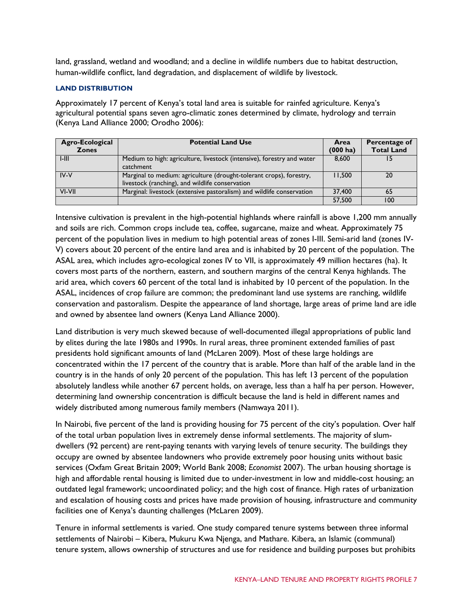land, grassland, wetland and woodland; and a decline in wildlife numbers due to habitat destruction, human-wildlife conflict, land degradation, and displacement of wildlife by livestock.

#### **LAND DISTRIBUTION**

Approximately 17 percent of Kenya's total land area is suitable for rainfed agriculture. Kenya's agricultural potential spans seven agro-climatic zones determined by climate, hydrology and terrain (Kenya Land Alliance 2000; Orodho 2006):

| Agro-Ecological<br><b>Zones</b> | <b>Potential Land Use</b>                                                                                              | Area<br>$(000)$ ha) | Percentage of<br><b>Total Land</b> |
|---------------------------------|------------------------------------------------------------------------------------------------------------------------|---------------------|------------------------------------|
| $1-111$                         | Medium to high: agriculture, livestock (intensive), forestry and water<br>catchment                                    | 8,600               |                                    |
| IV-V                            | Marginal to medium: agriculture (drought-tolerant crops), forestry,<br>livestock (ranching), and wildlife conservation | l I.500             | 20                                 |
| VI-VII                          | Marginal: livestock (extensive pastoralism) and wildlife conservation                                                  | 37,400              | 65                                 |
|                                 |                                                                                                                        | 57,500              | 100                                |

Intensive cultivation is prevalent in the high-potential highlands where rainfall is above 1,200 mm annually and soils are rich. Common crops include tea, coffee, sugarcane, maize and wheat. Approximately 75 percent of the population lives in medium to high potential areas of zones I-III. Semi-arid land (zones IV-V) covers about 20 percent of the entire land area and is inhabited by 20 percent of the population. The ASAL area, which includes agro-ecological zones IV to VII, is approximately 49 million hectares (ha). It covers most parts of the northern, eastern, and southern margins of the central Kenya highlands. The arid area, which covers 60 percent of the total land is inhabited by 10 percent of the population. In the ASAL, incidences of crop failure are common; the predominant land use systems are ranching, wildlife conservation and pastoralism. Despite the appearance of land shortage, large areas of prime land are idle and owned by absentee land owners (Kenya Land Alliance 2000).

Land distribution is very much skewed because of well-documented illegal appropriations of public land by elites during the late 1980s and 1990s. In rural areas, three prominent extended families of past presidents hold significant amounts of land (McLaren 2009). Most of these large holdings are concentrated within the 17 percent of the country that is arable. More than half of the arable land in the country is in the hands of only 20 percent of the population. This has left 13 percent of the population absolutely landless while another 67 percent holds, on average, less than a half ha per person. However, determining land ownership concentration is difficult because the land is held in different names and widely distributed among numerous family members (Namwaya 2011).

In Nairobi, five percent of the land is providing housing for 75 percent of the city's population. Over half of the total urban population lives in extremely dense informal settlements. The majority of slumdwellers (92 percent) are rent-paying tenants with varying levels of tenure security. The buildings they occupy are owned by absentee landowners who provide extremely poor housing units without basic services (Oxfam Great Britain 2009; World Bank 2008; *Economist* 2007). The urban housing shortage is high and affordable rental housing is limited due to under-investment in low and middle-cost housing; an outdated legal framework; uncoordinated policy; and the high cost of finance. High rates of urbanization and escalation of housing costs and prices have made provision of housing, infrastructure and community facilities one of Kenya's daunting challenges (McLaren 2009).

Tenure in informal settlements is varied. One study compared tenure systems between three informal settlements of Nairobi – Kibera, Mukuru Kwa Njenga, and Mathare. Kibera, an Islamic (communal) tenure system, allows ownership of structures and use for residence and building purposes but prohibits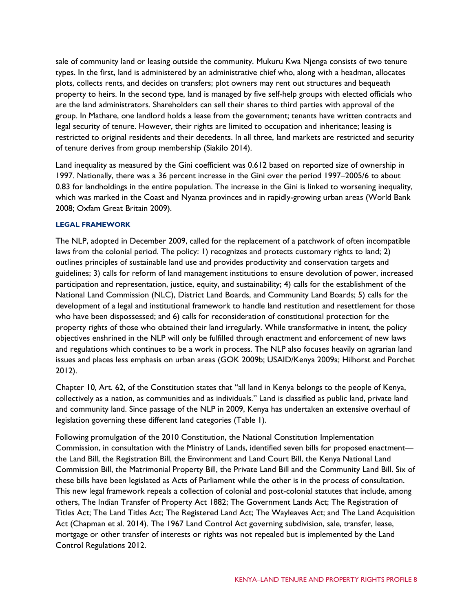sale of community land or leasing outside the community. Mukuru Kwa Njenga consists of two tenure types. In the first, land is administered by an administrative chief who, along with a headman, allocates plots, collects rents, and decides on transfers; plot owners may rent out structures and bequeath property to heirs. In the second type, land is managed by five self-help groups with elected officials who are the land administrators. Shareholders can sell their shares to third parties with approval of the group. In Mathare, one landlord holds a lease from the government; tenants have written contracts and legal security of tenure. However, their rights are limited to occupation and inheritance; leasing is restricted to original residents and their decedents. In all three, land markets are restricted and security of tenure derives from group membership (Siakilo 2014).

Land inequality as measured by the Gini coefficient was 0.612 based on reported size of ownership in 1997. Nationally, there was a 36 percent increase in the Gini over the period 1997–2005/6 to about 0.83 for landholdings in the entire population. The increase in the Gini is linked to worsening inequality, which was marked in the Coast and Nyanza provinces and in rapidly-growing urban areas (World Bank 2008; Oxfam Great Britain 2009).

#### **LEGAL FRAMEWORK**

The NLP, adopted in December 2009, called for the replacement of a patchwork of often incompatible laws from the colonial period. The policy: 1) recognizes and protects customary rights to land; 2) outlines principles of sustainable land use and provides productivity and conservation targets and guidelines; 3) calls for reform of land management institutions to ensure devolution of power, increased participation and representation, justice, equity, and sustainability; 4) calls for the establishment of the National Land Commission (NLC), District Land Boards, and Community Land Boards; 5) calls for the development of a legal and institutional framework to handle land restitution and resettlement for those who have been dispossessed; and 6) calls for reconsideration of constitutional protection for the property rights of those who obtained their land irregularly. While transformative in intent, the policy objectives enshrined in the NLP will only be fulfilled through enactment and enforcement of new laws and regulations which continues to be a work in process. The NLP also focuses heavily on agrarian land issues and places less emphasis on urban areas (GOK 2009b; USAID/Kenya 2009a; Hilhorst and Porchet 2012).

Chapter 10, Art. 62, of the Constitution states that "all land in Kenya belongs to the people of Kenya, collectively as a nation, as communities and as individuals." Land is classified as public land, private land and community land. Since passage of the NLP in 2009, Kenya has undertaken an extensive overhaul of legislation governing these different land categories (Table 1).

Following promulgation of the 2010 Constitution, the National Constitution Implementation Commission, in consultation with the Ministry of Lands, identified seven bills for proposed enactment the Land Bill, the Registration Bill, the Environment and Land Court Bill, the Kenya National Land Commission Bill, the Matrimonial Property Bill, the Private Land Bill and the Community Land Bill. Six of these bills have been legislated as Acts of Parliament while the other is in the process of consultation. This new legal framework repeals a collection of colonial and post-colonial statutes that include, among others, The Indian Transfer of Property Act 1882; The Government Lands Act; The Registration of Titles Act; The Land Titles Act; The Registered Land Act; The Wayleaves Act; and The Land Acquisition Act (Chapman et al. 2014). The 1967 Land Control Act governing subdivision, sale, transfer, lease, mortgage or other transfer of interests or rights was not repealed but is implemented by the Land Control Regulations 2012.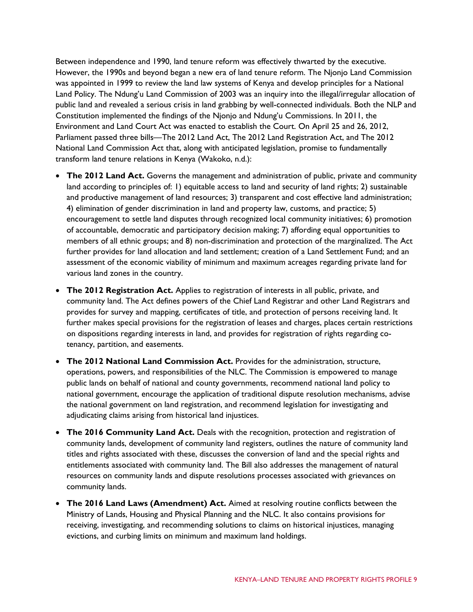Between independence and 1990, land tenure reform was effectively thwarted by the executive. However, the 1990s and beyond began a new era of land tenure reform. The Njonjo Land Commission was appointed in 1999 to review the land law systems of Kenya and develop principles for a National Land Policy. The Ndung'u Land Commission of 2003 was an inquiry into the illegal/irregular allocation of public land and revealed a serious crisis in land grabbing by well-connected individuals. Both the NLP and Constitution implemented the findings of the Njonjo and Ndung'u Commissions. In 2011, the Environment and Land Court Act was enacted to establish the Court. On April 25 and 26, 2012, Parliament passed three bills—The 2012 Land Act, The 2012 Land Registration Act, and The 2012 National Land Commission Act that, along with anticipated legislation, promise to fundamentally transform land tenure relations in Kenya (Wakoko, n.d.):

- **The 2012 Land Act.** Governs the management and administration of public, private and community land according to principles of: 1) equitable access to land and security of land rights; 2) sustainable and productive management of land resources; 3) transparent and cost effective land administration; 4) elimination of gender discrimination in land and property law, customs, and practice; 5) encouragement to settle land disputes through recognized local community initiatives; 6) promotion of accountable, democratic and participatory decision making; 7) affording equal opportunities to members of all ethnic groups; and 8) non-discrimination and protection of the marginalized. The Act further provides for land allocation and land settlement; creation of a Land Settlement Fund; and an assessment of the economic viability of minimum and maximum acreages regarding private land for various land zones in the country.
- **The 2012 Registration Act.** Applies to registration of interests in all public, private, and community land. The Act defines powers of the Chief Land Registrar and other Land Registrars and provides for survey and mapping, certificates of title, and protection of persons receiving land. It further makes special provisions for the registration of leases and charges, places certain restrictions on dispositions regarding interests in land, and provides for registration of rights regarding cotenancy, partition, and easements.
- **The 2012 National Land Commission Act.** Provides for the administration, structure, operations, powers, and responsibilities of the NLC. The Commission is empowered to manage public lands on behalf of national and county governments, recommend national land policy to national government, encourage the application of traditional dispute resolution mechanisms, advise the national government on land registration, and recommend legislation for investigating and adjudicating claims arising from historical land injustices.
- **The 2016 Community Land Act.** Deals with the recognition, protection and registration of community lands, development of community land registers, outlines the nature of community land titles and rights associated with these, discusses the conversion of land and the special rights and entitlements associated with community land. The Bill also addresses the management of natural resources on community lands and dispute resolutions processes associated with grievances on community lands.
- **The 2016 Land Laws (Amendment) Act.** Aimed at resolving routine conflicts between the Ministry of Lands, Housing and Physical Planning and the NLC. It also contains provisions for receiving, investigating, and recommending solutions to claims on historical injustices, managing evictions, and curbing limits on minimum and maximum land holdings.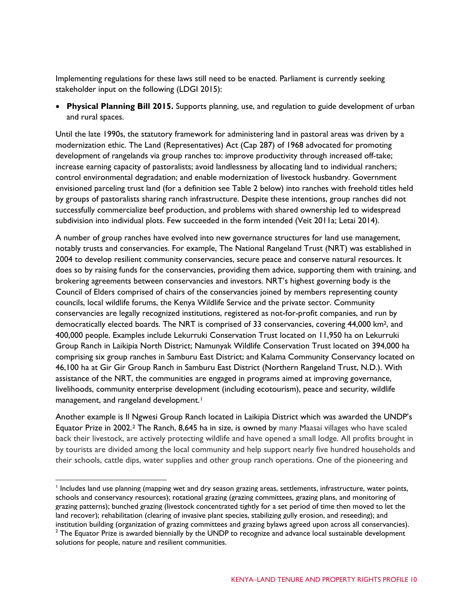Implementing regulations for these laws still need to be enacted. Parliament is currently seeking stakeholder input on the following (LDGI 2015):

• **Physical Planning Bill 2015.** Supports planning, use, and regulation to guide development of urban and rural spaces.

Until the late 1990s, the statutory framework for administering land in pastoral areas was driven by a modernization ethic. The Land (Representatives) Act (Cap 287) of 1968 advocated for promoting development of rangelands via group ranches to: improve productivity through increased off-take; increase earning capacity of pastoralists; avoid landlessness by allocating land to individual ranchers; control environmental degradation; and enable modernization of livestock husbandry. Government envisioned parceling trust land (for a definition see Table 2 below) into ranches with freehold titles held by groups of pastoralists sharing ranch infrastructure. Despite these intentions, group ranches did not successfully commercialize beef production, and problems with shared ownership led to widespread subdivision into individual plots. Few succeeded in the form intended (Veit 2011a; Letai 2014).

A number of group ranches have evolved into new governance structures for land use management, notably trusts and conservancies. For example, The National Rangeland Trust (NRT) was established in 2004 to develop resilient community conservancies, secure peace and conserve natural resources. It does so by raising funds for the conservancies, providing them advice, supporting them with training, and brokering agreements between conservancies and investors. NRT's highest governing body is the Council of Elders comprised of chairs of the conservancies joined by members representing county councils, local wildlife forums, the Kenya Wildlife Service and the private sector. Community conservancies are legally recognized institutions, registered as not-for-profit companies, and run by democratically elected boards. The NRT is comprised of 33 conservancies, covering 44,000 km2, and 400,000 people. Examples include Lekurruki Conservation Trust located on 11,950 ha on Lekurruki Group Ranch in Laikipia North District; Namunyak Wildlife Conservation Trust located on 394,000 ha comprising six group ranches in Samburu East District; and Kalama Community Conservancy located on 46,100 ha at Gir Gir Group Ranch in Samburu East District (Northern Rangeland Trust, N.D.). With assistance of the NRT, the communities are engaged in programs aimed at improving governance, livelihoods, community enterprise development (including ecotourism), peace and security, wildlife management, and rangeland development.<sup>[1](#page-9-0)</sup>

Another example is Il Ngwesi Group Ranch located in Laikipia District which was awarded the UNDP's Equator Prize in 2002[.2](#page-9-1) The Ranch, 8,645 ha in size, is owned by many Maasai villages who have scaled back their livestock, are actively protecting wildlife and have opened a small lodge. All profits brought in by tourists are divided among the local community and help support nearly five hundred households and their schools, cattle dips, water supplies and other group ranch operations. One of the pioneering and

<span id="page-9-1"></span><span id="page-9-0"></span><sup>&</sup>lt;sup>1</sup> Includes land use planning (mapping wet and dry season grazing areas, settlements, infrastructure, water points, schools and conservancy resources); rotational grazing (grazing committees, grazing plans, and monitoring of grazing patterns); bunched grazing (livestock concentrated tightly for a set period of time then moved to let the land recover); rehabilitation (clearing of invasive plant species, stabilizing gully erosion, and reseeding); and institution building (organization of grazing committees and grazing bylaws agreed upon across all conservancies).  $2$  The Equator Prize is awarded biennially by the UNDP to recognize and advance local sustainable development solutions for people, nature and resilient communities.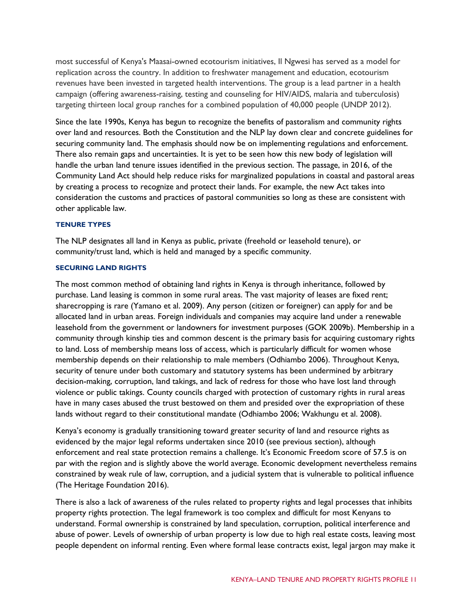most successful of Kenya's Maasai-owned ecotourism initiatives, Il Ngwesi has served as a model for replication across the country. In addition to freshwater management and education, ecotourism revenues have been invested in targeted health interventions. The group is a lead partner in a health campaign (offering awareness-raising, testing and counseling for HIV/AIDS, malaria and tuberculosis) targeting thirteen local group ranches for a combined population of 40,000 people (UNDP 2012).

Since the late 1990s, Kenya has begun to recognize the benefits of pastoralism and community rights over land and resources. Both the Constitution and the NLP lay down clear and concrete guidelines for securing community land. The emphasis should now be on implementing regulations and enforcement. There also remain gaps and uncertainties. It is yet to be seen how this new body of legislation will handle the urban land tenure issues identified in the previous section. The passage, in 2016, of the Community Land Act should help reduce risks for marginalized populations in coastal and pastoral areas by creating a process to recognize and protect their lands. For example, the new Act takes into consideration the customs and practices of pastoral communities so long as these are consistent with other applicable law.

#### **TENURE TYPES**

The NLP designates all land in Kenya as public, private (freehold or leasehold tenure), or community/trust land, which is held and managed by a specific community.

#### **SECURING LAND RIGHTS**

The most common method of obtaining land rights in Kenya is through inheritance, followed by purchase. Land leasing is common in some rural areas. The vast majority of leases are fixed rent; sharecropping is rare (Yamano et al. 2009). Any person (citizen or foreigner) can apply for and be allocated land in urban areas. Foreign individuals and companies may acquire land under a renewable leasehold from the government or landowners for investment purposes (GOK 2009b). Membership in a community through kinship ties and common descent is the primary basis for acquiring customary rights to land. Loss of membership means loss of access, which is particularly difficult for women whose membership depends on their relationship to male members (Odhiambo 2006). Throughout Kenya, security of tenure under both customary and statutory systems has been undermined by arbitrary decision-making, corruption, land takings, and lack of redress for those who have lost land through violence or public takings. County councils charged with protection of customary rights in rural areas have in many cases abused the trust bestowed on them and presided over the expropriation of these lands without regard to their constitutional mandate (Odhiambo 2006; Wakhungu et al. 2008).

Kenya's economy is gradually transitioning toward greater security of land and resource rights as evidenced by the major legal reforms undertaken since 2010 (see previous section), although enforcement and real state protection remains a challenge. It's Economic Freedom score of 57.5 is on par with the region and is slightly above the world average. Economic development nevertheless remains constrained by weak rule of law, corruption, and a judicial system that is vulnerable to political influence (The Heritage Foundation 2016).

There is also a lack of awareness of the rules related to property rights and legal processes that inhibits property rights protection. The legal framework is too complex and difficult for most Kenyans to understand. Formal ownership is constrained by land speculation, corruption, political interference and abuse of power. Levels of ownership of urban property is low due to high real estate costs, leaving most people dependent on informal renting. Even where formal lease contracts exist, legal jargon may make it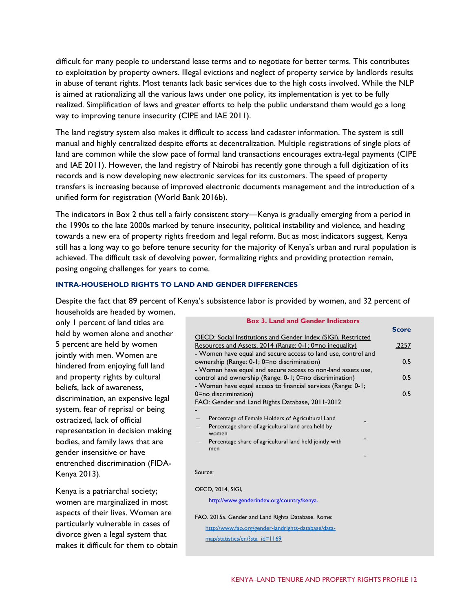difficult for many people to understand lease terms and to negotiate for better terms. This contributes to exploitation by property owners. Illegal evictions and neglect of property service by landlords results in abuse of tenant rights. Most tenants lack basic services due to the high costs involved. While the NLP is aimed at rationalizing all the various laws under one policy, its implementation is yet to be fully realized. Simplification of laws and greater efforts to help the public understand them would go a long way to improving tenure insecurity (CIPE and IAE 2011).

The land registry system also makes it difficult to access land cadaster information. The system is still manual and highly centralized despite efforts at decentralization. Multiple registrations of single plots of land are common while the slow pace of formal land transactions encourages extra-legal payments (CIPE and IAE 2011). However, the land registry of Nairobi has recently gone through a full digitization of its records and is now developing new electronic services for its customers. The speed of property transfers is increasing because of improved electronic documents management and the introduction of a unified form for registration (World Bank 2016b).

The indicators in Box 2 thus tell a fairly consistent story—Kenya is gradually emerging from a period in the 1990s to the late 2000s marked by tenure insecurity, political instability and violence, and heading towards a new era of property rights freedom and legal reform. But as most indicators suggest, Kenya still has a long way to go before tenure security for the majority of Kenya's urban and rural population is achieved. The difficult task of devolving power, formalizing rights and providing protection remain, posing ongoing challenges for years to come.

#### **INTRA-HOUSEHOLD RIGHTS TO LAND AND GENDER DIFFERENCES**

Despite the fact that 89 percent of Kenya's subsistence labor is provided by women, and 32 percent of households are headed by women,

only 1 percent of land titles are held by women alone and another 5 percent are held by women jointly with men. Women are hindered from enjoying full land and property rights by cultural beliefs, lack of awareness, discrimination, an expensive legal system, fear of reprisal or being ostracized, lack of official representation in decision making bodies, and family laws that are gender insensitive or have entrenched discrimination (FIDA-Kenya 2013).

Kenya is a patriarchal society; women are marginalized in most aspects of their lives. Women are particularly vulnerable in cases of divorce given a legal system that makes it difficult for them to obtain

| <b>OECD: Social Institutions and Gender Index (SIGI), Restricted</b><br>Resources and Assets, 2014 (Range: 0-1; 0=no inequality)<br>.2257<br>- Women have equal and secure access to land use, control and<br>ownership (Range: 0-1; 0=no discrimination)<br>0.5<br>- Women have equal and secure access to non-land assets use,<br>control and ownership (Range: 0-1; 0=no discrimination)<br>0.5<br>- Women have equal access to financial services (Range: 0-1;<br>0=no discrimination)<br>0.5<br>FAO: Gender and Land Rights Database, 2011-2012 |
|------------------------------------------------------------------------------------------------------------------------------------------------------------------------------------------------------------------------------------------------------------------------------------------------------------------------------------------------------------------------------------------------------------------------------------------------------------------------------------------------------------------------------------------------------|
|                                                                                                                                                                                                                                                                                                                                                                                                                                                                                                                                                      |
|                                                                                                                                                                                                                                                                                                                                                                                                                                                                                                                                                      |
|                                                                                                                                                                                                                                                                                                                                                                                                                                                                                                                                                      |
|                                                                                                                                                                                                                                                                                                                                                                                                                                                                                                                                                      |
|                                                                                                                                                                                                                                                                                                                                                                                                                                                                                                                                                      |
|                                                                                                                                                                                                                                                                                                                                                                                                                                                                                                                                                      |
|                                                                                                                                                                                                                                                                                                                                                                                                                                                                                                                                                      |
|                                                                                                                                                                                                                                                                                                                                                                                                                                                                                                                                                      |
|                                                                                                                                                                                                                                                                                                                                                                                                                                                                                                                                                      |
| Percentage of Female Holders of Agricultural Land                                                                                                                                                                                                                                                                                                                                                                                                                                                                                                    |
| Percentage share of agricultural land area held by                                                                                                                                                                                                                                                                                                                                                                                                                                                                                                   |
| women                                                                                                                                                                                                                                                                                                                                                                                                                                                                                                                                                |
| Percentage share of agricultural land held jointly with                                                                                                                                                                                                                                                                                                                                                                                                                                                                                              |
| men                                                                                                                                                                                                                                                                                                                                                                                                                                                                                                                                                  |
|                                                                                                                                                                                                                                                                                                                                                                                                                                                                                                                                                      |
| Source:                                                                                                                                                                                                                                                                                                                                                                                                                                                                                                                                              |
|                                                                                                                                                                                                                                                                                                                                                                                                                                                                                                                                                      |
| OECD, 2014, SIGI,                                                                                                                                                                                                                                                                                                                                                                                                                                                                                                                                    |
| http://www.genderindex.org/country/kenya.                                                                                                                                                                                                                                                                                                                                                                                                                                                                                                            |
|                                                                                                                                                                                                                                                                                                                                                                                                                                                                                                                                                      |
| FAO. 2015a. Gender and Land Rights Database. Rome:                                                                                                                                                                                                                                                                                                                                                                                                                                                                                                   |

**Box 3. Land and Gender Indicators**

[http://www.fao.org/gender-landrights-database/data](http://www.fao.org/gender-landrights-database/data-map/statistics/en/?sta_id=1169)[map/statistics/en/?sta\\_id=1169](http://www.fao.org/gender-landrights-database/data-map/statistics/en/?sta_id=1169)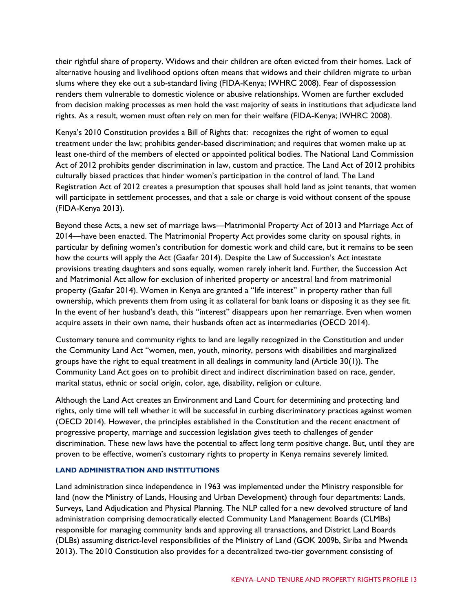their rightful share of property. Widows and their children are often evicted from their homes. Lack of alternative housing and livelihood options often means that widows and their children migrate to urban slums where they eke out a sub-standard living (FIDA-Kenya; IWHRC 2008). Fear of dispossession renders them vulnerable to domestic violence or abusive relationships. Women are further excluded from decision making processes as men hold the vast majority of seats in institutions that adjudicate land rights. As a result, women must often rely on men for their welfare (FIDA-Kenya; IWHRC 2008).

Kenya's 2010 Constitution provides a Bill of Rights that: recognizes the right of women to equal treatment under the law; prohibits gender-based discrimination; and requires that women make up at least one-third of the members of elected or appointed political bodies. The National Land Commission Act of 2012 prohibits gender discrimination in law, custom and practice. The Land Act of 2012 prohibits culturally biased practices that hinder women's participation in the control of land. The Land Registration Act of 2012 creates a presumption that spouses shall hold land as joint tenants, that women will participate in settlement processes, and that a sale or charge is void without consent of the spouse (FIDA-Kenya 2013).

Beyond these Acts, a new set of marriage laws—Matrimonial Property Act of 2013 and Marriage Act of 2014—have been enacted. The Matrimonial Property Act provides some clarity on spousal rights, in particular by defining women's contribution for domestic work and child care, but it remains to be seen how the courts will apply the Act (Gaafar 2014). Despite the Law of Succession's Act intestate provisions treating daughters and sons equally, women rarely inherit land. Further, the Succession Act and Matrimonial Act allow for exclusion of inherited property or ancestral land from matrimonial property (Gaafar 2014). Women in Kenya are granted a "life interest" in property rather than full ownership, which prevents them from using it as collateral for bank loans or disposing it as they see fit. In the event of her husband's death, this "interest" disappears upon her remarriage. Even when women acquire assets in their own name, their husbands often act as intermediaries (OECD 2014).

Customary tenure and community rights to land are legally recognized in the Constitution and under the Community Land Act "women, men, youth, minority, persons with disabilities and marginalized groups have the right to equal treatment in all dealings in community land (Article 30(1)). The Community Land Act goes on to prohibit direct and indirect discrimination based on race, gender, marital status, ethnic or social origin, color, age, disability, religion or culture.

Although the Land Act creates an Environment and Land Court for determining and protecting land rights, only time will tell whether it will be successful in curbing discriminatory practices against women (OECD 2014). However, the principles established in the Constitution and the recent enactment of progressive property, marriage and succession legislation gives teeth to challenges of gender discrimination. These new laws have the potential to affect long term positive change. But, until they are proven to be effective, women's customary rights to property in Kenya remains severely limited.

#### **LAND ADMINISTRATION AND INSTITUTIONS**

Land administration since independence in 1963 was implemented under the Ministry responsible for land (now the Ministry of Lands, Housing and Urban Development) through four departments: Lands, Surveys, Land Adjudication and Physical Planning. The NLP called for a new devolved structure of land administration comprising democratically elected Community Land Management Boards (CLMBs) responsible for managing community lands and approving all transactions, and District Land Boards (DLBs) assuming district-level responsibilities of the Ministry of Land (GOK 2009b, Siriba and Mwenda 2013). The 2010 Constitution also provides for a decentralized two-tier government consisting of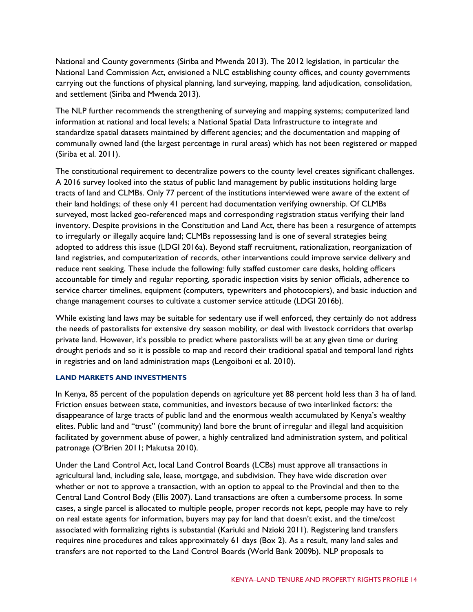National and County governments (Siriba and Mwenda 2013). The 2012 legislation, in particular the National Land Commission Act, envisioned a NLC establishing county offices, and county governments carrying out the functions of physical planning, land surveying, mapping, land adjudication, consolidation, and settlement (Siriba and Mwenda 2013).

The NLP further recommends the strengthening of surveying and mapping systems; computerized land information at national and local levels; a National Spatial Data Infrastructure to integrate and standardize spatial datasets maintained by different agencies; and the documentation and mapping of communally owned land (the largest percentage in rural areas) which has not been registered or mapped (Siriba et al. 2011).

The constitutional requirement to decentralize powers to the county level creates significant challenges. A 2016 survey looked into the status of public land management by public institutions holding large tracts of land and CLMBs. Only 77 percent of the institutions interviewed were aware of the extent of their land holdings; of these only 41 percent had documentation verifying ownership. Of CLMBs surveyed, most lacked geo-referenced maps and corresponding registration status verifying their land inventory. Despite provisions in the Constitution and Land Act, there has been a resurgence of attempts to irregularly or illegally acquire land; CLMBs repossessing land is one of several strategies being adopted to address this issue (LDGI 2016a). Beyond staff recruitment, rationalization, reorganization of land registries, and computerization of records, other interventions could improve service delivery and reduce rent seeking. These include the following: fully staffed customer care desks, holding officers accountable for timely and regular reporting, sporadic inspection visits by senior officials, adherence to service charter timelines, equipment (computers, typewriters and photocopiers), and basic induction and change management courses to cultivate a customer service attitude (LDGI 2016b).

While existing land laws may be suitable for sedentary use if well enforced, they certainly do not address the needs of pastoralists for extensive dry season mobility, or deal with livestock corridors that overlap private land. However, it's possible to predict where pastoralists will be at any given time or during drought periods and so it is possible to map and record their traditional spatial and temporal land rights in registries and on land administration maps (Lengoiboni et al. 2010).

#### **LAND MARKETS AND INVESTMENTS**

In Kenya, 85 percent of the population depends on agriculture yet 88 percent hold less than 3 ha of land. Friction ensues between state, communities, and investors because of two interlinked factors: the disappearance of large tracts of public land and the enormous wealth accumulated by Kenya's wealthy elites. Public land and "trust" (community) land bore the brunt of irregular and illegal land acquisition facilitated by government abuse of power, a highly centralized land administration system, and political patronage (O'Brien 2011; Makutsa 2010).

Under the Land Control Act, local Land Control Boards (LCBs) must approve all transactions in agricultural land, including sale, lease, mortgage, and subdivision. They have wide discretion over whether or not to approve a transaction, with an option to appeal to the Provincial and then to the Central Land Control Body (Ellis 2007). Land transactions are often a cumbersome process. In some cases, a single parcel is allocated to multiple people, proper records not kept, people may have to rely on real estate agents for information, buyers may pay for land that doesn't exist, and the time/cost associated with formalizing rights is substantial (Kariuki and Nzioki 2011). Registering land transfers requires nine procedures and takes approximately 61 days (Box 2). As a result, many land sales and transfers are not reported to the Land Control Boards (World Bank 2009b). NLP proposals to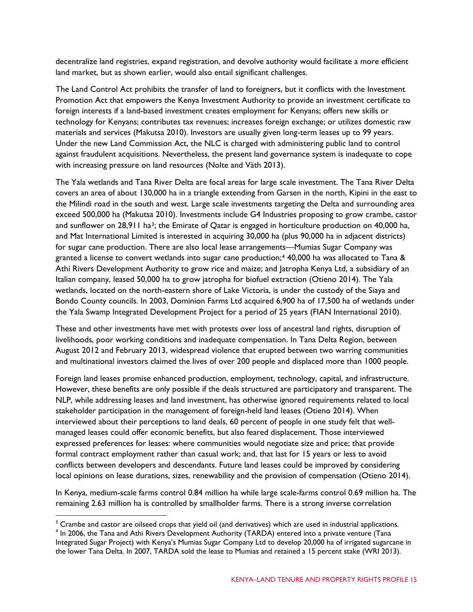decentralize land registries, expand registration, and devolve authority would facilitate a more efficient land market, but as shown earlier, would also entail significant challenges.

The Land Control Act prohibits the transfer of land to foreigners, but it conflicts with the Investment Promotion Act that empowers the Kenya Investment Authority to provide an investment certificate to foreign interests if a land-based investment creates employment for Kenyans; offers new skills or technology for Kenyans; contributes tax revenues; increases foreign exchange; or utilizes domestic raw materials and services (Makutsa 2010). Investors are usually given long-term leases up to 99 years. Under the new Land Commission Act, the NLC is charged with administering public land to control against fraudulent acquisitions. Nevertheless, the present land governance system is inadequate to cope with increasing pressure on land resources (Nolte and Väth 2013).

The Yala wetlands and Tana River Delta are focal areas for large scale investment. The Tana River Delta covers an area of about 130,000 ha in a triangle extending from Garsen in the north, Kipini in the east to the Milindi road in the south and west. Large scale investments targeting the Delta and surrounding area exceed 500,000 ha (Makutsa 2010). Investments include G4 Industries proposing to grow crambe, castor and sunflower on 28,911 ha<sup>3</sup>; the Emirate of Qatar is engaged in horticulture production on 40,000 ha, and Mat International Limited is interested in acquiring 30,000 ha (plus 90,000 ha in adjacent districts) for sugar cane production. There are also local lease arrangements—Mumias Sugar Company was granted a license to convert wetlands into sugar cane production;[4](#page-14-1) 40,000 ha was allocated to Tana & Athi Rivers Development Authority to grow rice and maize; and Jatropha Kenya Ltd, a subsidiary of an Italian company, leased 50,000 ha to grow jatropha for biofuel extraction (Otieno 2014). The Yala wetlands, located on the north-eastern shore of Lake Victoria, is under the custody of the Siaya and Bondo County councils. In 2003, Dominion Farms Ltd acquired 6,900 ha of 17,500 ha of wetlands under the Yala Swamp Integrated Development Project for a period of 25 years (FIAN International 2010).

These and other investments have met with protests over loss of ancestral land rights, disruption of livelihoods, poor working conditions and inadequate compensation. In Tana Delta Region, between August 2012 and February 2013, widespread violence that erupted between two warring communities and multinational investors claimed the lives of over 200 people and displaced more than 1000 people.

Foreign land leases promise enhanced production, employment, technology, capital, and infrastructure. However, these benefits are only possible if the deals structured are participatory and transparent. The NLP, while addressing leases and land investment, has otherwise ignored requirements related to local stakeholder participation in the management of foreign-held land leases (Otieno 2014). When interviewed about their perceptions to land deals, 60 percent of people in one study felt that wellmanaged leases could offer economic benefits, but also feared displacement. Those interviewed expressed preferences for leases: where communities would negotiate size and price; that provide formal contract employment rather than casual work; and, that last for 15 years or less to avoid conflicts between developers and descendants. Future land leases could be improved by considering local opinions on lease durations, sizes, renewability and the provision of compensation (Otieno 2014).

In Kenya, medium-scale farms control 0.84 million ha while large scale-farms control 0.69 million ha. The remaining 2.63 million ha is controlled by smallholder farms. There is a strong inverse correlation

<span id="page-14-1"></span><span id="page-14-0"></span><sup>&</sup>lt;sup>3</sup> Crambe and castor are oilseed crops that yield oil (and derivatives) which are used in industrial applications. <sup>4</sup> In 2006, the Tana and Athi Rivers Development Authority (TARDA) entered into a private venture (Tana Integrated Sugar Project) with Kenya's Mumias Sugar Company Ltd to develop 20,000 ha of irrigated sugarcane in the lower Tana Delta. In 2007, TARDA sold the lease to Mumias and retained a 15 percent stake (WRI 2013).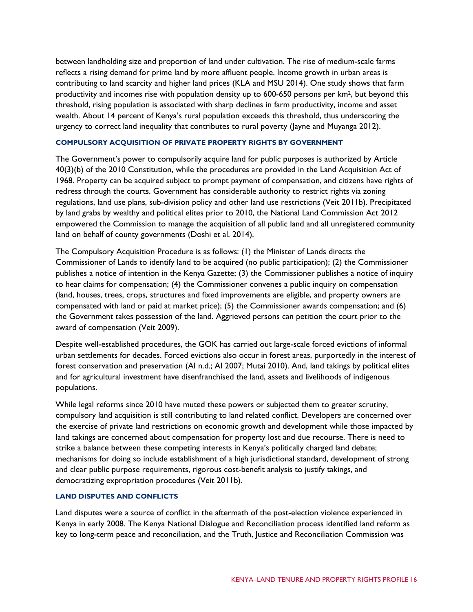between landholding size and proportion of land under cultivation. The rise of medium-scale farms reflects a rising demand for prime land by more affluent people. Income growth in urban areas is contributing to land scarcity and higher land prices (KLA and MSU 2014). One study shows that farm productivity and incomes rise with population density up to 600-650 persons per km2, but beyond this threshold, rising population is associated with sharp declines in farm productivity, income and asset wealth. About 14 percent of Kenya's rural population exceeds this threshold, thus underscoring the urgency to correct land inequality that contributes to rural poverty (Jayne and Muyanga 2012).

## **COMPULSORY ACQUISITION OF PRIVATE PROPERTY RIGHTS BY GOVERNMENT**

The Government's power to compulsorily acquire land for public purposes is authorized by Article 40(3)(b) of the 2010 Constitution, while the procedures are provided in the Land Acquisition Act of 1968. Property can be acquired subject to prompt payment of compensation, and citizens have rights of redress through the courts. Government has considerable authority to restrict rights via zoning regulations, land use plans, sub-division policy and other land use restrictions (Veit 2011b). Precipitated by land grabs by wealthy and political elites prior to 2010, the National Land Commission Act 2012 empowered the Commission to manage the acquisition of all public land and all unregistered community land on behalf of county governments (Doshi et al. 2014).

The Compulsory Acquisition Procedure is as follows: (1) the Minister of Lands directs the Commissioner of Lands to identify land to be acquired (no public participation); (2) the Commissioner publishes a notice of intention in the Kenya Gazette; (3) the Commissioner publishes a notice of inquiry to hear claims for compensation; (4) the Commissioner convenes a public inquiry on compensation (land, houses, trees, crops, structures and fixed improvements are eligible, and property owners are compensated with land or paid at market price); (5) the Commissioner awards compensation; and (6) the Government takes possession of the land. Aggrieved persons can petition the court prior to the award of compensation (Veit 2009).

Despite well-established procedures, the GOK has carried out large-scale forced evictions of informal urban settlements for decades. Forced evictions also occur in forest areas, purportedly in the interest of forest conservation and preservation (AI n.d.; AI 2007; Mutai 2010). And, land takings by political elites and for agricultural investment have disenfranchised the land, assets and livelihoods of indigenous populations.

While legal reforms since 2010 have muted these powers or subjected them to greater scrutiny, compulsory land acquisition is still contributing to land related conflict. Developers are concerned over the exercise of private land restrictions on economic growth and development while those impacted by land takings are concerned about compensation for property lost and due recourse. There is need to strike a balance between these competing interests in Kenya's politically charged land debate; mechanisms for doing so include establishment of a high jurisdictional standard, development of strong and clear public purpose requirements, rigorous cost-benefit analysis to justify takings, and democratizing expropriation procedures (Veit 2011b).

#### **LAND DISPUTES AND CONFLICTS**

Land disputes were a source of conflict in the aftermath of the post-election violence experienced in Kenya in early 2008. The Kenya National Dialogue and Reconciliation process identified land reform as key to long-term peace and reconciliation, and the Truth, Justice and Reconciliation Commission was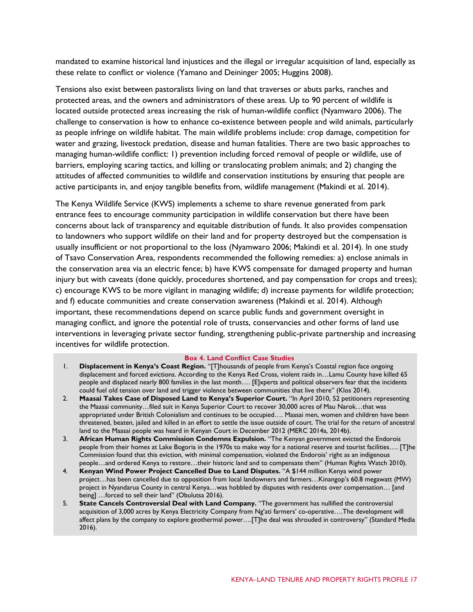mandated to examine historical land injustices and the illegal or irregular acquisition of land, especially as these relate to conflict or violence (Yamano and Deininger 2005; Huggins 2008).

Tensions also exist between pastoralists living on land that traverses or abuts parks, ranches and protected areas, and the owners and administrators of these areas. Up to 90 percent of wildlife is located outside protected areas increasing the risk of human-wildlife conflict (Nyamwaro 2006). The challenge to conservation is how to enhance co-existence between people and wild animals, particularly as people infringe on wildlife habitat. The main wildlife problems include: crop damage, competition for water and grazing, livestock predation, disease and human fatalities. There are two basic approaches to managing human-wildlife conflict: 1) prevention including forced removal of people or wildlife, use of barriers, employing scaring tactics, and killing or translocating problem animals; and 2) changing the attitudes of affected communities to wildlife and conservation institutions by ensuring that people are active participants in, and enjoy tangible benefits from, wildlife management (Makindi et al. 2014).

The Kenya Wildlife Service (KWS) implements a scheme to share revenue generated from park entrance fees to encourage community participation in wildlife conservation but there have been concerns about lack of transparency and equitable distribution of funds. It also provides compensation to landowners who support wildlife on their land and for property destroyed but the compensation is usually insufficient or not proportional to the loss (Nyamwaro 2006; Makindi et al. 2014). In one study of Tsavo Conservation Area, respondents recommended the following remedies: a) enclose animals in the conservation area via an electric fence; b) have KWS compensate for damaged property and human injury but with caveats (done quickly, procedures shortened, and pay compensation for crops and trees); c) encourage KWS to be more vigilant in managing wildlife; d) increase payments for wildlife protection; and f) educate communities and create conservation awareness (Makindi et al. 2014). Although important, these recommendations depend on scarce public funds and government oversight in managing conflict, and ignore the potential role of trusts, conservancies and other forms of land use interventions in leveraging private sector funding, strengthening public-private partnership and increasing incentives for wildlife protection.

#### **Box 4. Land Conflict Case Studies**

- 1. **Displacement in Kenya's Coast Region.** "[T]housands of people from Kenya's Coastal region face ongoing displacement and forced evictions. According to the Kenya Red Cross, violent raids in…Lamu County have killed 65 people and displaced nearly 800 families in the last month…. [E]xperts and political observers fear that the incidents could fuel old tension over land and trigger violence between communities that live there" (Klos 2014).
- 2. **Maasai Takes Case of Disposed Land to Kenya's Superior Court.** "In April 2010, 52 petitioners representing the Maasai community…filed suit in Kenya Superior Court to recover 30,000 acres of Mau Narok…that was appropriated under British Colonialism and continues to be occupied…. Maasai men, women and children have been threatened, beaten, jailed and killed in an effort to settle the issue outside of court. The trial for the return of ancestral land to the Maasai people was heard in Kenyan Court in December 2012 (MERC 2014a, 2014b).
- 3. **African Human Rights Commission Condemns Expulsion.** "The Kenyan government evicted the Endorois people from their homes at Lake Bogoria in the 1970s to make way for a national reserve and tourist facilities…. [T]he Commission found that this eviction, with minimal compensation, violated the Endorois' right as an indigenous people…and ordered Kenya to restore…their historic land and to compensate them" (Human Rights Watch 2010).
- 4. **Kenyan Wind Power Project Cancelled Due to Land Disputes.** "A \$144 million Kenya wind power project...has been cancelled due to opposition from local landowners and farmers...Kinangop's 60.8 megawatt (MW) project in Nyandarua County in central Kenya…was hobbled by disputes with residents over compensation… [and being] …forced to sell their land" (Obulutsa 2016).
- 5. **State Cancels Controversial Deal with Land Company.** "The government has nullified the controversial acquisition of 3,000 acres by Kenya Electricity Company from Ng'ati farmers' co-operative….The development will affect plans by the company to explore geothermal power….[T]he deal was shrouded in controversy" (Standard Media  $2016$ ).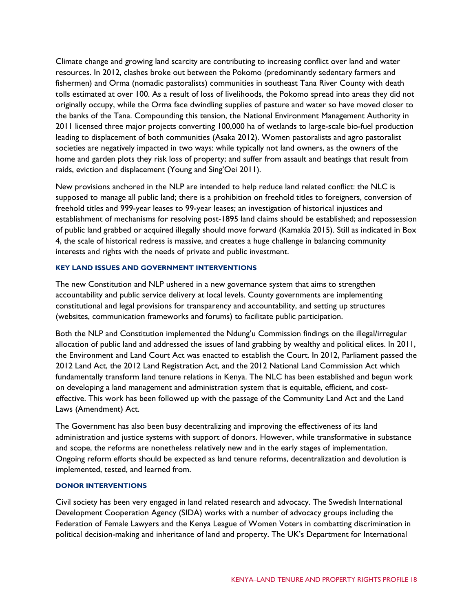Climate change and growing land scarcity are contributing to increasing conflict over land and water resources. In 2012, clashes broke out between the Pokomo (predominantly sedentary farmers and fishermen) and Orma (nomadic pastoralists) communities in southeast Tana River County with death tolls estimated at over 100. As a result of loss of livelihoods, the Pokomo spread into areas they did not originally occupy, while the Orma face dwindling supplies of pasture and water so have moved closer to the banks of the Tana. Compounding this tension, the National Environment Management Authority in 2011 licensed three major projects converting 100,000 ha of wetlands to large-scale bio-fuel production leading to displacement of both communities (Asaka 2012). Women pastoralists and agro pastoralist societies are negatively impacted in two ways: while typically not land owners, as the owners of the home and garden plots they risk loss of property; and suffer from assault and beatings that result from raids, eviction and displacement (Young and Sing'Oei 2011).

New provisions anchored in the NLP are intended to help reduce land related conflict: the NLC is supposed to manage all public land; there is a prohibition on freehold titles to foreigners, conversion of freehold titles and 999-year leases to 99-year leases; an investigation of historical injustices and establishment of mechanisms for resolving post-1895 land claims should be established; and repossession of public land grabbed or acquired illegally should move forward (Kamakia 2015). Still as indicated in Box 4, the scale of historical redress is massive, and creates a huge challenge in balancing community interests and rights with the needs of private and public investment.

### **KEY LAND ISSUES AND GOVERNMENT INTERVENTIONS**

The new Constitution and NLP ushered in a new governance system that aims to strengthen accountability and public service delivery at local levels. County governments are implementing constitutional and legal provisions for transparency and accountability, and setting up structures (websites, communication frameworks and forums) to facilitate public participation.

Both the NLP and Constitution implemented the Ndung'u Commission findings on the illegal/irregular allocation of public land and addressed the issues of land grabbing by wealthy and political elites. In 2011, the Environment and Land Court Act was enacted to establish the Court. In 2012, Parliament passed the 2012 Land Act, the 2012 Land Registration Act, and the 2012 National Land Commission Act which fundamentally transform land tenure relations in Kenya. The NLC has been established and begun work on developing a land management and administration system that is equitable, efficient, and costeffective. This work has been followed up with the passage of the Community Land Act and the Land Laws (Amendment) Act.

The Government has also been busy decentralizing and improving the effectiveness of its land administration and justice systems with support of donors. However, while transformative in substance and scope, the reforms are nonetheless relatively new and in the early stages of implementation. Ongoing reform efforts should be expected as land tenure reforms, decentralization and devolution is implemented, tested, and learned from.

#### **DONOR INTERVENTIONS**

Civil society has been very engaged in land related research and advocacy. The Swedish International Development Cooperation Agency (SIDA) works with a number of advocacy groups including the Federation of Female Lawyers and the Kenya League of Women Voters in combatting discrimination in political decision-making and inheritance of land and property. The UK's Department for International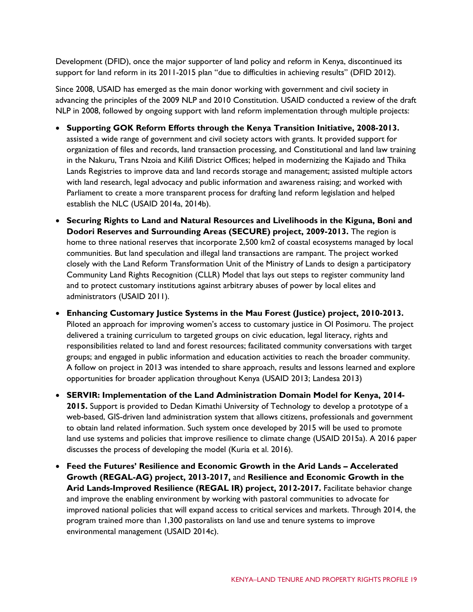Development (DFID), once the major supporter of land policy and reform in Kenya, discontinued its support for land reform in its 2011-2015 plan "due to difficulties in achieving results" (DFID 2012).

Since 2008, USAID has emerged as the main donor working with government and civil society in advancing the principles of the 2009 NLP and 2010 Constitution. USAID conducted a review of the draft NLP in 2008, followed by ongoing support with land reform implementation through multiple projects:

- **Supporting GOK Reform Efforts through the Kenya Transition Initiative, 2008-2013.** assisted a wide range of government and civil society actors with grants. It provided support for organization of files and records, land transaction processing, and Constitutional and land law training in the Nakuru, Trans Nzoia and Kilifi District Offices; helped in modernizing the Kajiado and Thika Lands Registries to improve data and land records storage and management; assisted multiple actors with land research, legal advocacy and public information and awareness raising; and worked with Parliament to create a more transparent process for drafting land reform legislation and helped establish the NLC (USAID 2014a, 2014b).
- **Securing Rights to Land and Natural Resources and Livelihoods in the Kiguna, Boni and Dodori Reserves and Surrounding Areas (SECURE) project, 2009-2013.** The region is home to three national reserves that incorporate 2,500 km2 of coastal ecosystems managed by local communities. But land speculation and illegal land transactions are rampant. The project worked closely with the Land Reform Transformation Unit of the Ministry of Lands to design a participatory Community Land Rights Recognition (CLLR) Model that lays out steps to register community land and to protect customary institutions against arbitrary abuses of power by local elites and administrators (USAID 2011).
- **Enhancing Customary Justice Systems in the Mau Forest (Justice) project, 2010-2013.** Piloted an approach for improving women's access to customary justice in Ol Posimoru. The project delivered a training curriculum to targeted groups on civic education, legal literacy, rights and responsibilities related to land and forest resources; facilitated community conversations with target groups; and engaged in public information and education activities to reach the broader community. A follow on project in 2013 was intended to share approach, results and lessons learned and explore opportunities for broader application throughout Kenya (USAID 2013; Landesa 2013)
- **SERVIR: Implementation of the Land Administration Domain Model for Kenya, 2014- 2015.** Support is provided to Dedan Kimathi University of Technology to develop a prototype of a web-based, GIS-driven land administration system that allows citizens, professionals and government to obtain land related information. Such system once developed by 2015 will be used to promote land use systems and policies that improve resilience to climate change (USAID 2015a). A 2016 paper discusses the process of developing the model (Kuria et al. 2016).
- **Feed the Futures' Resilience and Economic Growth in the Arid Lands – Accelerated Growth (REGAL-AG) project, 2013-2017,** and **Resilience and Economic Growth in the Arid Lands-Improved Resilience (REGAL IR) project, 2012-2017.** Facilitate behavior change and improve the enabling environment by working with pastoral communities to advocate for improved national policies that will expand access to critical services and markets. Through 2014, the program trained more than 1,300 pastoralists on land use and tenure systems to improve environmental management (USAID 2014c).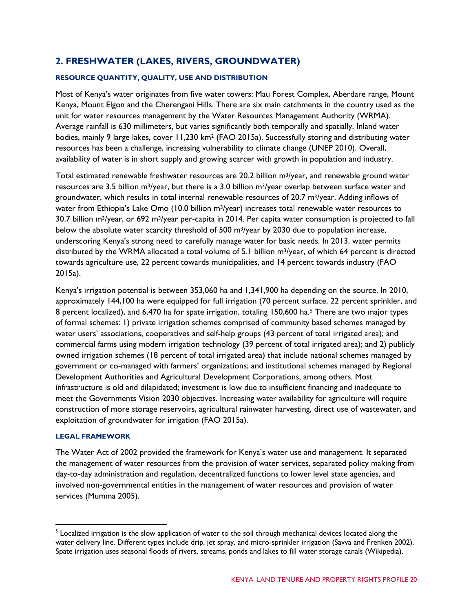# **2. FRESHWATER (LAKES, RIVERS, GROUNDWATER)**

## **RESOURCE QUANTITY, QUALITY, USE AND DISTRIBUTION**

Most of Kenya's water originates from five water towers: Mau Forest Complex, Aberdare range, Mount Kenya, Mount Elgon and the Cherengani Hills. There are six main catchments in the country used as the unit for water resources management by the Water Resources Management Authority (WRMA). Average rainfall is 630 millimeters, but varies significantly both temporally and spatially. Inland water bodies, mainly 9 large lakes, cover 11,230 km2 (FAO 2015a). Successfully storing and distributing water resources has been a challenge, increasing vulnerability to climate change (UNEP 2010). Overall, availability of water is in short supply and growing scarcer with growth in population and industry.

Total estimated renewable freshwater resources are 20.2 billion m3/year, and renewable ground water resources are 3.5 billion m<sup>3</sup>/year, but there is a 3.0 billion m<sup>3</sup>/year overlap between surface water and groundwater, which results in total internal renewable resources of 20.7 m<sup>3</sup>/year. Adding inflows of water from Ethiopia's Lake Omo (10.0 billion m<sup>3</sup>/year) increases total renewable water resources to 30.7 billion m3/year, or 692 m3/year per-capita in 2014. Per capita water consumption is projected to fall below the absolute water scarcity threshold of 500 m<sup>3</sup>/year by 2030 due to population increase, underscoring Kenya's strong need to carefully manage water for basic needs. In 2013, water permits distributed by the WRMA allocated a total volume of 5.1 billion m3/year, of which 64 percent is directed towards agriculture use, 22 percent towards municipalities, and 14 percent towards industry (FAO 2015a).

Kenya's irrigation potential is between 353,060 ha and 1,341,900 ha depending on the source. In 2010, approximately 144,100 ha were equipped for full irrigation (70 percent surface, 22 percent sprinkler, and 8 percent localized), and 6,470 ha for spate irrigation, totaling 150,600 ha.[5](#page-19-0) There are two major types of formal schemes: 1) private irrigation schemes comprised of community based schemes managed by water users' associations, cooperatives and self-help groups (43 percent of total irrigated area); and commercial farms using modern irrigation technology (39 percent of total irrigated area); and 2) publicly owned irrigation schemes (18 percent of total irrigated area) that include national schemes managed by government or co-managed with farmers' organizations; and institutional schemes managed by Regional Development Authorities and Agricultural Development Corporations, among others. Most infrastructure is old and dilapidated; investment is low due to insufficient financing and inadequate to meet the Governments Vision 2030 objectives. Increasing water availability for agriculture will require construction of more storage reservoirs, agricultural rainwater harvesting, direct use of wastewater, and exploitation of groundwater for irrigation (FAO 2015a).

#### **LEGAL FRAMEWORK**

The Water Act of 2002 provided the framework for Kenya's water use and management. It separated the management of water resources from the provision of water services, separated policy making from day-to-day administration and regulation, decentralized functions to lower level state agencies, and involved non-governmental entities in the management of water resources and provision of water services (Mumma 2005).

<span id="page-19-0"></span><sup>&</sup>lt;sup>5</sup> Localized irrigation is the slow application of water to the soil through mechanical devices located along the water delivery line. Different types include drip, jet spray, and micro-sprinkler irrigation (Savva and Frenken 2002). Spate irrigation uses [seasonal floods](https://en.wikipedia.org/wiki/Flooding) of rivers, streams, ponds and lakes to fill water storage canals (Wikipedia).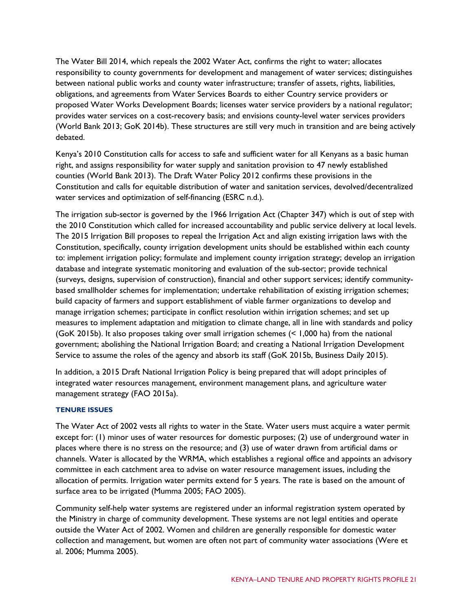The Water Bill 2014, which repeals the 2002 Water Act, confirms the right to water; allocates responsibility to county governments for development and management of water services; distinguishes between national public works and county water infrastructure; transfer of assets, rights, liabilities, obligations, and agreements from Water Services Boards to either Country service providers or proposed Water Works Development Boards; licenses water service providers by a national regulator; provides water services on a cost-recovery basis; and envisions county-level water services providers (World Bank 2013; GoK 2014b). These structures are still very much in transition and are being actively debated.

Kenya's 2010 Constitution calls for access to safe and sufficient water for all Kenyans as a basic human right, and assigns responsibility for water supply and sanitation provision to 47 newly established counties (World Bank 2013). The Draft Water Policy 2012 confirms these provisions in the Constitution and calls for equitable distribution of water and sanitation services, devolved/decentralized water services and optimization of self-financing (ESRC n.d.).

The irrigation sub-sector is governed by the 1966 Irrigation Act (Chapter 347) which is out of step with the 2010 Constitution which called for increased accountability and public service delivery at local levels. The 2015 Irrigation Bill proposes to repeal the Irrigation Act and align existing irrigation laws with the Constitution, specifically, county irrigation development units should be established within each county to: implement irrigation policy; formulate and implement county irrigation strategy; develop an irrigation database and integrate systematic monitoring and evaluation of the sub-sector; provide technical (surveys, designs, supervision of construction), financial and other support services; identify communitybased smallholder schemes for implementation; undertake rehabilitation of existing irrigation schemes; build capacity of farmers and support establishment of viable farmer organizations to develop and manage irrigation schemes; participate in conflict resolution within irrigation schemes; and set up measures to implement adaptation and mitigation to climate change, all in line with standards and policy (GoK 2015b). It also proposes taking over small irrigation schemes (< 1,000 ha) from the national government; abolishing the National Irrigation Board; and creating a National Irrigation Development Service to assume the roles of the agency and absorb its staff (GoK 2015b, Business Daily 2015).

In addition, a 2015 Draft National Irrigation Policy is being prepared that will adopt principles of integrated water resources management, environment management plans, and agriculture water management strategy (FAO 2015a).

#### **TENURE ISSUES**

The Water Act of 2002 vests all rights to water in the State. Water users must acquire a water permit except for: (1) minor uses of water resources for domestic purposes; (2) use of underground water in places where there is no stress on the resource; and (3) use of water drawn from artificial dams or channels. Water is allocated by the WRMA, which establishes a regional office and appoints an advisory committee in each catchment area to advise on water resource management issues, including the allocation of permits. Irrigation water permits extend for 5 years. The rate is based on the amount of surface area to be irrigated (Mumma 2005; FAO 2005).

Community self-help water systems are registered under an informal registration system operated by the Ministry in charge of community development. These systems are not legal entities and operate outside the Water Act of 2002. Women and children are generally responsible for domestic water collection and management, but women are often not part of community water associations (Were et al. 2006; Mumma 2005).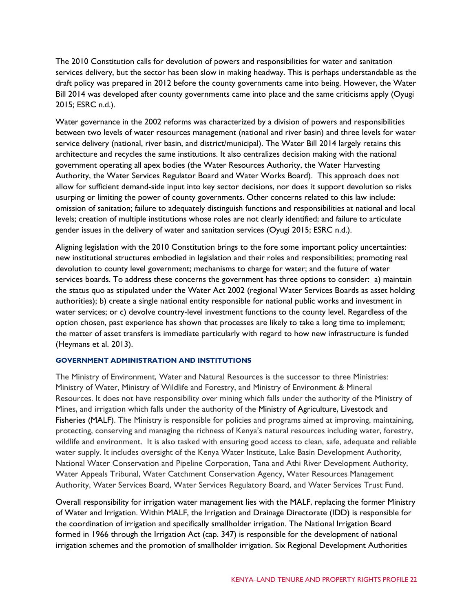The 2010 Constitution calls for devolution of powers and responsibilities for water and sanitation services delivery, but the sector has been slow in making headway. This is perhaps understandable as the draft policy was prepared in 2012 before the county governments came into being. However, the Water Bill 2014 was developed after county governments came into place and the same criticisms apply (Oyugi 2015; ESRC n.d.).

Water governance in the 2002 reforms was characterized by a division of powers and responsibilities between two levels of water resources management (national and river basin) and three levels for water service delivery (national, river basin, and district/municipal). The Water Bill 2014 largely retains this architecture and recycles the same institutions. It also centralizes decision making with the national government operating all apex bodies (the Water Resources Authority, the Water Harvesting Authority, the Water Services Regulator Board and Water Works Board). This approach does not allow for sufficient demand-side input into key sector decisions, nor does it support devolution so risks usurping or limiting the power of county governments. Other concerns related to this law include: omission of sanitation; failure to adequately distinguish functions and responsibilities at national and local levels; creation of multiple institutions whose roles are not clearly identified; and failure to articulate gender issues in the delivery of water and sanitation services (Oyugi 2015; ESRC n.d.).

Aligning legislation with the 2010 Constitution brings to the fore some important policy uncertainties: new institutional structures embodied in legislation and their roles and responsibilities; promoting real devolution to county level government; mechanisms to charge for water; and the future of water services boards. To address these concerns the government has three options to consider: a) maintain the status quo as stipulated under the Water Act 2002 (regional Water Services Boards as asset holding authorities); b) create a single national entity responsible for national public works and investment in water services; or c) devolve country-level investment functions to the county level. Regardless of the option chosen, past experience has shown that processes are likely to take a long time to implement; the matter of asset transfers is immediate particularly with regard to how new infrastructure is funded (Heymans et al. 2013).

#### **GOVERNMENT ADMINISTRATION AND INSTITUTIONS**

The Ministry of Environment, Water and Natural Resources is the successor to three Ministries: Ministry of Water, Ministry of Wildlife and Forestry, and Ministry of Environment & Mineral Resources. It does not have responsibility over mining which falls under the authority of the Ministry of Mines, and irrigation which falls under the authority of the Ministry of Agriculture, Livestock and Fisheries (MALF). The Ministry is responsible for policies and programs aimed at improving, maintaining, protecting, conserving and managing the richness of Kenya's natural resources including water, forestry, wildlife and environment. It is also tasked with ensuring good access to clean, safe, adequate and reliable water supply. It includes oversight of the Kenya Water Institute, Lake Basin Development Authority, National Water Conservation and Pipeline Corporation, Tana and Athi River Development Authority, Water Appeals Tribunal, Water Catchment Conservation Agency, Water Resources Management Authority, Water Services Board, Water Services Regulatory Board, and Water Services Trust Fund.

Overall responsibility for irrigation water management lies with the MALF, replacing the former Ministry of Water and Irrigation. Within MALF, the Irrigation and Drainage Directorate (IDD) is responsible for the coordination of irrigation and specifically smallholder irrigation. The National Irrigation Board formed in 1966 through the Irrigation Act (cap. 347) is responsible for the development of national irrigation schemes and the promotion of smallholder irrigation. Six Regional Development Authorities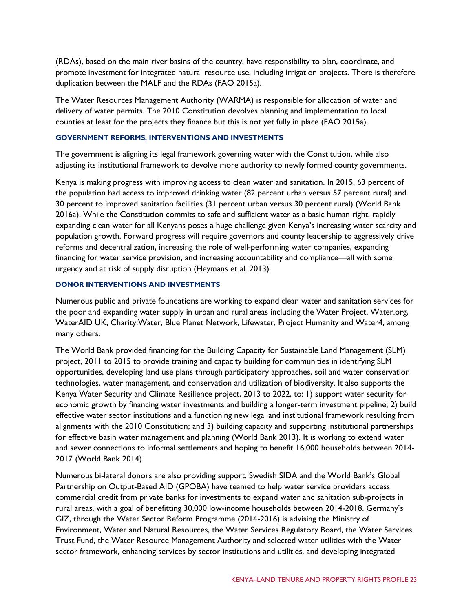(RDAs), based on the main river basins of the country, have responsibility to plan, coordinate, and promote investment for integrated natural resource use, including irrigation projects. There is therefore duplication between the MALF and the RDAs (FAO 2015a).

The Water Resources Management Authority (WARMA) is responsible for allocation of water and delivery of water permits. The 2010 Constitution devolves planning and implementation to local counties at least for the projects they finance but this is not yet fully in place (FAO 2015a).

#### **GOVERNMENT REFORMS, INTERVENTIONS AND INVESTMENTS**

The government is aligning its legal framework governing water with the Constitution, while also adjusting its institutional framework to devolve more authority to newly formed county governments.

Kenya is making progress with improving access to clean water and sanitation. In 2015, 63 percent of the population had access to improved drinking water (82 percent urban versus 57 percent rural) and 30 percent to improved sanitation facilities (31 percent urban versus 30 percent rural) (World Bank 2016a). While the Constitution commits to safe and sufficient water as a basic human right, rapidly expanding clean water for all Kenyans poses a huge challenge given Kenya's increasing water scarcity and population growth. Forward progress will require governors and county leadership to aggressively drive reforms and decentralization, increasing the role of well-performing water companies, expanding financing for water service provision, and increasing accountability and compliance—all with some urgency and at risk of supply disruption (Heymans et al. 2013).

#### **DONOR INTERVENTIONS AND INVESTMENTS**

Numerous public and private foundations are working to expand clean water and sanitation services for the poor and expanding water supply in urban and rural areas including the Water Project, Water.org, WaterAID UK, Charity:Water, Blue Planet Network, Lifewater, Project Humanity and Water4, among many others.

The World Bank provided financing for the Building Capacity for Sustainable Land Management (SLM) project, 2011 to 2015 to provide training and capacity building for communities in identifying SLM opportunities, developing land use plans through participatory approaches, soil and water conservation technologies, water management, and conservation and utilization of biodiversity. It also supports the Kenya Water Security and Climate Resilience project, 2013 to 2022, to: 1) support water security for economic growth by financing water investments and building a longer-term investment pipeline; 2) build effective water sector institutions and a functioning new legal and institutional framework resulting from alignments with the 2010 Constitution; and 3) building capacity and supporting institutional partnerships for effective basin water management and planning (World Bank 2013). It is working to extend water and sewer connections to informal settlements and hoping to benefit 16,000 households between 2014- 2017 (World Bank 2014).

Numerous bi-lateral donors are also providing support. Swedish SIDA and the World Bank's Global Partnership on Output-Based AID (GPOBA) have teamed to help water service providers access commercial credit from private banks for investments to expand water and sanitation sub-projects in rural areas, with a goal of benefitting 30,000 low-income households between 2014-2018. Germany's GIZ, through the Water Sector Reform Programme (2014-2016) is advising the Ministry of Environment, Water and Natural Resources, the Water Services Regulatory Board, the Water Services Trust Fund, the Water Resource Management Authority and selected water utilities with the Water sector framework, enhancing services by sector institutions and utilities, and developing integrated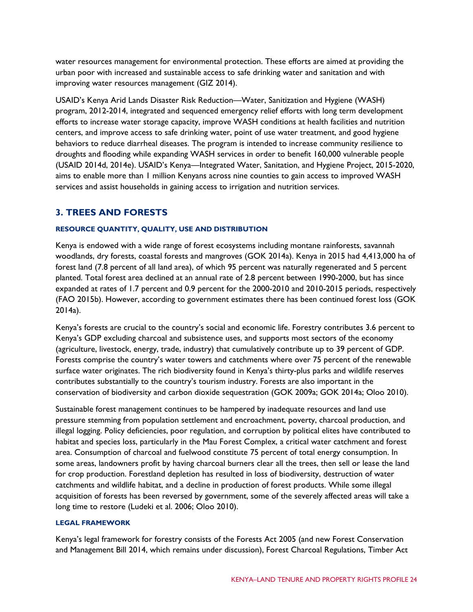water resources management for environmental protection. These efforts are aimed at providing the urban poor with increased and sustainable access to safe drinking water and sanitation and with improving water resources management (GIZ 2014).

USAID's Kenya Arid Lands Disaster Risk Reduction—Water, Sanitization and Hygiene (WASH) program, 2012-2014, integrated and sequenced emergency relief efforts with long term development efforts to increase water storage capacity, improve WASH conditions at health facilities and nutrition centers, and improve access to safe drinking water, point of use water treatment, and good hygiene behaviors to reduce diarrheal diseases. The program is intended to increase community resilience to droughts and flooding while expanding WASH services in order to benefit 160,000 vulnerable people (USAID 2014d, 2014e). USAID's Kenya—Integrated Water, Sanitation, and Hygiene Project, 2015-2020, aims to enable more than 1 million Kenyans across nine counties to gain access to improved WASH services and assist households in gaining access to irrigation and nutrition services.

### **3. TREES AND FORESTS**

#### **RESOURCE QUANTITY, QUALITY, USE AND DISTRIBUTION**

Kenya is endowed with a wide range of forest ecosystems including montane rainforests, savannah woodlands, dry forests, coastal forests and mangroves (GOK 2014a). Kenya in 2015 had 4,413,000 ha of forest land (7.8 percent of all land area), of which 95 percent was naturally regenerated and 5 percent planted. Total forest area declined at an annual rate of 2.8 percent between 1990-2000, but has since expanded at rates of 1.7 percent and 0.9 percent for the 2000-2010 and 2010-2015 periods, respectively (FAO 2015b). However, according to government estimates there has been continued forest loss (GOK 2014a).

Kenya's forests are crucial to the country's social and economic life. Forestry contributes 3.6 percent to Kenya's GDP excluding charcoal and subsistence uses, and supports most sectors of the economy (agriculture, livestock, energy, trade, industry) that cumulatively contribute up to 39 percent of GDP. Forests comprise the country's water towers and catchments where over 75 percent of the renewable surface water originates. The rich biodiversity found in Kenya's thirty-plus parks and wildlife reserves contributes substantially to the country's tourism industry. Forests are also important in the conservation of biodiversity and carbon dioxide sequestration (GOK 2009a; GOK 2014a; Oloo 2010).

Sustainable forest management continues to be hampered by inadequate resources and land use pressure stemming from population settlement and encroachment, poverty, charcoal production, and illegal logging. Policy deficiencies, poor regulation, and corruption by political elites have contributed to habitat and species loss, particularly in the Mau Forest Complex, a critical water catchment and forest area. Consumption of charcoal and fuelwood constitute 75 percent of total energy consumption. In some areas, landowners profit by having charcoal burners clear all the trees, then sell or lease the land for crop production. Forestland depletion has resulted in loss of biodiversity, destruction of water catchments and wildlife habitat, and a decline in production of forest products. While some illegal acquisition of forests has been reversed by government, some of the severely affected areas will take a long time to restore (Ludeki et al. 2006; Oloo 2010).

#### **LEGAL FRAMEWORK**

Kenya's legal framework for forestry consists of the Forests Act 2005 (and new Forest Conservation and Management Bill 2014, which remains under discussion), Forest Charcoal Regulations, Timber Act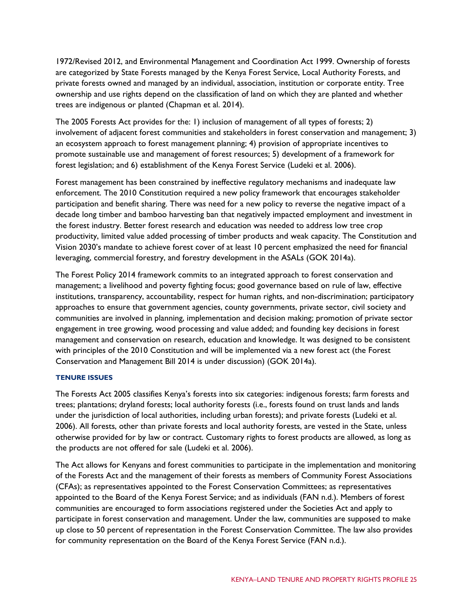1972/Revised 2012, and Environmental Management and Coordination Act 1999. Ownership of forests are categorized by State Forests managed by the Kenya Forest Service, Local Authority Forests, and private forests owned and managed by an individual, association, institution or corporate entity. Tree ownership and use rights depend on the classification of land on which they are planted and whether trees are indigenous or planted (Chapman et al. 2014).

The 2005 Forests Act provides for the: 1) inclusion of management of all types of forests; 2) involvement of adjacent forest communities and stakeholders in forest conservation and management; 3) an ecosystem approach to forest management planning; 4) provision of appropriate incentives to promote sustainable use and management of forest resources; 5) development of a framework for forest legislation; and 6) establishment of the Kenya Forest Service (Ludeki et al. 2006).

Forest management has been constrained by ineffective regulatory mechanisms and inadequate law enforcement. The 2010 Constitution required a new policy framework that encourages stakeholder participation and benefit sharing. There was need for a new policy to reverse the negative impact of a decade long timber and bamboo harvesting ban that negatively impacted employment and investment in the forest industry. Better forest research and education was needed to address low tree crop productivity, limited value added processing of timber products and weak capacity. The Constitution and Vision 2030's mandate to achieve forest cover of at least 10 percent emphasized the need for financial leveraging, commercial forestry, and forestry development in the ASALs (GOK 2014a).

The Forest Policy 2014 framework commits to an integrated approach to forest conservation and management; a livelihood and poverty fighting focus; good governance based on rule of law, effective institutions, transparency, accountability, respect for human rights, and non-discrimination; participatory approaches to ensure that government agencies, county governments, private sector, civil society and communities are involved in planning, implementation and decision making; promotion of private sector engagement in tree growing, wood processing and value added; and founding key decisions in forest management and conservation on research, education and knowledge. It was designed to be consistent with principles of the 2010 Constitution and will be implemented via a new forest act (the Forest Conservation and Management Bill 2014 is under discussion) (GOK 2014a).

## **TENURE ISSUES**

The Forests Act 2005 classifies Kenya's forests into six categories: indigenous forests; farm forests and trees; plantations; dryland forests; local authority forests (i.e., forests found on trust lands and lands under the jurisdiction of local authorities, including urban forests); and private forests (Ludeki et al. 2006). All forests, other than private forests and local authority forests, are vested in the State, unless otherwise provided for by law or contract. Customary rights to forest products are allowed, as long as the products are not offered for sale (Ludeki et al. 2006).

The Act allows for Kenyans and forest communities to participate in the implementation and monitoring of the Forests Act and the management of their forests as members of Community Forest Associations (CFAs); as representatives appointed to the Forest Conservation Committees; as representatives appointed to the Board of the Kenya Forest Service; and as individuals (FAN n.d.). Members of forest communities are encouraged to form associations registered under the Societies Act and apply to participate in forest conservation and management. Under the law, communities are supposed to make up close to 50 percent of representation in the Forest Conservation Committee. The law also provides for community representation on the Board of the Kenya Forest Service (FAN n.d.).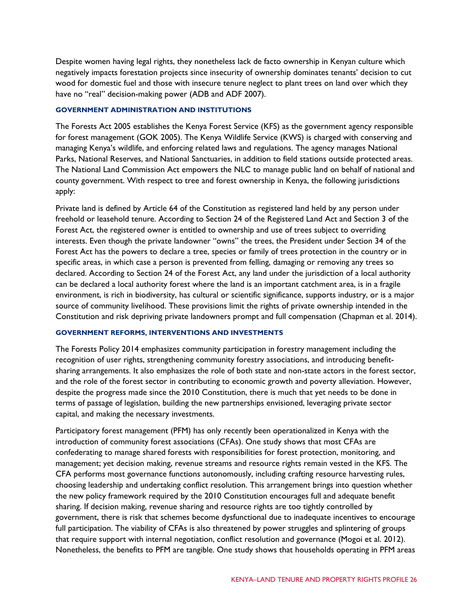Despite women having legal rights, they nonetheless lack de facto ownership in Kenyan culture which negatively impacts forestation projects since insecurity of ownership dominates tenants' decision to cut wood for domestic fuel and those with insecure tenure neglect to plant trees on land over which they have no "real" decision-making power (ADB and ADF 2007).

#### **GOVERNMENT ADMINISTRATION AND INSTITUTIONS**

The Forests Act 2005 establishes the Kenya Forest Service (KFS) as the government agency responsible for forest management (GOK 2005). The Kenya Wildlife Service (KWS) is charged with conserving and managing Kenya's wildlife, and enforcing related laws and regulations. The agency manages National Parks, National Reserves, and National Sanctuaries, in addition to field stations outside protected areas. The National Land Commission Act empowers the NLC to manage public land on behalf of national and county government. With respect to tree and forest ownership in Kenya, the following jurisdictions apply:

Private land is defined by Article 64 of the Constitution as registered land held by any person under freehold or leasehold tenure. According to Section 24 of the Registered Land Act and Section 3 of the Forest Act, the registered owner is entitled to ownership and use of trees subject to overriding interests. Even though the private landowner "owns" the trees, the President under Section 34 of the Forest Act has the powers to declare a tree, species or family of trees protection in the country or in specific areas, in which case a person is prevented from felling, damaging or removing any trees so declared. According to Section 24 of the Forest Act, any land under the jurisdiction of a local authority can be declared a local authority forest where the land is an important catchment area, is in a fragile environment, is rich in biodiversity, has cultural or scientific significance, supports industry, or is a major source of community livelihood. These provisions limit the rights of private ownership intended in the Constitution and risk depriving private landowners prompt and full compensation (Chapman et al. 2014).

#### **GOVERNMENT REFORMS, INTERVENTIONS AND INVESTMENTS**

The Forests Policy 2014 emphasizes community participation in forestry management including the recognition of user rights, strengthening community forestry associations, and introducing benefitsharing arrangements. It also emphasizes the role of both state and non-state actors in the forest sector, and the role of the forest sector in contributing to economic growth and poverty alleviation. However, despite the progress made since the 2010 Constitution, there is much that yet needs to be done in terms of passage of legislation, building the new partnerships envisioned, leveraging private sector capital, and making the necessary investments.

Participatory forest management (PFM) has only recently been operationalized in Kenya with the introduction of community forest associations (CFAs). One study shows that most CFAs are confederating to manage shared forests with responsibilities for forest protection, monitoring, and management; yet decision making, revenue streams and resource rights remain vested in the KFS. The CFA performs most governance functions autonomously, including crafting resource harvesting rules, choosing leadership and undertaking conflict resolution. This arrangement brings into question whether the new policy framework required by the 2010 Constitution encourages full and adequate benefit sharing. If decision making, revenue sharing and resource rights are too tightly controlled by government, there is risk that schemes become dysfunctional due to inadequate incentives to encourage full participation. The viability of CFAs is also threatened by power struggles and splintering of groups that require support with internal negotiation, conflict resolution and governance (Mogoi et al. 2012). Nonetheless, the benefits to PFM are tangible. One study shows that households operating in PFM areas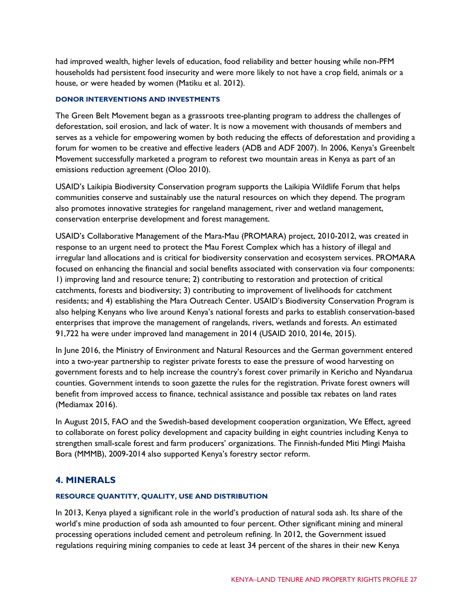had improved wealth, higher levels of education, food reliability and better housing while non-PFM households had persistent food insecurity and were more likely to not have a crop field, animals or a house, or were headed by women (Matiku et al. 2012).

#### **DONOR INTERVENTIONS AND INVESTMENTS**

The Green Belt Movement began as a grassroots tree-planting program to address the challenges of deforestation, soil erosion, and lack of water. It is now a movement with thousands of members and serves as a vehicle for empowering women by both reducing the effects of deforestation and providing a forum for women to be creative and effective leaders (ADB and ADF 2007). In 2006, Kenya's Greenbelt Movement successfully marketed a program to reforest two mountain areas in Kenya as part of an emissions reduction agreement (Oloo 2010).

USAID's Laikipia Biodiversity Conservation program supports the Laikipia Wildlife Forum that helps communities conserve and sustainably use the natural resources on which they depend. The program also promotes innovative strategies for rangeland management, river and wetland management, conservation enterprise development and forest management.

USAID's Collaborative Management of the Mara-Mau (PROMARA) project, 2010-2012, was created in response to an urgent need to protect the Mau Forest Complex which has a history of illegal and irregular land allocations and is critical for biodiversity conservation and ecosystem services. PROMARA focused on enhancing the financial and social benefits associated with conservation via four components: 1) improving land and resource tenure; 2) contributing to restoration and protection of critical catchments, forests and biodiversity; 3) contributing to improvement of livelihoods for catchment residents; and 4) establishing the Mara Outreach Center. USAID's Biodiversity Conservation Program is also helping Kenyans who live around Kenya's national forests and parks to establish conservation-based enterprises that improve the management of rangelands, rivers, wetlands and forests. An estimated 91,722 ha were under improved land management in 2014 (USAID 2010, 2014e, 2015).

In June 2016, the Ministry of Environment and Natural Resources and the German government entered into a two-year partnership to register private forests to ease the pressure of wood harvesting on government forests and to help increase the country's forest cover primarily in Kericho and Nyandarua counties. Government intends to soon gazette the rules for the registration. Private forest owners will benefit from improved access to finance, technical assistance and possible tax rebates on land rates (Mediamax 2016).

In August 2015, FAO and the Swedish-based development cooperation organization, We Effect, agreed to collaborate on forest policy development and capacity building in eight countries including Kenya to strengthen small-scale forest and farm producers' organizations. The Finnish-funded Miti Mingi Maisha Bora (MMMB), 2009-2014 also supported Kenya's forestry sector reform.

## **4. MINERALS**

#### **RESOURCE QUANTITY, QUALITY, USE AND DISTRIBUTION**

In 2013, Kenya played a significant role in the world's production of natural soda ash. Its share of the world's mine production of soda ash amounted to four percent. Other significant mining and mineral processing operations included cement and petroleum refining. In 2012, the Government issued regulations requiring mining companies to cede at least 34 percent of the shares in their new Kenya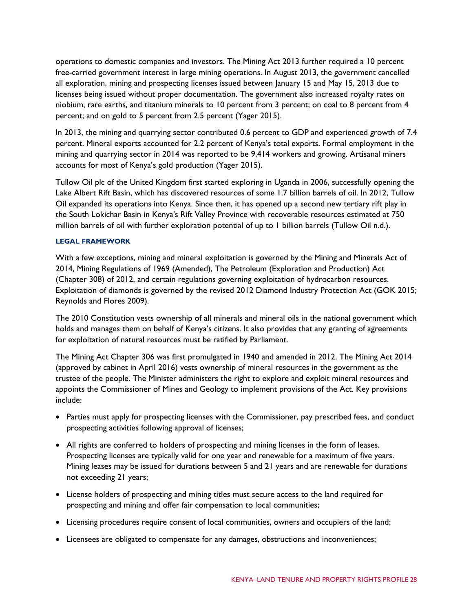operations to domestic companies and investors. The Mining Act 2013 further required a 10 percent free-carried government interest in large mining operations. In August 2013, the government cancelled all exploration, mining and prospecting licenses issued between January 15 and May 15, 2013 due to licenses being issued without proper documentation. The government also increased royalty rates on niobium, rare earths, and titanium minerals to 10 percent from 3 percent; on coal to 8 percent from 4 percent; and on gold to 5 percent from 2.5 percent (Yager 2015).

In 2013, the mining and quarrying sector contributed 0.6 percent to GDP and experienced growth of 7.4 percent. Mineral exports accounted for 2.2 percent of Kenya's total exports. Formal employment in the mining and quarrying sector in 2014 was reported to be 9,414 workers and growing. Artisanal miners accounts for most of Kenya's gold production (Yager 2015).

Tullow Oil plc of the United Kingdom first started exploring in Uganda in 2006, successfully opening the Lake Albert Rift Basin, which has discovered resources of some 1.7 billion barrels of oil. In 2012, Tullow Oil expanded its operations into Kenya. Since then, it has opened up a second new tertiary rift play in the South Lokichar Basin in [Kenya's](https://en.wikipedia.org/wiki/Kenya) [Rift Valley Province](https://en.wikipedia.org/wiki/Rift_Valley_Province) with recoverable resources estimated at 750 million barrels of oil with further exploration potential of up to 1 billion barrels (Tullow Oil n.d.).

#### **LEGAL FRAMEWORK**

With a few exceptions, mining and mineral exploitation is governed by the Mining and Minerals Act of 2014, Mining Regulations of 1969 (Amended), The Petroleum (Exploration and Production) Act (Chapter 308) of 2012, and certain regulations governing exploitation of hydrocarbon resources. Exploitation of diamonds is governed by the revised 2012 Diamond Industry Protection Act (GOK 2015; Reynolds and Flores 2009).

The 2010 Constitution vests ownership of all minerals and mineral oils in the national government which holds and manages them on behalf of Kenya's citizens. It also provides that any granting of agreements for exploitation of natural resources must be ratified by Parliament.

The Mining Act Chapter 306 was first promulgated in 1940 and amended in 2012. The Mining Act 2014 (approved by cabinet in April 2016) vests ownership of mineral resources in the government as the trustee of the people. The Minister administers the right to explore and exploit mineral resources and appoints the Commissioner of Mines and Geology to implement provisions of the Act. Key provisions include:

- Parties must apply for prospecting licenses with the Commissioner, pay prescribed fees, and conduct prospecting activities following approval of licenses;
- All rights are conferred to holders of prospecting and mining licenses in the form of leases. Prospecting licenses are typically valid for one year and renewable for a maximum of five years. Mining leases may be issued for durations between 5 and 21 years and are renewable for durations not exceeding 21 years;
- License holders of prospecting and mining titles must secure access to the land required for prospecting and mining and offer fair compensation to local communities;
- Licensing procedures require consent of local communities, owners and occupiers of the land;
- Licensees are obligated to compensate for any damages, obstructions and inconveniences;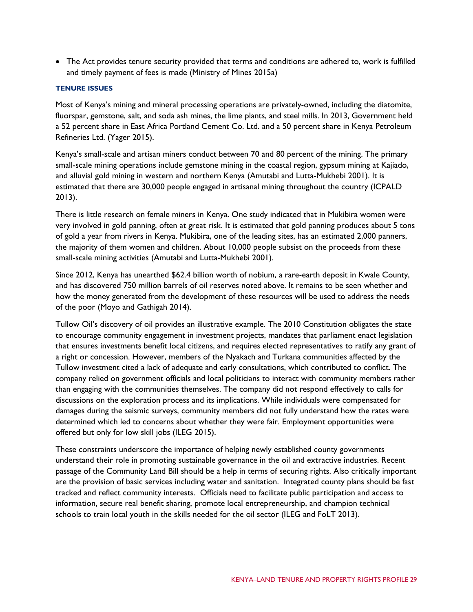• The Act provides tenure security provided that terms and conditions are adhered to, work is fulfilled and timely payment of fees is made (Ministry of Mines 2015a)

### **TENURE ISSUES**

Most of Kenya's mining and mineral processing operations are privately-owned, including the diatomite, fluorspar, gemstone, salt, and soda ash mines, the lime plants, and steel mills. In 2013, Government held a 52 percent share in East Africa Portland Cement Co. Ltd. and a 50 percent share in Kenya Petroleum Refineries Ltd. (Yager 2015).

Kenya's small-scale and artisan miners conduct between 70 and 80 percent of the mining. The primary small-scale mining operations include gemstone mining in the coastal region, gypsum mining at Kajiado, and alluvial gold mining in western and northern Kenya (Amutabi and Lutta-Mukhebi 2001). It is estimated that there are 30,000 people engaged in artisanal mining throughout the country (ICPALD 2013).

There is little research on female miners in Kenya. One study indicated that in Mukibira women were very involved in gold panning, often at great risk. It is estimated that gold panning produces about 5 tons of gold a year from rivers in Kenya. Mukibira, one of the leading sites, has an estimated 2,000 panners, the majority of them women and children. About 10,000 people subsist on the proceeds from these small-scale mining activities (Amutabi and Lutta-Mukhebi 2001).

Since 2012, Kenya has unearthed \$62.4 billion worth of nobium, a rare-earth deposit in Kwale County, and has discovered 750 million barrels of oil reserves noted above. It remains to be seen whether and how the money generated from the development of these resources will be used to address the needs of the poor (Moyo and Gathigah 2014).

Tullow Oil's discovery of oil provides an illustrative example. The 2010 Constitution obligates the state to encourage community engagement in investment projects, mandates that parliament enact legislation that ensures investments benefit local citizens, and requires elected representatives to ratify any grant of a right or concession. However, members of the Nyakach and Turkana communities affected by the Tullow investment cited a lack of adequate and early consultations, which contributed to conflict. The company relied on government officials and local politicians to interact with community members rather than engaging with the communities themselves. The company did not respond effectively to calls for discussions on the exploration process and its implications. While individuals were compensated for damages during the seismic surveys, community members did not fully understand how the rates were determined which led to concerns about whether they were fair. Employment opportunities were offered but only for low skill jobs (ILEG 2015).

These constraints underscore the importance of helping newly established county governments understand their role in promoting sustainable governance in the oil and extractive industries. Recent passage of the Community Land Bill should be a help in terms of securing rights. Also critically important are the provision of basic services including water and sanitation. Integrated county plans should be fast tracked and reflect community interests. Officials need to facilitate public participation and access to information, secure real benefit sharing, promote local entrepreneurship, and champion technical schools to train local youth in the skills needed for the oil sector (ILEG and FoLT 2013).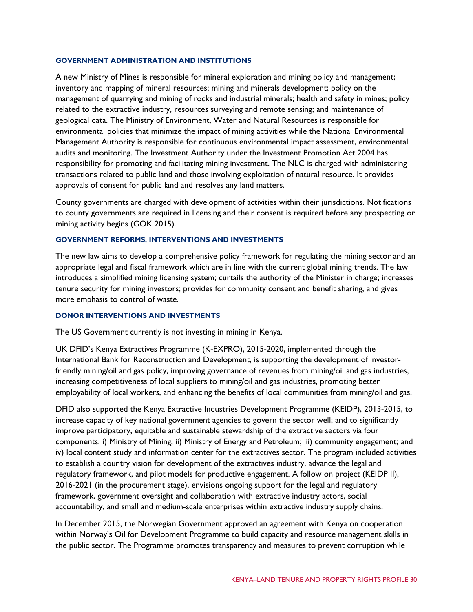#### **GOVERNMENT ADMINISTRATION AND INSTITUTIONS**

A new Ministry of Mines is responsible for mineral exploration and mining policy and management; inventory and mapping of mineral resources; mining and minerals development; policy on the management of quarrying and mining of rocks and industrial minerals; health and safety in mines; policy related to the extractive industry, resources surveying and remote sensing; and maintenance of geological data. The Ministry of Environment, Water and Natural Resources is responsible for environmental policies that minimize the impact of mining activities while the National Environmental Management Authority is responsible for continuous environmental impact assessment, environmental audits and monitoring. The Investment Authority under the Investment Promotion Act 2004 has responsibility for promoting and facilitating mining investment. The NLC is charged with administering transactions related to public land and those involving exploitation of natural resource. It provides approvals of consent for public land and resolves any land matters.

County governments are charged with development of activities within their jurisdictions. Notifications to county governments are required in licensing and their consent is required before any prospecting or mining activity begins (GOK 2015).

#### **GOVERNMENT REFORMS, INTERVENTIONS AND INVESTMENTS**

The new law aims to develop a comprehensive policy framework for regulating the mining sector and an appropriate legal and fiscal framework which are in line with the current global mining trends. The law introduces a simplified mining licensing system; curtails the authority of the Minister in charge; increases tenure security for mining investors; provides for community consent and benefit sharing, and gives more emphasis to control of waste.

#### **DONOR INTERVENTIONS AND INVESTMENTS**

The US Government currently is not investing in mining in Kenya.

UK DFID's Kenya Extractives Programme (K-EXPRO), 2015-2020, implemented through the International Bank for Reconstruction and Development, is supporting the development of investorfriendly mining/oil and gas policy, improving governance of revenues from mining/oil and gas industries, increasing competitiveness of local suppliers to mining/oil and gas industries, promoting better employability of local workers, and enhancing the benefits of local communities from mining/oil and gas.

DFID also supported the Kenya Extractive Industries Development Programme (KEIDP), 2013-2015, to increase capacity of key national government agencies to govern the sector well; and to significantly improve participatory, equitable and sustainable stewardship of the extractive sectors via four components: i) Ministry of Mining; ii) Ministry of Energy and Petroleum; iii) community engagement; and iv) local content study and information center for the extractives sector. The program included activities to establish a country vision for development of the extractives industry, advance the legal and regulatory framework, and pilot models for productive engagement. A follow on project (KEIDP II), 2016-2021 (in the procurement stage), envisions ongoing support for the legal and regulatory framework, government oversight and collaboration with extractive industry actors, social accountability, and small and medium-scale enterprises within extractive industry supply chains.

In December 2015, the Norwegian Government approved an agreement with Kenya on cooperation within Norway's Oil for Development Programme to build capacity and resource management skills in the public sector. The Programme promotes transparency and measures to prevent corruption while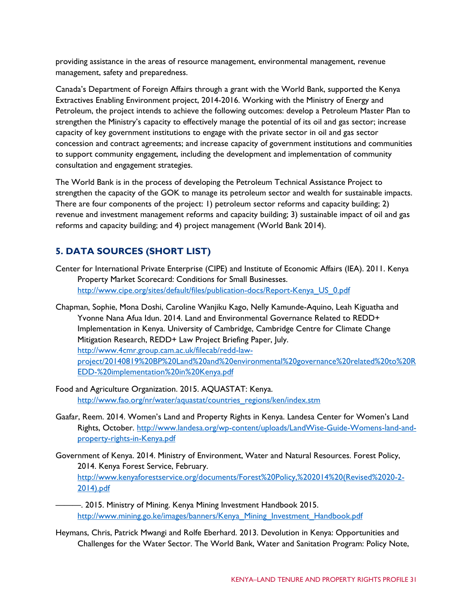providing assistance in the areas of resource management, environmental management, revenue management, safety and preparedness.

Canada's Department of Foreign Affairs through a grant with the World Bank, supported the Kenya Extractives Enabling Environment project, 2014-2016. Working with the Ministry of Energy and Petroleum, the project intends to achieve the following outcomes: develop a Petroleum Master Plan to strengthen the Ministry's capacity to effectively manage the potential of its oil and gas sector; increase capacity of key government institutions to engage with the private sector in oil and gas sector concession and contract agreements; and increase capacity of government institutions and communities to support community engagement, including the development and implementation of community consultation and engagement strategies.

The World Bank is in the process of developing the Petroleum Technical Assistance Project to strengthen the capacity of the GOK to manage its petroleum sector and wealth for sustainable impacts. There are four components of the project: 1) petroleum sector reforms and capacity building; 2) revenue and investment management reforms and capacity building; 3) sustainable impact of oil and gas reforms and capacity building; and 4) project management (World Bank 2014).

# **5. DATA SOURCES (SHORT LIST)**

- Center for International Private Enterprise (CIPE) and Institute of Economic Affairs (IEA). 2011. Kenya Property Market Scorecard: Conditions for Small Businesses. [http://www.cipe.org/sites/default/files/publication-docs/Report-Kenya\\_US\\_0.pdf](http://www.cipe.org/sites/default/files/publication-docs/Report-Kenya_US_0.pdf)
- Chapman, Sophie, Mona Doshi, Caroline Wanjiku Kago, Nelly Kamunde-Aquino, Leah Kiguatha and Yvonne Nana Afua Idun. 2014. Land and Environmental Governance Related to REDD+ Implementation in Kenya. University of Cambridge, Cambridge Centre for Climate Change Mitigation Research, REDD+ Law Project Briefing Paper, July. [http://www.4cmr.group.cam.ac.uk/filecab/redd-law](http://www.4cmr.group.cam.ac.uk/filecab/redd-law-project/20140819%20BP%20Land%20and%20environmental%20governance%20related%20to%20REDD-%20implementation%20in%20Kenya.pdf)[project/20140819%20BP%20Land%20and%20environmental%20governance%20related%20to%20R](http://www.4cmr.group.cam.ac.uk/filecab/redd-law-project/20140819%20BP%20Land%20and%20environmental%20governance%20related%20to%20REDD-%20implementation%20in%20Kenya.pdf) [EDD-%20implementation%20in%20Kenya.pdf](http://www.4cmr.group.cam.ac.uk/filecab/redd-law-project/20140819%20BP%20Land%20and%20environmental%20governance%20related%20to%20REDD-%20implementation%20in%20Kenya.pdf)
- Food and Agriculture Organization. 2015. AQUASTAT: Kenya. [http://www.fao.org/nr/water/aquastat/countries\\_regions/ken/index.stm](http://www.fao.org/nr/water/aquastat/countries_regions/ken/index.stm)
- Gaafar, Reem. 2014. Women's Land and Property Rights in Kenya. Landesa Center for Women's Land Rights, October. [http://www.landesa.org/wp-content/uploads/LandWise-Guide-Womens-land-and](http://www.landesa.org/wp-content/uploads/LandWise-Guide-Womens-land-and-property-rights-in-Kenya.pdf)[property-rights-in-Kenya.pdf](http://www.landesa.org/wp-content/uploads/LandWise-Guide-Womens-land-and-property-rights-in-Kenya.pdf)
- Government of Kenya. 2014. Ministry of Environment, Water and Natural Resources. Forest Policy, 2014. Kenya Forest Service, February. [http://www.kenyaforestservice.org/documents/Forest%20Policy,%202014%20\(Revised%2020-2-](http://www.kenyaforestservice.org/documents/Forest%20Policy,%202014%20(Revised%2020-2-2014).pdf) [2014\).pdf](http://www.kenyaforestservice.org/documents/Forest%20Policy,%202014%20(Revised%2020-2-2014).pdf)
- ———. 2015. Ministry of Mining. Kenya Mining Investment Handbook 2015. [http://www.mining.go.ke/images/banners/Kenya\\_Mining\\_Investment\\_Handbook.pdf](http://www.mining.go.ke/images/banners/Kenya_Mining_Investment_Handbook.pdf)
- Heymans, Chris, Patrick Mwangi and Rolfe Eberhard. 2013. Devolution in Kenya: Opportunities and Challenges for the Water Sector. The World Bank, Water and Sanitation Program: Policy Note,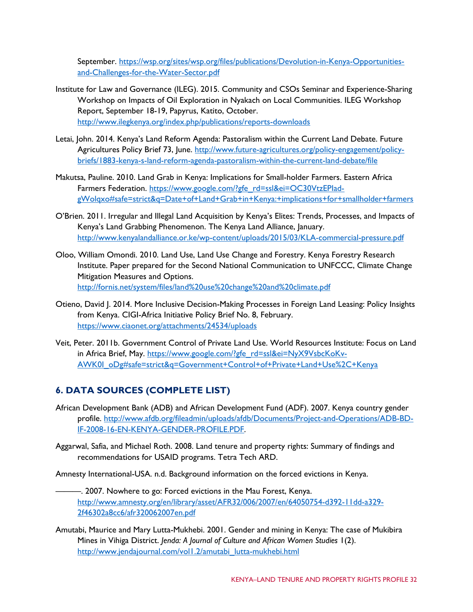September. [https://wsp.org/sites/wsp.org/files/publications/Devolution-in-Kenya-Opportunities](https://wsp.org/sites/wsp.org/files/publications/Devolution-in-Kenya-Opportunities-and-Challenges-for-the-Water-Sector.pdf)[and-Challenges-for-the-Water-Sector.pdf](https://wsp.org/sites/wsp.org/files/publications/Devolution-in-Kenya-Opportunities-and-Challenges-for-the-Water-Sector.pdf)

- Institute for Law and Governance (ILEG). 2015. Community and CSOs Seminar and Experience-Sharing Workshop on Impacts of Oil Exploration in Nyakach on Local Communities. ILEG Workshop Report, September 18-19, Papyrus, Katito, October. <http://www.ilegkenya.org/index.php/publications/reports-downloads>
- Letai, John. 2014. Kenya's Land Reform Agenda: Pastoralism within the Current Land Debate. Future Agricultures Policy Brief 73, June. [http://www.future-agricultures.org/policy-engagement/policy](http://www.future-agricultures.org/policy-engagement/policy-briefs/1883-kenya-s-land-reform-agenda-pastoralism-within-the-current-land-debate/file)[briefs/1883-kenya-s-land-reform-agenda-pastoralism-within-the-current-land-debate/file](http://www.future-agricultures.org/policy-engagement/policy-briefs/1883-kenya-s-land-reform-agenda-pastoralism-within-the-current-land-debate/file)
- Makutsa, Pauline. 2010. Land Grab in Kenya: Implications for Small-holder Farmers. Eastern Africa Farmers Federation. https://www.google.com/?gfe\_rd=ssl&ei=OC30VtzEPlad[gWolqxo#safe=strict&q=Date+of+Land+Grab+in+Kenya:+implications+for+smallholder+farmers](https://www.google.com/?gfe_rd=ssl&ei=OC30VtzEPIad-gWolqxo#safe=strict&q=Date+of+Land+Grab+in+Kenya:+implications+for+smallholder+farmers)
- O'Brien. 2011. Irregular and Illegal Land Acquisition by Kenya's Elites: Trends, Processes, and Impacts of Kenya's Land Grabbing Phenomenon. The Kenya Land Alliance, January. <http://www.kenyalandalliance.or.ke/wp-content/uploads/2015/03/KLA-commercial-pressure.pdf>
- Oloo, William Omondi. 2010. Land Use, Land Use Change and Forestry. Kenya Forestry Research Institute. Paper prepared for the Second National Communication to UNFCCC, Climate Change Mitigation Measures and Options. <http://fornis.net/system/files/land%20use%20change%20and%20climate.pdf>
- Otieno, David J. 2014. More Inclusive Decision-Making Processes in Foreign Land Leasing: Policy Insights from Kenya. CIGI-Africa Initiative Policy Brief No. 8, February. <https://www.ciaonet.org/attachments/24534/uploads>
- Veit, Peter. 2011b. Government Control of Private Land Use. World Resources Institute: Focus on Land in Africa Brief, May. [https://www.google.com/?gfe\\_rd=ssl&ei=NyX9VsbcKoKv-](https://www.google.com/?gfe_rd=ssl&ei=NyX9VsbcKoKv-AWK0I_oDg#safe=strict&q=Government+Control+of+Private+Land+Use%2C+Kenya)[AWK0I\\_oDg#safe=strict&q=Government+Control+of+Private+Land+Use%2C+Kenya](https://www.google.com/?gfe_rd=ssl&ei=NyX9VsbcKoKv-AWK0I_oDg#safe=strict&q=Government+Control+of+Private+Land+Use%2C+Kenya)

# **6. DATA SOURCES (COMPLETE LIST)**

- African Development Bank (ADB) and African Development Fund (ADF). 2007. Kenya country gender profile. [http://www.afdb.org/fileadmin/uploads/afdb/Documents/Project-and-Operations/ADB-BD-](http://www.afdb.org/fileadmin/uploads/afdb/Documents/Project-and-Operations/ADB-BD-IF-2008-16-EN-KENYA-GENDER-PROFILE.PDF)[IF-2008-16-EN-KENYA-GENDER-PROFILE.PDF.](http://www.afdb.org/fileadmin/uploads/afdb/Documents/Project-and-Operations/ADB-BD-IF-2008-16-EN-KENYA-GENDER-PROFILE.PDF)
- Aggarwal, Safia, and Michael Roth. 2008. Land tenure and property rights: Summary of findings and recommendations for USAID programs. Tetra Tech ARD.

Amnesty International-USA. n.d. Background information on the forced evictions in Kenya.

- ———. 2007. Nowhere to go: Forced evictions in the Mau Forest, Kenya. [http://www.amnesty.org/en/library/asset/AFR32/006/2007/en/64050754-d392-11dd-a329-](http://www.amnesty.org/en/library/asset/AFR32/006/2007/en/64050754-d392-11dd-a329-2f46302a8cc6/afr320062007en.pdf) [2f46302a8cc6/afr320062007en.pdf](http://www.amnesty.org/en/library/asset/AFR32/006/2007/en/64050754-d392-11dd-a329-2f46302a8cc6/afr320062007en.pdf)
- Amutabi, Maurice and Mary Lutta-Mukhebi. 2001. Gender and mining in Kenya: The case of Mukibira Mines in Vihiga District. *Jenda: A Journal of Culture and African Women Studies* 1(2). http://www.jendajournal.com/vol1.2/amutabi\_lutta-mukhebi.html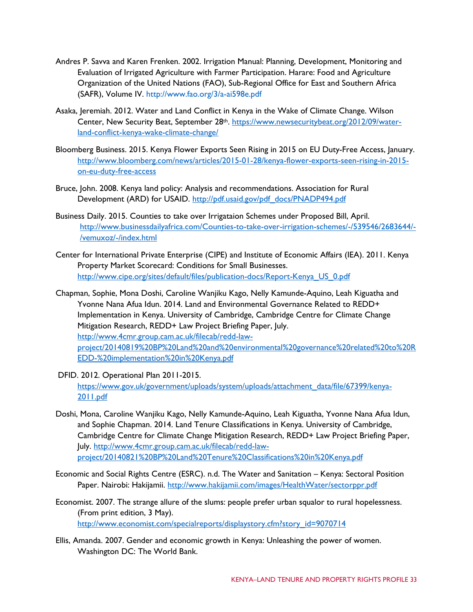- Andres P. Savva and Karen Frenken. 2002. Irrigation Manual: Planning, Development, Monitoring and Evaluation of Irrigated Agriculture with Farmer Participation. Harare: Food and Agriculture Organization of the United Nations (FAO), Sub-Regional Office for East and Southern Africa (SAFR), Volume IV. http://www.fao.org/3/a-ai598e.pdf
- Asaka, Jeremiah. 2012. Water and Land Conflict in Kenya in the Wake of Climate Change. Wilson Center, New Security Beat, September 28th. [https://www.newsecuritybeat.org/2012/09/water](https://www.newsecuritybeat.org/2012/09/water-land-conflict-kenya-wake-climate-change/)[land-conflict-kenya-wake-climate-change/](https://www.newsecuritybeat.org/2012/09/water-land-conflict-kenya-wake-climate-change/)
- Bloomberg Business. 2015. Kenya Flower Exports Seen Rising in 2015 on EU Duty-Free Access, January. [http://www.bloomberg.com/news/articles/2015-01-28/kenya-flower-exports-seen-rising-in-2015](http://www.bloomberg.com/news/articles/2015-01-28/kenya-flower-exports-seen-rising-in-2015-on-eu-duty-free-access) [on-eu-duty-free-access](http://www.bloomberg.com/news/articles/2015-01-28/kenya-flower-exports-seen-rising-in-2015-on-eu-duty-free-access)
- Bruce, John. 2008. Kenya land policy: Analysis and recommendations. Association for Rural Development (ARD) for USAID. [http://pdf.usaid.gov/pdf\\_docs/PNADP494.pdf](http://pdf.usaid.gov/pdf_docs/PNADP494.pdf)
- Business Daily. 2015. Counties to take over Irrigataion Schemes under Proposed Bill, April. [http://www.businessdailyafrica.com/Counties-to-take-over-irrigation-schemes/-/539546/2683644/-](http://www.businessdailyafrica.com/Counties-to-take-over-irrigation-schemes/-/539546/2683644/-/vemuxoz/-/index.html) [/vemuxoz/-/index.html](http://www.businessdailyafrica.com/Counties-to-take-over-irrigation-schemes/-/539546/2683644/-/vemuxoz/-/index.html)
- Center for International Private Enterprise (CIPE) and Institute of Economic Affairs (IEA). 2011. Kenya Property Market Scorecard: Conditions for Small Businesses. [http://www.cipe.org/sites/default/files/publication-docs/Report-Kenya\\_US\\_0.pdf](http://www.cipe.org/sites/default/files/publication-docs/Report-Kenya_US_0.pdf)
- Chapman, Sophie, Mona Doshi, Caroline Wanjiku Kago, Nelly Kamunde-Aquino, Leah Kiguatha and Yvonne Nana Afua Idun. 2014. Land and Environmental Governance Related to REDD+ Implementation in Kenya. University of Cambridge, Cambridge Centre for Climate Change Mitigation Research, REDD+ Law Project Briefing Paper, July. [http://www.4cmr.group.cam.ac.uk/filecab/redd-law](http://www.4cmr.group.cam.ac.uk/filecab/redd-law-project/20140819%20BP%20Land%20and%20environmental%20governance%20related%20to%20REDD-%20implementation%20in%20Kenya.pdf)[project/20140819%20BP%20Land%20and%20environmental%20governance%20related%20to%20R](http://www.4cmr.group.cam.ac.uk/filecab/redd-law-project/20140819%20BP%20Land%20and%20environmental%20governance%20related%20to%20REDD-%20implementation%20in%20Kenya.pdf) [EDD-%20implementation%20in%20Kenya.pdf](http://www.4cmr.group.cam.ac.uk/filecab/redd-law-project/20140819%20BP%20Land%20and%20environmental%20governance%20related%20to%20REDD-%20implementation%20in%20Kenya.pdf)
- DFID. 2012. Operational Plan 2011-2015.

[https://www.gov.uk/government/uploads/system/uploads/attachment\\_data/file/67399/kenya-](https://www.gov.uk/government/uploads/system/uploads/attachment_data/file/67399/kenya-2011.pdf)[2011.pdf](https://www.gov.uk/government/uploads/system/uploads/attachment_data/file/67399/kenya-2011.pdf)

- Doshi, Mona, Caroline Wanjiku Kago, Nelly Kamunde-Aquino, Leah Kiguatha, Yvonne Nana Afua Idun, and Sophie Chapman. 2014. Land Tenure Classifications in Kenya. University of Cambridge, Cambridge Centre for Climate Change Mitigation Research, REDD+ Law Project Briefing Paper, July. [http://www.4cmr.group.cam.ac.uk/filecab/redd-law](http://www.4cmr.group.cam.ac.uk/filecab/redd-law-project/20140821%20BP%20Land%20Tenure%20Classifications%20in%20Kenya.pdf)[project/20140821%20BP%20Land%20Tenure%20Classifications%20in%20Kenya.pdf](http://www.4cmr.group.cam.ac.uk/filecab/redd-law-project/20140821%20BP%20Land%20Tenure%20Classifications%20in%20Kenya.pdf)
- Economic and Social Rights Centre (ESRC). n.d. The Water and Sanitation Kenya: Sectoral Position Paper. Nairobi: Hakijamii.<http://www.hakijamii.com/images/HealthWater/sectorppr.pdf>
- Economist. 2007. The strange allure of the slums: people prefer urban squalor to rural hopelessness. (From print edition, 3 May). [http://www.economist.com/specialreports/displaystory.cfm?story\\_id=9070714](http://www.economist.com/specialreports/displaystory.cfm?story_id=9070714)
- Ellis, Amanda. 2007. Gender and economic growth in Kenya: Unleashing the power of women. Washington DC: The World Bank.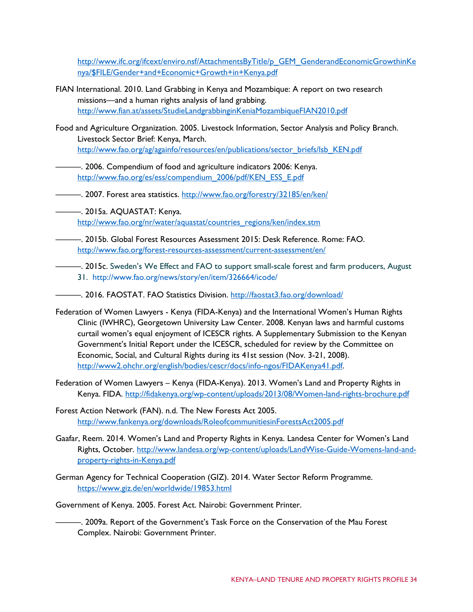[http://www.ifc.org/ifcext/enviro.nsf/AttachmentsByTitle/p\\_GEM\\_GenderandEconomicGrowthinKe](http://www.ifc.org/ifcext/enviro.nsf/AttachmentsByTitle/p_GEM_GenderandEconomicGrowthinKenya/$FILE/Gender+and+Economic+Growth+in+Kenya.pdf) [nya/\\$FILE/Gender+and+Economic+Growth+in+Kenya.pdf](http://www.ifc.org/ifcext/enviro.nsf/AttachmentsByTitle/p_GEM_GenderandEconomicGrowthinKenya/$FILE/Gender+and+Economic+Growth+in+Kenya.pdf)

- FIAN International. 2010. Land Grabbing in Kenya and Mozambique: A report on two research missions—and a human rights analysis of land grabbing. <http://www.fian.at/assets/StudieLandgrabbinginKeniaMozambiqueFIAN2010.pdf>
- Food and Agriculture Organization. 2005. Livestock Information, Sector Analysis and Policy Branch. Livestock Sector Brief: Kenya, March. [http://www.fao.org/ag/againfo/resources/en/publications/sector\\_briefs/lsb\\_KEN.pdf](http://www.fao.org/ag/againfo/resources/en/publications/sector_briefs/lsb_KEN.pdf)
- ———. 2006. Compendium of food and agriculture indicators 2006: Kenya. [http://www.fao.org/es/ess/compendium\\_2006/pdf/KEN\\_ESS\\_E.pdf](http://www.fao.org/es/ess/compendium_2006/pdf/KEN_ESS_E.pdf)
- ——. 2007. Forest area statistics. http://www.fao.org/forestry/32185/en/ken/
- ———. 2015a. AQUASTAT: Kenya. [http://www.fao.org/nr/water/aquastat/countries\\_regions/ken/index.stm](http://www.fao.org/nr/water/aquastat/countries_regions/ken/index.stm)
- ———. 2015b. Global Forest Resources Assessment 2015: Desk Reference. Rome: FAO. <http://www.fao.org/forest-resources-assessment/current-assessment/en/>
- ———. 2015c. Sweden's We Effect and FAO to support small-scale forest and farm producers, August 31. http://www.fao.org/news/story/en/item/326664/icode/
- ———. 2016. FAOSTAT. FAO Statistics Division.<http://faostat3.fao.org/download/>
- Federation of Women Lawyers Kenya (FIDA-Kenya) and the International Women's Human Rights Clinic (IWHRC), Georgetown University Law Center. 2008. Kenyan laws and harmful customs curtail women's equal enjoyment of ICESCR rights. A Supplementary Submission to the Kenyan Government's Initial Report under the ICESCR, scheduled for review by the Committee on Economic, Social, and Cultural Rights during its 41st session (Nov. 3-21, 2008). [http://www2.ohchr.org/english/bodies/cescr/docs/info-ngos/FIDAKenya41.pdf.](http://www2.ohchr.org/english/bodies/cescr/docs/info-ngos/FIDAKenya41.pdf)
- Federation of Women Lawyers Kenya (FIDA-Kenya). 2013. Women's Land and Property Rights in Kenya. FIDA.<http://fidakenya.org/wp-content/uploads/2013/08/Women-land-rights-brochure.pdf>
- Forest Action Network (FAN). n.d. The New Forests Act 2005. <http://www.fankenya.org/downloads/RoleofcommunitiesinForestsAct2005.pdf>
- Gaafar, Reem. 2014. Women's Land and Property Rights in Kenya. Landesa Center for Women's Land Rights, October. [http://www.landesa.org/wp-content/uploads/LandWise-Guide-Womens-land-and](http://www.landesa.org/wp-content/uploads/LandWise-Guide-Womens-land-and-property-rights-in-Kenya.pdf)[property-rights-in-Kenya.pdf](http://www.landesa.org/wp-content/uploads/LandWise-Guide-Womens-land-and-property-rights-in-Kenya.pdf)
- German Agency for Technical Cooperation (GIZ). 2014. Water Sector Reform Programme. <https://www.giz.de/en/worldwide/19853.html>
- Government of Kenya. 2005. Forest Act. Nairobi: Government Printer.
	- -. 2009a. Report of the Government's Task Force on the Conservation of the Mau Forest Complex. Nairobi: Government Printer.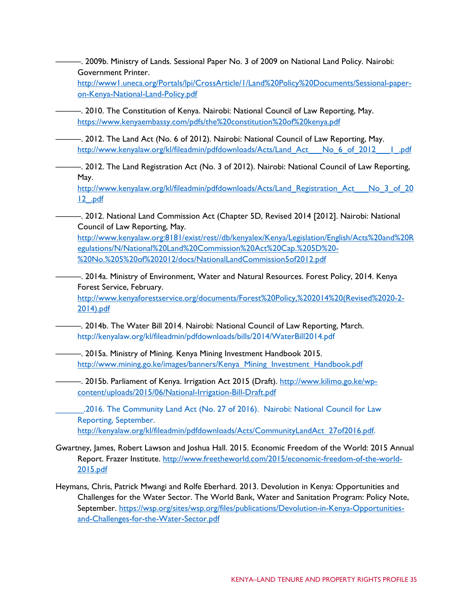———. 2009b. Ministry of Lands. Sessional Paper No. 3 of 2009 on National Land Policy. Nairobi: Government Printer.

[http://www1.uneca.org/Portals/lpi/CrossArticle/1/Land%20Policy%20Documents/Sessional-paper](http://www1.uneca.org/Portals/lpi/CrossArticle/1/Land%20Policy%20Documents/Sessional-paper-on-Kenya-National-Land-Policy.pdf)[on-Kenya-National-Land-Policy.pdf](http://www1.uneca.org/Portals/lpi/CrossArticle/1/Land%20Policy%20Documents/Sessional-paper-on-Kenya-National-Land-Policy.pdf)

- ———. 2010. The Constitution of Kenya. Nairobi: National Council of Law Reporting, May. <https://www.kenyaembassy.com/pdfs/the%20constitution%20of%20kenya.pdf>
- ———. 2012. The Land Act (No. 6 of 2012). Nairobi: National Council of Law Reporting, May. http://www.kenyalaw.org/kl/fileadmin/pdfdownloads/Acts/Land Act\_\_No\_6\_of\_2012\_\_\_1\_.pdf

———. 2012. The Land Registration Act (No. 3 of 2012). Nairobi: National Council of Law Reporting, May.

[http://www.kenyalaw.org/kl/fileadmin/pdfdownloads/Acts/Land\\_Registration\\_Act\\_\\_\\_No\\_3\\_of\\_20](http://www.kenyalaw.org/kl/fileadmin/pdfdownloads/Acts/Land_Registration_Act___No_3_of_2012_.pdf) [12\\_.pdf](http://www.kenyalaw.org/kl/fileadmin/pdfdownloads/Acts/Land_Registration_Act___No_3_of_2012_.pdf)

———. 2012. National Land Commission Act (Chapter 5D, Revised 2014 [2012]. Nairobi: National Council of Law Reporting, May.

[http://www.kenyalaw.org:8181/exist/rest//db/kenyalex/Kenya/Legislation/English/Acts%20and%20R](http://www.kenyalaw.org:8181/exist/rest/db/kenyalex/Kenya/Legislation/English/Acts%20and%20Regulations/N/National%20Land%20Commission%20Act%20Cap.%205D%20-%20No.%205%20of%202012/docs/NationalLandCommission5of2012.pdf) [egulations/N/National%20Land%20Commission%20Act%20Cap.%205D%20-](http://www.kenyalaw.org:8181/exist/rest/db/kenyalex/Kenya/Legislation/English/Acts%20and%20Regulations/N/National%20Land%20Commission%20Act%20Cap.%205D%20-%20No.%205%20of%202012/docs/NationalLandCommission5of2012.pdf) [%20No.%205%20of%202012/docs/NationalLandCommission5of2012.pdf](http://www.kenyalaw.org:8181/exist/rest/db/kenyalex/Kenya/Legislation/English/Acts%20and%20Regulations/N/National%20Land%20Commission%20Act%20Cap.%205D%20-%20No.%205%20of%202012/docs/NationalLandCommission5of2012.pdf)

———. 2014a. Ministry of Environment, Water and Natural Resources. Forest Policy, 2014. Kenya Forest Service, February. [http://www.kenyaforestservice.org/documents/Forest%20Policy,%202014%20\(Revised%2020-2-](http://www.kenyaforestservice.org/documents/Forest%20Policy,%202014%20(Revised%2020-2-2014).pdf)

[2014\).pdf](http://www.kenyaforestservice.org/documents/Forest%20Policy,%202014%20(Revised%2020-2-2014).pdf)

- ———. 2014b. The Water Bill 2014. Nairobi: National Council of Law Reporting, March. http://kenyalaw.org/kl/fileadmin/pdfdownloads/bills/2014/WaterBill2014.pdf
- ———. 2015a. Ministry of Mining. Kenya Mining Investment Handbook 2015. [http://www.mining.go.ke/images/banners/Kenya\\_Mining\\_Investment\\_Handbook.pdf](http://www.mining.go.ke/images/banners/Kenya_Mining_Investment_Handbook.pdf)
	- —. 2015b. Parliament of Kenya. Irrigation Act 2015 (Draft). [http://www.kilimo.go.ke/wp](http://www.kilimo.go.ke/wp-content/uploads/2015/06/National-Irrigation-Bill-Draft.pdf)[content/uploads/2015/06/National-Irrigation-Bill-Draft.pdf](http://www.kilimo.go.ke/wp-content/uploads/2015/06/National-Irrigation-Bill-Draft.pdf)

\_\_\_\_\_\_.2016. The Community Land Act (No. 27 of 2016). Nairobi: National Council for Law Reporting, September. [http://kenyalaw.org/kl/fileadmin/pdfdownloads/Acts/CommunityLandAct\\_27of2016.pdf.](http://kenyalaw.org/kl/fileadmin/pdfdownloads/Acts/CommunityLandAct_27of2016.pdf)

- Gwartney, James, Robert Lawson and Joshua Hall. 2015. Economic Freedom of the World: 2015 Annual Report. Frazer Institute. [http://www.freetheworld.com/2015/economic-freedom-of-the-world-](http://www.freetheworld.com/2015/economic-freedom-of-the-world-2015.pdf)[2015.pdf](http://www.freetheworld.com/2015/economic-freedom-of-the-world-2015.pdf)
- Heymans, Chris, Patrick Mwangi and Rolfe Eberhard. 2013. Devolution in Kenya: Opportunities and Challenges for the Water Sector. The World Bank, Water and Sanitation Program: Policy Note, September. [https://wsp.org/sites/wsp.org/files/publications/Devolution-in-Kenya-Opportunities](https://wsp.org/sites/wsp.org/files/publications/Devolution-in-Kenya-Opportunities-and-Challenges-for-the-Water-Sector.pdf)[and-Challenges-for-the-Water-Sector.pdf](https://wsp.org/sites/wsp.org/files/publications/Devolution-in-Kenya-Opportunities-and-Challenges-for-the-Water-Sector.pdf)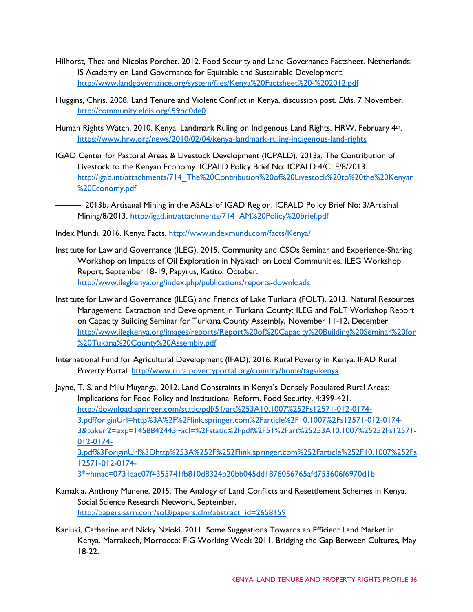- Hilhorst, Thea and Nicolas Porchet. 2012. Food Security and Land Governance Factsheet. Netherlands: IS Academy on Land Governance for Equitable and Sustainable Development. <http://www.landgovernance.org/system/files/Kenya%20Factsheet%20-%202012.pdf>
- Huggins, Chris. 2008. Land Tenure and Violent Conflict in Kenya, discussion post. *Eldis,* 7 November. <http://community.eldis.org/.59bd0de0>
- Human Rights Watch. 2010. Kenya: Landmark Ruling on Indigenous Land Rights. HRW, February 4th. <https://www.hrw.org/news/2010/02/04/kenya-landmark-ruling-indigenous-land-rights>
- IGAD Center for Pastoral Areas & Livestock Development (ICPALD). 2013a. The Contribution of Livestock to the Kenyan Economy. ICPALD Policy Brief No: ICPALD 4/CLE/8/2013. [http://igad.int/attachments/714\\_The%20Contribution%20of%20Livestock%20to%20the%20Kenyan](http://igad.int/attachments/714_The%20Contribution%20of%20Livestock%20to%20the%20Kenyan%20Economy.pdf) [%20Economy.pdf](http://igad.int/attachments/714_The%20Contribution%20of%20Livestock%20to%20the%20Kenyan%20Economy.pdf)
- ———. 2013b. Artisanal Mining in the ASALs of IGAD Region. ICPALD Policy Brief No: 3/Artisinal Mining/8/2013. [http://igad.int/attachments/714\\_AM%20Policy%20brief.pdf](http://igad.int/attachments/714_AM%20Policy%20brief.pdf)
- Index Mundi. 2016. Kenya Facts.<http://www.indexmundi.com/facts/Kenya/>
- Institute for Law and Governance (ILEG). 2015. Community and CSOs Seminar and Experience-Sharing Workshop on Impacts of Oil Exploration in Nyakach on Local Communities. ILEG Workshop Report, September 18-19, Papyrus, Katito, October. <http://www.ilegkenya.org/index.php/publications/reports-downloads>
- Institute for Law and Governance (ILEG) and Friends of Lake Turkana (FOLT). 2013. Natural Resources Management, Extraction and Development in Turkana County: ILEG and FoLT Workshop Report on Capacity Building Seminar for Turkana County Assembly, November 11-12, December. [http://www.ilegkenya.org/images/reports/Report%20of%20Capacity%20Building%20Seminar%20for](http://www.ilegkenya.org/images/reports/Report%20of%20Capacity%20Building%20Seminar%20for%20Tukana%20County%20Assembly.pdf) [%20Tukana%20County%20Assembly.pdf](http://www.ilegkenya.org/images/reports/Report%20of%20Capacity%20Building%20Seminar%20for%20Tukana%20County%20Assembly.pdf)
- International Fund for Agricultural Development (IFAD). 2016. Rural Poverty in Kenya. IFAD Rural Poverty Portal.<http://www.ruralpovertyportal.org/country/home/tags/kenya>

Jayne, T. S. and Milu Muyanga. 2012. Land Constraints in Kenya's Densely Populated Rural Areas: Implications for Food Policy and Institutional Reform. Food Security, 4:399-421. [http://download.springer.com/static/pdf/51/art%253A10.1007%252Fs12571-012-0174-](http://download.springer.com/static/pdf/51/art%253A10.1007%252Fs12571-012-0174-3.pdf?originUrl=http%3A%2F%2Flink.springer.com%2Farticle%2F10.1007%2Fs12571-012-0174-3&token2=exp=1458842443%7Eacl=%2Fstatic%2Fpdf%2F51%2Fart%25253A10.1007%25252Fs12571-012-0174-3.pdf%3ForiginUrl%3Dhttp%253A%252F%252Flink.springer.com%252Farticle%252F10.1007%252Fs12571-012-0174-3*%7Ehmac=0731aac07f4355741fb810d8324b20bb045dd1876056765afd753606f6970d1b) [3.pdf?originUrl=http%3A%2F%2Flink.springer.com%2Farticle%2F10.1007%2Fs12571-012-0174-](http://download.springer.com/static/pdf/51/art%253A10.1007%252Fs12571-012-0174-3.pdf?originUrl=http%3A%2F%2Flink.springer.com%2Farticle%2F10.1007%2Fs12571-012-0174-3&token2=exp=1458842443%7Eacl=%2Fstatic%2Fpdf%2F51%2Fart%25253A10.1007%25252Fs12571-012-0174-3.pdf%3ForiginUrl%3Dhttp%253A%252F%252Flink.springer.com%252Farticle%252F10.1007%252Fs12571-012-0174-3*%7Ehmac=0731aac07f4355741fb810d8324b20bb045dd1876056765afd753606f6970d1b) [3&token2=exp=1458842443~acl=%2Fstatic%2Fpdf%2F51%2Fart%25253A10.1007%25252Fs12571-](http://download.springer.com/static/pdf/51/art%253A10.1007%252Fs12571-012-0174-3.pdf?originUrl=http%3A%2F%2Flink.springer.com%2Farticle%2F10.1007%2Fs12571-012-0174-3&token2=exp=1458842443%7Eacl=%2Fstatic%2Fpdf%2F51%2Fart%25253A10.1007%25252Fs12571-012-0174-3.pdf%3ForiginUrl%3Dhttp%253A%252F%252Flink.springer.com%252Farticle%252F10.1007%252Fs12571-012-0174-3*%7Ehmac=0731aac07f4355741fb810d8324b20bb045dd1876056765afd753606f6970d1b) [012-0174-](http://download.springer.com/static/pdf/51/art%253A10.1007%252Fs12571-012-0174-3.pdf?originUrl=http%3A%2F%2Flink.springer.com%2Farticle%2F10.1007%2Fs12571-012-0174-3&token2=exp=1458842443%7Eacl=%2Fstatic%2Fpdf%2F51%2Fart%25253A10.1007%25252Fs12571-012-0174-3.pdf%3ForiginUrl%3Dhttp%253A%252F%252Flink.springer.com%252Farticle%252F10.1007%252Fs12571-012-0174-3*%7Ehmac=0731aac07f4355741fb810d8324b20bb045dd1876056765afd753606f6970d1b) [3.pdf%3ForiginUrl%3Dhttp%253A%252F%252Flink.springer.com%252Farticle%252F10.1007%252Fs](http://download.springer.com/static/pdf/51/art%253A10.1007%252Fs12571-012-0174-3.pdf?originUrl=http%3A%2F%2Flink.springer.com%2Farticle%2F10.1007%2Fs12571-012-0174-3&token2=exp=1458842443%7Eacl=%2Fstatic%2Fpdf%2F51%2Fart%25253A10.1007%25252Fs12571-012-0174-3.pdf%3ForiginUrl%3Dhttp%253A%252F%252Flink.springer.com%252Farticle%252F10.1007%252Fs12571-012-0174-3*%7Ehmac=0731aac07f4355741fb810d8324b20bb045dd1876056765afd753606f6970d1b) [12571-012-0174-](http://download.springer.com/static/pdf/51/art%253A10.1007%252Fs12571-012-0174-3.pdf?originUrl=http%3A%2F%2Flink.springer.com%2Farticle%2F10.1007%2Fs12571-012-0174-3&token2=exp=1458842443%7Eacl=%2Fstatic%2Fpdf%2F51%2Fart%25253A10.1007%25252Fs12571-012-0174-3.pdf%3ForiginUrl%3Dhttp%253A%252F%252Flink.springer.com%252Farticle%252F10.1007%252Fs12571-012-0174-3*%7Ehmac=0731aac07f4355741fb810d8324b20bb045dd1876056765afd753606f6970d1b) [3\\*~hmac=0731aac07f4355741fb810d8324b20bb045dd1876056765afd753606f6970d1b](http://download.springer.com/static/pdf/51/art%253A10.1007%252Fs12571-012-0174-3.pdf?originUrl=http%3A%2F%2Flink.springer.com%2Farticle%2F10.1007%2Fs12571-012-0174-3&token2=exp=1458842443%7Eacl=%2Fstatic%2Fpdf%2F51%2Fart%25253A10.1007%25252Fs12571-012-0174-3.pdf%3ForiginUrl%3Dhttp%253A%252F%252Flink.springer.com%252Farticle%252F10.1007%252Fs12571-012-0174-3*%7Ehmac=0731aac07f4355741fb810d8324b20bb045dd1876056765afd753606f6970d1b)

- Kamakia, Anthony Munene. 2015. The Analogy of Land Conflicts and Resettlement Schemes in Kenya. Social Science Research Network, September. [http://papers.ssrn.com/sol3/papers.cfm?abstract\\_id=2658159](http://papers.ssrn.com/sol3/papers.cfm?abstract_id=2658159)
- Kariuki, Catherine and Nicky Nzioki. 2011. Some Suggestions Towards an Efficient Land Market in Kenya. Marrakech, Morrocco: FIG Working Week 2011, Bridging the Gap Between Cultures, May 18-22.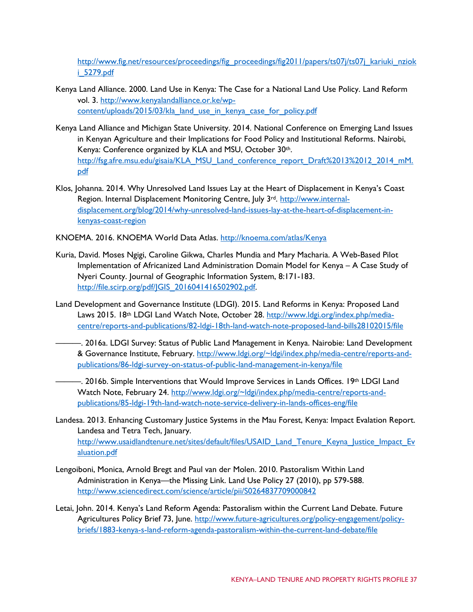[http://www.fig.net/resources/proceedings/fig\\_proceedings/fig2011/papers/ts07j/ts07j\\_kariuki\\_nziok](http://www.fig.net/resources/proceedings/fig_proceedings/fig2011/papers/ts07j/ts07j_kariuki_nzioki_5279.pdf) [i\\_5279.pdf](http://www.fig.net/resources/proceedings/fig_proceedings/fig2011/papers/ts07j/ts07j_kariuki_nzioki_5279.pdf)

- Kenya Land Alliance. 2000. Land Use in Kenya: The Case for a National Land Use Policy. Land Reform vol. 3. [http://www.kenyalandalliance.or.ke/wp](http://www.kenyalandalliance.or.ke/wp-content/uploads/2015/03/kla_land_use_in_kenya_case_for_policy.pdf)[content/uploads/2015/03/kla\\_land\\_use\\_in\\_kenya\\_case\\_for\\_policy.pdf](http://www.kenyalandalliance.or.ke/wp-content/uploads/2015/03/kla_land_use_in_kenya_case_for_policy.pdf)
- Kenya Land Alliance and Michigan State University. 2014. National Conference on Emerging Land Issues in Kenyan Agriculture and their Implications for Food Policy and Institutional Reforms. Nairobi, Kenya: Conference organized by KLA and MSU, October 30th. [http://fsg.afre.msu.edu/gisaia/KLA\\_MSU\\_Land\\_conference\\_report\\_Draft%2013%2012\\_2014\\_mM.](http://fsg.afre.msu.edu/gisaia/KLA_MSU_Land_conference_report_Draft%2013%2012_2014_mM.pdf) [pdf](http://fsg.afre.msu.edu/gisaia/KLA_MSU_Land_conference_report_Draft%2013%2012_2014_mM.pdf)
- Klos, Johanna. 2014. Why Unresolved Land Issues Lay at the Heart of Displacement in Kenya's Coast Region. Internal Displacement Monitoring Centre, July 3<sup>rd</sup>. [http://www.internal](http://www.internal-displacement.org/blog/2014/why-unresolved-land-issues-lay-at-the-heart-of-displacement-in-kenyas-coast-region)[displacement.org/blog/2014/why-unresolved-land-issues-lay-at-the-heart-of-displacement-in](http://www.internal-displacement.org/blog/2014/why-unresolved-land-issues-lay-at-the-heart-of-displacement-in-kenyas-coast-region)[kenyas-coast-region](http://www.internal-displacement.org/blog/2014/why-unresolved-land-issues-lay-at-the-heart-of-displacement-in-kenyas-coast-region)

KNOEMA. 2016. KNOEMA World Data Atlas.<http://knoema.com/atlas/Kenya>

- Kuria, David. Moses Ngigi, Caroline Gikwa, Charles Mundia and Mary Macharia. A Web-Based Pilot Implementation of Africanized Land Administration Domain Model for Kenya – A Case Study of Nyeri County. Journal of Geographic Information System, 8:171-183. [http://file.scirp.org/pdf/JGIS\\_2016041416502902.pdf.](http://file.scirp.org/pdf/JGIS_2016041416502902.pdf)
- Land Development and Governance Institute (LDGI). 2015. Land Reforms in Kenya: Proposed Land Laws 2015. 18th LDGI Land Watch Note, October 28. [http://www.ldgi.org/index.php/media](http://www.ldgi.org/index.php/media-centre/reports-and-publications/82-ldgi-18th-land-watch-note-proposed-land-bills28102015/file)[centre/reports-and-publications/82-ldgi-18th-land-watch-note-proposed-land-bills28102015/file](http://www.ldgi.org/index.php/media-centre/reports-and-publications/82-ldgi-18th-land-watch-note-proposed-land-bills28102015/file)
	- ———. 2016a. LDGI Survey: Status of Public Land Management in Kenya. Nairobie: Land Development & Governance Institute, February. [http://www.ldgi.org/~ldgi/index.php/media-centre/reports-and](http://www.ldgi.org/%7Eldgi/index.php/media-centre/reports-and-publications/86-ldgi-survey-on-status-of-public-land-management-in-kenya/file)[publications/86-ldgi-survey-on-status-of-public-land-management-in-kenya/file](http://www.ldgi.org/%7Eldgi/index.php/media-centre/reports-and-publications/86-ldgi-survey-on-status-of-public-land-management-in-kenya/file)
	- ———. 2016b. Simple Interventions that Would Improve Services in Lands Offices. 19th LDGI Land Watch Note, February 24. [http://www.ldgi.org/~ldgi/index.php/media-centre/reports-and](http://www.ldgi.org/%7Eldgi/index.php/media-centre/reports-and-publications/85-ldgi-19th-land-watch-note-service-delivery-in-lands-offices-eng/file)[publications/85-ldgi-19th-land-watch-note-service-delivery-in-lands-offices-eng/file](http://www.ldgi.org/%7Eldgi/index.php/media-centre/reports-and-publications/85-ldgi-19th-land-watch-note-service-delivery-in-lands-offices-eng/file)
- Landesa. 2013. Enhancing Customary Justice Systems in the Mau Forest, Kenya: Impact Evalation Report. Landesa and Tetra Tech, January. [http://www.usaidlandtenure.net/sites/default/files/USAID\\_Land\\_Tenure\\_Keyna\\_Justice\\_Impact\\_Ev](http://www.usaidlandtenure.net/sites/default/files/USAID_Land_Tenure_Keyna_Justice_Impact_Evaluation.pdf) [aluation.pdf](http://www.usaidlandtenure.net/sites/default/files/USAID_Land_Tenure_Keyna_Justice_Impact_Evaluation.pdf)
- Lengoiboni, Monica, Arnold Bregt and Paul van der Molen. 2010. Pastoralism Within Land Administration in Kenya—the Missing Link. Land Use Policy 27 (2010), pp 579-588. <http://www.sciencedirect.com/science/article/pii/S0264837709000842>
- Letai, John. 2014. Kenya's Land Reform Agenda: Pastoralism within the Current Land Debate. Future Agricultures Policy Brief 73, June. [http://www.future-agricultures.org/policy-engagement/policy](http://www.future-agricultures.org/policy-engagement/policy-briefs/1883-kenya-s-land-reform-agenda-pastoralism-within-the-current-land-debate/file)[briefs/1883-kenya-s-land-reform-agenda-pastoralism-within-the-current-land-debate/file](http://www.future-agricultures.org/policy-engagement/policy-briefs/1883-kenya-s-land-reform-agenda-pastoralism-within-the-current-land-debate/file)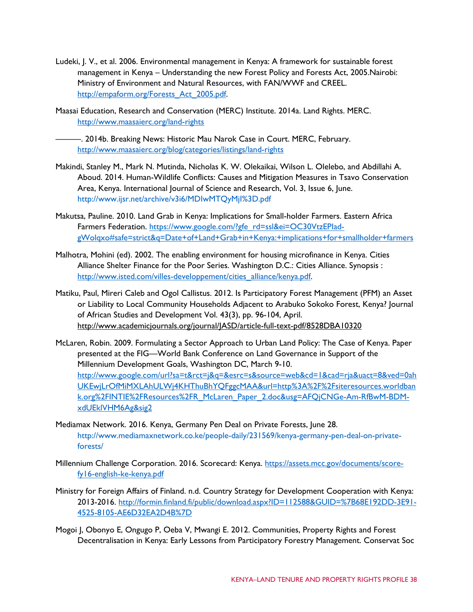- Ludeki, J. V., et al. 2006. Environmental management in Kenya: A framework for sustainable forest management in Kenya – Understanding the new Forest Policy and Forests Act, 2005.Nairobi: Ministry of Environment and Natural Resources, with FAN/WWF and CREEL. [http://empaform.org/Forests\\_Act\\_2005.pdf.](http://empaform.org/Forests_Act_2005.pdf)
- Maasai Education, Research and Conservation (MERC) Institute. 2014a. Land Rights. MERC. <http://www.maasaierc.org/land-rights>

———. 2014b. Breaking News: Historic Mau Narok Case in Court. MERC, February. <http://www.maasaierc.org/blog/categories/listings/land-rights>

- Makindi, Stanley M., Mark N. Mutinda, Nicholas K. W. Olekaikai, Wilson L. Olelebo, and Abdillahi A. Aboud. 2014. Human-Wildlife Conflicts: Causes and Mitigation Measures in Tsavo Conservation Area, Kenya. International Journal of Science and Research, Vol. 3, Issue 6, June. http://www.ijsr.net/archive/v3i6/MDIwMTQyMjI%3D.pdf
- Makutsa, Pauline. 2010. Land Grab in Kenya: Implications for Small-holder Farmers. Eastern Africa Farmers Federation. https://www.google.com/?gfe\_rd=ssl&ei=OC30VtzEPlad[gWolqxo#safe=strict&q=Date+of+Land+Grab+in+Kenya:+implications+for+smallholder+farmers](https://www.google.com/?gfe_rd=ssl&ei=OC30VtzEPIad-gWolqxo#safe=strict&q=Date+of+Land+Grab+in+Kenya:+implications+for+smallholder+farmers)
- Malhotra, Mohini (ed). 2002. The enabling environment for housing microfinance in Kenya. Cities Alliance Shelter Finance for the Poor Series. Washington D.C.: Cities Alliance. Synopsis : [http://www.isted.com/villes-developpement/cities\\_alliance/kenya.pdf.](http://www.isted.com/villes-developpement/cities_alliance/kenya.pdf)
- Matiku, Paul, Mireri Caleb and Ogol Callistus. 2012. Is Participatory Forest Management (PFM) an Asset or Liability to Local Community Households Adjacent to Arabuko Sokoko Forest, Kenya? Journal of African Studies and Development Vol. 43(3), pp. 96-104, April. <http://www.academicjournals.org/journal/JASD/article-full-text-pdf/8528DBA10320>
- McLaren, Robin. 2009. Formulating a Sector Approach to Urban Land Policy: The Case of Kenya. Paper presented at the FIG—World Bank Conference on Land Governance in Support of the Millennium Development Goals, Washington DC, March 9-10. [http://www.google.com/url?sa=t&rct=j&q=&esrc=s&source=web&cd=1&cad=rja&uact=8&ved=0ah](http://www.google.com/url?sa=t&rct=j&q=&esrc=s&source=web&cd=1&cad=rja&uact=8&ved=0ahUKEwjLrOfMiMXLAhULWj4KHThuBhYQFggcMAA&url=http%3A%2F%2Fsiteresources.worldbank.org%2FINTIE%2FResources%2FR_McLaren_Paper_2.doc&usg=AFQjCNGe-Am-RfBwM-BDM-xdUEklVHM6Ag&sig2) [UKEwjLrOfMiMXLAhULWj4KHThuBhYQFggcMAA&url=http%3A%2F%2Fsiteresources.worldban](http://www.google.com/url?sa=t&rct=j&q=&esrc=s&source=web&cd=1&cad=rja&uact=8&ved=0ahUKEwjLrOfMiMXLAhULWj4KHThuBhYQFggcMAA&url=http%3A%2F%2Fsiteresources.worldbank.org%2FINTIE%2FResources%2FR_McLaren_Paper_2.doc&usg=AFQjCNGe-Am-RfBwM-BDM-xdUEklVHM6Ag&sig2) [k.org%2FINTIE%2FResources%2FR\\_McLaren\\_Paper\\_2.doc&usg=AFQjCNGe-Am-RfBwM-BDM](http://www.google.com/url?sa=t&rct=j&q=&esrc=s&source=web&cd=1&cad=rja&uact=8&ved=0ahUKEwjLrOfMiMXLAhULWj4KHThuBhYQFggcMAA&url=http%3A%2F%2Fsiteresources.worldbank.org%2FINTIE%2FResources%2FR_McLaren_Paper_2.doc&usg=AFQjCNGe-Am-RfBwM-BDM-xdUEklVHM6Ag&sig2)[xdUEklVHM6Ag&sig2](http://www.google.com/url?sa=t&rct=j&q=&esrc=s&source=web&cd=1&cad=rja&uact=8&ved=0ahUKEwjLrOfMiMXLAhULWj4KHThuBhYQFggcMAA&url=http%3A%2F%2Fsiteresources.worldbank.org%2FINTIE%2FResources%2FR_McLaren_Paper_2.doc&usg=AFQjCNGe-Am-RfBwM-BDM-xdUEklVHM6Ag&sig2)
- Mediamax Network. 2016. Kenya, Germany Pen Deal on Private Forests, June 28. http://www.mediamaxnetwork.co.ke/people-daily/231569/kenya-germany-pen-deal-on-privateforests/
- Millennium Challenge Corporation. 2016. Scorecard: Kenya. [https://assets.mcc.gov/documents/score](https://assets.mcc.gov/documents/score-fy16-english-ke-kenya.pdf)[fy16-english-ke-kenya.pdf](https://assets.mcc.gov/documents/score-fy16-english-ke-kenya.pdf)
- Ministry for Foreign Affairs of Finland. n.d. Country Strategy for Development Cooperation with Kenya: 2013-2016. [http://formin.finland.fi/public/download.aspx?ID=112588&GUID=%7B68E192DD-3E91-](http://formin.finland.fi/public/download.aspx?ID=112588&GUID=%7B68E192DD-3E91-4525-8105-AE6D32EA2D4B%7D) [4525-8105-AE6D32EA2D4B%7D](http://formin.finland.fi/public/download.aspx?ID=112588&GUID=%7B68E192DD-3E91-4525-8105-AE6D32EA2D4B%7D)
- Mogoi J, Obonyo E, Ongugo P, Oeba V, Mwangi E. 2012. Communities, Property Rights and Forest Decentralisation in Kenya: Early Lessons from Participatory Forestry Management. Conservat Soc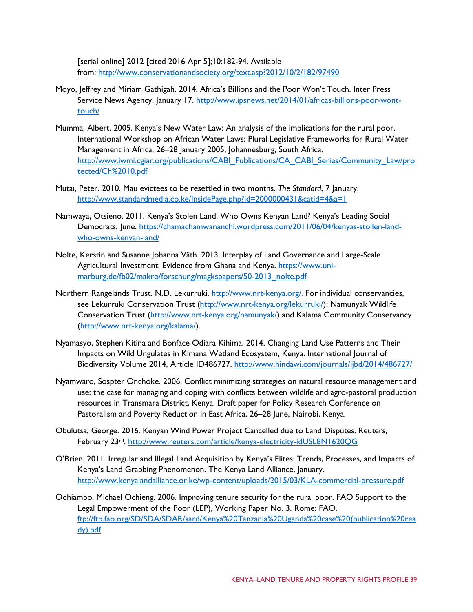[serial online] 2012 [cited 2016 Apr 5];10:182-94. Available from: <http://www.conservationandsociety.org/text.asp?2012/10/2/182/97490>

- Moyo, Jeffrey and Miriam Gathigah. 2014. Africa's Billions and the Poor Won't Touch. Inter Press Service News Agency, January 17. [http://www.ipsnews.net/2014/01/africas-billions-poor-wont](http://www.ipsnews.net/2014/01/africas-billions-poor-wont-touch/)[touch/](http://www.ipsnews.net/2014/01/africas-billions-poor-wont-touch/)
- Mumma, Albert. 2005. Kenya's New Water Law: An analysis of the implications for the rural poor. International Workshop on African Water Laws: Plural Legislative Frameworks for Rural Water Management in Africa, 26–28 January 2005, Johannesburg, South Africa. [http://www.iwmi.cgiar.org/publications/CABI\\_Publications/CA\\_CABI\\_Series/Community\\_Law/pro](http://www.iwmi.cgiar.org/publications/CABI_Publications/CA_CABI_Series/Community_Law/protected/Ch%2010.pdf) [tected/Ch%2010.pdf](http://www.iwmi.cgiar.org/publications/CABI_Publications/CA_CABI_Series/Community_Law/protected/Ch%2010.pdf)
- Mutai, Peter. 2010. Mau evictees to be resettled in two months. *The Standard*, 7 January. <http://www.standardmedia.co.ke/InsidePage.php?id=2000000431&catid=4&a=1>
- Namwaya, Otsieno. 2011. Kenya's Stolen Land. Who Owns Kenyan Land? Kenya's Leading Social Democrats, June. [https://chamachamwananchi.wordpress.com/2011/06/04/kenyas-stollen-land](https://chamachamwananchi.wordpress.com/2011/06/04/kenyas-stollen-land-who-owns-kenyan-land/)[who-owns-kenyan-land/](https://chamachamwananchi.wordpress.com/2011/06/04/kenyas-stollen-land-who-owns-kenyan-land/)
- Nolte, Kerstin and Susanne Johanna Väth. 2013. Interplay of Land Governance and Large-Scale Agricultural Investment: Evidence from Ghana and Kenya. [https://www.uni](https://www.uni-marburg.de/fb02/makro/forschung/magkspapers/50-2013_nolte.pdf)[marburg.de/fb02/makro/forschung/magkspapers/50-2013\\_nolte.pdf](https://www.uni-marburg.de/fb02/makro/forschung/magkspapers/50-2013_nolte.pdf)
- Northern Rangelands Trust. N.D. Lekurruki. http://www.nrt-kenya.org/. For individual conservancies, see Lekurruki Conservation Trust [\(http://www.nrt-kenya.org/lekurruki/\)](http://www.nrt-kenya.org/lekurruki/); Namunyak Wildlife Conservation Trust (http://www.nrt-kenya.org/namunyak/) and Kalama Community Conservancy (http://www.nrt-kenya.org/kalama/).
- Nyamasyo, Stephen Kitina and Bonface Odiara Kihima. 2014. Changing Land Use Patterns and Their Impacts on Wild Ungulates in Kimana Wetland Ecosystem, Kenya. International Journal of Biodiversity Volume 2014, Article ID486727.<http://www.hindawi.com/journals/ijbd/2014/486727/>
- Nyamwaro, Sospter Onchoke. 2006. Conflict minimizing strategies on natural resource management and use: the case for managing and coping with conflicts between wildlife and agro-pastoral production resources in Transmara District, Kenya. Draft paper for Policy Research Conference on Pastoralism and Poverty Reduction in East Africa, 26–28 June, Nairobi, Kenya.
- Obulutsa, George. 2016. Kenyan Wind Power Project Cancelled due to Land Disputes. Reuters, February 23rd.<http://www.reuters.com/article/kenya-electricity-idUSL8N1620QG>
- O'Brien. 2011. Irregular and Illegal Land Acquisition by Kenya's Elites: Trends, Processes, and Impacts of Kenya's Land Grabbing Phenomenon. The Kenya Land Alliance, January. <http://www.kenyalandalliance.or.ke/wp-content/uploads/2015/03/KLA-commercial-pressure.pdf>
- Odhiambo, Michael Ochieng. 2006. Improving tenure security for the rural poor. FAO Support to the Legal Empowerment of the Poor (LEP), Working Paper No. 3. Rome: FAO. [ftp://ftp.fao.org/SD/SDA/SDAR/sard/Kenya%20Tanzania%20Uganda%20case%20\(publication%20rea](ftp://ftp.fao.org/SD/SDA/SDAR/sard/Kenya%20Tanzania%20Uganda%20case%20(publication%20ready).pdf) [dy\).pdf](ftp://ftp.fao.org/SD/SDA/SDAR/sard/Kenya%20Tanzania%20Uganda%20case%20(publication%20ready).pdf)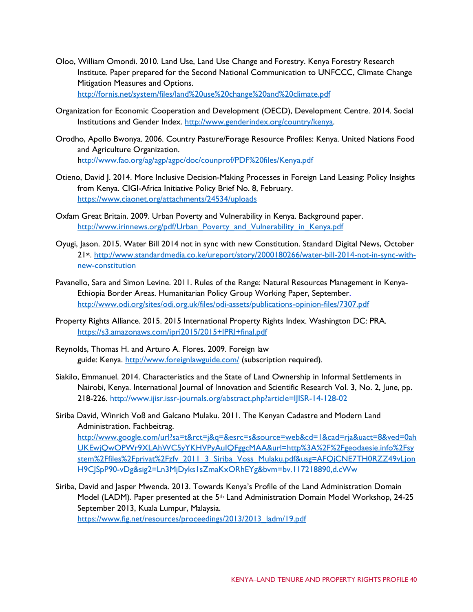- Oloo, William Omondi. 2010. Land Use, Land Use Change and Forestry. Kenya Forestry Research Institute. Paper prepared for the Second National Communication to UNFCCC, Climate Change Mitigation Measures and Options. <http://fornis.net/system/files/land%20use%20change%20and%20climate.pdf>
- Organization for Economic Cooperation and Development (OECD), Development Centre. 2014. Social Institutions and Gender Index. [http://www.genderindex.org/country/kenya.](http://www.genderindex.org/country/kenya)
- Orodho, Apollo Bwonya. 2006. Country Pasture/Forage Resource Profiles: Kenya. United Nations Food and Agriculture Organization. http://www.fao.org/ag/agp/agpc/doc/counprof/PDF%20files/Kenya.pdf
- Otieno, David J. 2014. More Inclusive Decision-Making Processes in Foreign Land Leasing: Policy Insights from Kenya. CIGI-Africa Initiative Policy Brief No. 8, February. <https://www.ciaonet.org/attachments/24534/uploads>
- Oxfam Great Britain. 2009. Urban Poverty and Vulnerability in Kenya. Background paper. [http://www.irinnews.org/pdf/Urban\\_Poverty\\_and\\_Vulnerability\\_in\\_Kenya.pdf](http://www.irinnews.org/pdf/Urban_Poverty_and_Vulnerability_in_Kenya.pdf)
- Oyugi, Jason. 2015. Water Bill 2014 not in sync with new Constitution. Standard Digital News, October 21st. [http://www.standardmedia.co.ke/ureport/story/2000180266/water-bill-2014-not-in-sync-with](http://www.standardmedia.co.ke/ureport/story/2000180266/water-bill-2014-not-in-sync-with-new-constitution)[new-constitution](http://www.standardmedia.co.ke/ureport/story/2000180266/water-bill-2014-not-in-sync-with-new-constitution)
- Pavanello, Sara and Simon Levine. 2011. Rules of the Range: Natural Resources Management in Kenya-Ethiopia Border Areas. Humanitarian Policy Group Working Paper, September. <http://www.odi.org/sites/odi.org.uk/files/odi-assets/publications-opinion-files/7307.pdf>
- Property Rights Alliance. 2015. 2015 International Property Rights Index. Washington DC: PRA. <https://s3.amazonaws.com/ipri2015/2015+IPRI+final.pdf>
- Reynolds, Thomas H. and Arturo A. Flores. 2009. Foreign law guide: Kenya. <http://www.foreignlawguide.com/> (subscription required).
- Siakilo, Emmanuel. 2014. Characteristics and the State of Land Ownership in Informal Settlements in Nairobi, Kenya. International Journal of Innovation and Scientific Research Vol. 3, No. 2, June, pp. 218-226.<http://www.ijisr.issr-journals.org/abstract.php?article=IJISR-14-128-02>
- Siriba David, Winrich Voß and Galcano Mulaku. 2011. The Kenyan Cadastre and Modern Land Administration. Fachbeitrag. [http://www.google.com/url?sa=t&rct=j&q=&esrc=s&source=web&cd=1&cad=rja&uact=8&ved=0ah](http://www.google.com/url?sa=t&rct=j&q=&esrc=s&source=web&cd=1&cad=rja&uact=8&ved=0ahUKEwjQwOPWr9XLAhWC5yYKHVPyAuIQFggcMAA&url=http%3A%2F%2Fgeodaesie.info%2Fsystem%2Ffiles%2Fprivat%2Fzfv_2011_3_Siriba_Voss_Mulaku.pdf&usg=AFQjCNE7TH0RZZ49vLjonH9CJSpP90-vDg&sig2=Ln3MjDyks1sZmaKxORhEYg&bvm=bv.117218890,d.cWw) [UKEwjQwOPWr9XLAhWC5yYKHVPyAuIQFggcMAA&url=http%3A%2F%2Fgeodaesie.info%2Fsy](http://www.google.com/url?sa=t&rct=j&q=&esrc=s&source=web&cd=1&cad=rja&uact=8&ved=0ahUKEwjQwOPWr9XLAhWC5yYKHVPyAuIQFggcMAA&url=http%3A%2F%2Fgeodaesie.info%2Fsystem%2Ffiles%2Fprivat%2Fzfv_2011_3_Siriba_Voss_Mulaku.pdf&usg=AFQjCNE7TH0RZZ49vLjonH9CJSpP90-vDg&sig2=Ln3MjDyks1sZmaKxORhEYg&bvm=bv.117218890,d.cWw) [stem%2Ffiles%2Fprivat%2Fzfv\\_2011\\_3\\_Siriba\\_Voss\\_Mulaku.pdf&usg=AFQjCNE7TH0RZZ49vLjon](http://www.google.com/url?sa=t&rct=j&q=&esrc=s&source=web&cd=1&cad=rja&uact=8&ved=0ahUKEwjQwOPWr9XLAhWC5yYKHVPyAuIQFggcMAA&url=http%3A%2F%2Fgeodaesie.info%2Fsystem%2Ffiles%2Fprivat%2Fzfv_2011_3_Siriba_Voss_Mulaku.pdf&usg=AFQjCNE7TH0RZZ49vLjonH9CJSpP90-vDg&sig2=Ln3MjDyks1sZmaKxORhEYg&bvm=bv.117218890,d.cWw) [H9CJSpP90-vDg&sig2=Ln3MjDyks1sZmaKxORhEYg&bvm=bv.117218890,d.cWw](http://www.google.com/url?sa=t&rct=j&q=&esrc=s&source=web&cd=1&cad=rja&uact=8&ved=0ahUKEwjQwOPWr9XLAhWC5yYKHVPyAuIQFggcMAA&url=http%3A%2F%2Fgeodaesie.info%2Fsystem%2Ffiles%2Fprivat%2Fzfv_2011_3_Siriba_Voss_Mulaku.pdf&usg=AFQjCNE7TH0RZZ49vLjonH9CJSpP90-vDg&sig2=Ln3MjDyks1sZmaKxORhEYg&bvm=bv.117218890,d.cWw)
- Siriba, David and Jasper Mwenda. 2013. Towards Kenya's Profile of the Land Administration Domain Model (LADM). Paper presented at the 5<sup>th</sup> Land Administration Domain Model Workshop, 24-25 September 2013, Kuala Lumpur, Malaysia. [https://www.fig.net/resources/proceedings/2013/2013\\_ladm/19.pdf](https://www.fig.net/resources/proceedings/2013/2013_ladm/19.pdf)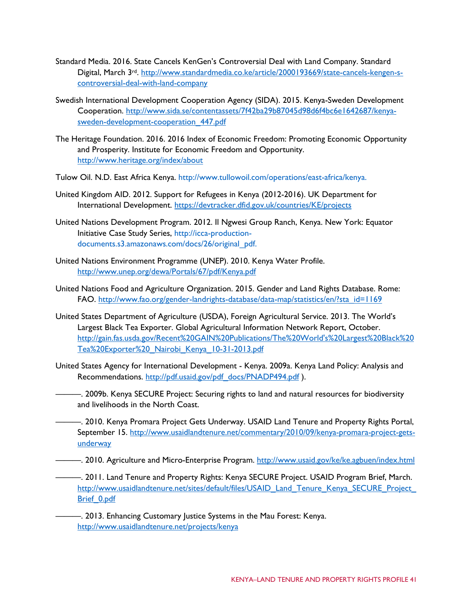- Standard Media. 2016. State Cancels KenGen's Controversial Deal with Land Company. Standard Digital, March 3<sup>rd</sup>. [http://www.standardmedia.co.ke/article/2000193669/state-cancels-kengen-s](http://www.standardmedia.co.ke/article/2000193669/state-cancels-kengen-s-controversial-deal-with-land-company)[controversial-deal-with-land-company](http://www.standardmedia.co.ke/article/2000193669/state-cancels-kengen-s-controversial-deal-with-land-company)
- Swedish International Development Cooperation Agency (SIDA). 2015. Kenya-Sweden Development Cooperation. [http://www.sida.se/contentassets/7f42ba29b87045d98d6f4bc6e1642687/kenya](http://www.sida.se/contentassets/7f42ba29b87045d98d6f4bc6e1642687/kenya-sweden-development-cooperation_447.pdf)[sweden-development-cooperation\\_447.pdf](http://www.sida.se/contentassets/7f42ba29b87045d98d6f4bc6e1642687/kenya-sweden-development-cooperation_447.pdf)
- The Heritage Foundation. 2016. 2016 Index of Economic Freedom: Promoting Economic Opportunity and Prosperity. Institute for Economic Freedom and Opportunity. <http://www.heritage.org/index/about>
- Tulow Oil. N.D. East Africa Kenya. http://www.tullowoil.com/operations/east-africa/kenya.
- United Kingdom AID. 2012. Support for Refugees in Kenya (2012-2016). UK Department for International Development.<https://devtracker.dfid.gov.uk/countries/KE/projects>
- United Nations Development Program. 2012. Il Ngwesi Group Ranch, Kenya. New York: Equator Initiative Case Study Series, http://icca-productiondocuments.s3.amazonaws.com/docs/26/original\_pdf.
- United Nations Environment Programme (UNEP). 2010. Kenya Water Profile. <http://www.unep.org/dewa/Portals/67/pdf/Kenya.pdf>
- United Nations Food and Agriculture Organization. 2015. Gender and Land Rights Database. Rome: FAO. [http://www.fao.org/gender-landrights-database/data-map/statistics/en/?sta\\_id=1169](http://www.fao.org/gender-landrights-database/data-map/statistics/en/?sta_id=1169)
- United States Department of Agriculture (USDA), Foreign Agricultural Service. 2013. The World's Largest Black Tea Exporter. Global Agricultural Information Network Report, October. [http://gain.fas.usda.gov/Recent%20GAIN%20Publications/The%20World's%20Largest%20Black%20](http://gain.fas.usda.gov/Recent%20GAIN%20Publications/The%20World) [Tea%20Exporter%20\\_Nairobi\\_Kenya\\_10-31-2013.pdf](http://gain.fas.usda.gov/Recent%20GAIN%20Publications/The%20World)
- United States Agency for International Development Kenya. 2009a. Kenya Land Policy: Analysis and Recommendations. [http://pdf.usaid.gov/pdf\\_docs/PNADP494.pdf](http://pdf.usaid.gov/pdf_docs/PNADP494.pdf) ).
	- ———. 2009b. Kenya SECURE Project: Securing rights to land and natural resources for biodiversity and livelihoods in the North Coast.
- ———. 2010. Kenya Promara Project Gets Underway. USAID Land Tenure and Property Rights Portal, September 15. [http://www.usaidlandtenure.net/commentary/2010/09/kenya-promara-project-gets](http://www.usaidlandtenure.net/commentary/2010/09/kenya-promara-project-gets-underway)[underway](http://www.usaidlandtenure.net/commentary/2010/09/kenya-promara-project-gets-underway)
- ———. 2010. Agriculture and Micro-Enterprise Program.<http://www.usaid.gov/ke/ke.agbuen/index.html>
	- ———. 2011. Land Tenure and Property Rights: Kenya SECURE Project. USAID Program Brief, March. [http://www.usaidlandtenure.net/sites/default/files/USAID\\_Land\\_Tenure\\_Kenya\\_SECURE\\_Project\\_](http://www.usaidlandtenure.net/sites/default/files/USAID_Land_Tenure_Kenya_SECURE_Project_Brief_0.pdf) [Brief\\_0.pdf](http://www.usaidlandtenure.net/sites/default/files/USAID_Land_Tenure_Kenya_SECURE_Project_Brief_0.pdf)

———. 2013. Enhancing Customary Justice Systems in the Mau Forest: Kenya. <http://www.usaidlandtenure.net/projects/kenya>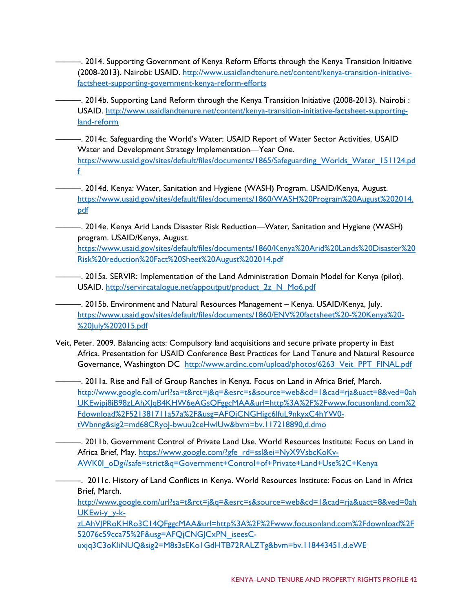- ———. 2014. Supporting Government of Kenya Reform Efforts through the Kenya Transition Initiative (2008-2013). Nairobi: USAID. [http://www.usaidlandtenure.net/content/kenya-transition-initiative](http://www.usaidlandtenure.net/content/kenya-transition-initiative-factsheet-supporting-government-kenya-reform-efforts)[factsheet-supporting-government-kenya-reform-efforts](http://www.usaidlandtenure.net/content/kenya-transition-initiative-factsheet-supporting-government-kenya-reform-efforts)
- ———. 2014b. Supporting Land Reform through the Kenya Transition Initiative (2008-2013). Nairobi : USAID. [http://www.usaidlandtenure.net/content/kenya-transition-initiative-factsheet-supporting](http://www.usaidlandtenure.net/content/kenya-transition-initiative-factsheet-supporting-land-reform)[land-reform](http://www.usaidlandtenure.net/content/kenya-transition-initiative-factsheet-supporting-land-reform)
- ———. 2014c. Safeguarding the World's Water: USAID Report of Water Sector Activities. USAID Water and Development Strategy Implementation—Year One. [https://www.usaid.gov/sites/default/files/documents/1865/Safeguarding\\_Worlds\\_Water\\_151124.pd](https://www.usaid.gov/sites/default/files/documents/1865/Safeguarding_Worlds_Water_151124.pdf) [f](https://www.usaid.gov/sites/default/files/documents/1865/Safeguarding_Worlds_Water_151124.pdf)
	- ———. 2014d. Kenya: Water, Sanitation and Hygiene (WASH) Program. USAID/Kenya, August. [https://www.usaid.gov/sites/default/files/documents/1860/WASH%20Program%20August%202014.](https://www.usaid.gov/sites/default/files/documents/1860/WASH%20Program%20August%202014.pdf) [pdf](https://www.usaid.gov/sites/default/files/documents/1860/WASH%20Program%20August%202014.pdf)
- ———. 2014e. Kenya Arid Lands Disaster Risk Reduction—Water, Sanitation and Hygiene (WASH) program. USAID/Kenya, August.

[https://www.usaid.gov/sites/default/files/documents/1860/Kenya%20Arid%20Lands%20Disaster%20](https://www.usaid.gov/sites/default/files/documents/1860/Kenya%20Arid%20Lands%20Disaster%20Risk%20reduction%20Fact%20Sheet%20August%202014.pdf) [Risk%20reduction%20Fact%20Sheet%20August%202014.pdf](https://www.usaid.gov/sites/default/files/documents/1860/Kenya%20Arid%20Lands%20Disaster%20Risk%20reduction%20Fact%20Sheet%20August%202014.pdf)

———. 2015a. SERVIR: Implementation of the Land Administration Domain Model for Kenya (pilot). USAID. [http://servircatalogue.net/appoutput/product\\_2z\\_N\\_Mo6.pdf](http://servircatalogue.net/appoutput/product_2z_N_Mo6.pdf)

- ———. 2015b. Environment and Natural Resources Management Kenya. USAID/Kenya, July. [https://www.usaid.gov/sites/default/files/documents/1860/ENV%20factsheet%20-%20Kenya%20-](https://www.usaid.gov/sites/default/files/documents/1860/ENV%20factsheet%20-%20Kenya%20-%20July%202015.pdf) [%20July%202015.pdf](https://www.usaid.gov/sites/default/files/documents/1860/ENV%20factsheet%20-%20Kenya%20-%20July%202015.pdf)
- Veit, Peter. 2009. Balancing acts: Compulsory land acquisitions and secure private property in East Africa. Presentation for USAID Conference Best Practices for Land Tenure and Natural Resource Governance, Washington DC [http://www.ardinc.com/upload/photos/6263\\_Veit\\_PPT\\_FINAL.pdf](http://www.ardinc.com/upload/photos/6263_Veit_PPT_FINAL.pdf)
	- ———. 2011a. Rise and Fall of Group Ranches in Kenya. Focus on Land in Africa Brief, March. [http://www.google.com/url?sa=t&rct=j&q=&esrc=s&source=web&cd=1&cad=rja&uact=8&ved=0ah](http://www.google.com/url?sa=t&rct=j&q=&esrc=s&source=web&cd=1&cad=rja&uact=8&ved=0ahUKEwjpj8iB98zLAhXJqB4KHW6eAGsQFggcMAA&url=http%3A%2F%2Fwww.focusonland.com%2Fdownload%2F521381711a57a%2F&usg=AFQjCNGHigc6lfuL9nkyxC4hYW0-tWbnng&sig2=md68CRyoJ-bwuu2ceHwlUw&bvm=bv.117218890,d.dmo) [UKEwjpj8iB98zLAhXJqB4KHW6eAGsQFggcMAA&url=http%3A%2F%2Fwww.focusonland.com%2](http://www.google.com/url?sa=t&rct=j&q=&esrc=s&source=web&cd=1&cad=rja&uact=8&ved=0ahUKEwjpj8iB98zLAhXJqB4KHW6eAGsQFggcMAA&url=http%3A%2F%2Fwww.focusonland.com%2Fdownload%2F521381711a57a%2F&usg=AFQjCNGHigc6lfuL9nkyxC4hYW0-tWbnng&sig2=md68CRyoJ-bwuu2ceHwlUw&bvm=bv.117218890,d.dmo) [Fdownload%2F521381711a57a%2F&usg=AFQjCNGHigc6lfuL9nkyxC4hYW0](http://www.google.com/url?sa=t&rct=j&q=&esrc=s&source=web&cd=1&cad=rja&uact=8&ved=0ahUKEwjpj8iB98zLAhXJqB4KHW6eAGsQFggcMAA&url=http%3A%2F%2Fwww.focusonland.com%2Fdownload%2F521381711a57a%2F&usg=AFQjCNGHigc6lfuL9nkyxC4hYW0-tWbnng&sig2=md68CRyoJ-bwuu2ceHwlUw&bvm=bv.117218890,d.dmo) [tWbnng&sig2=md68CRyoJ-bwuu2ceHwlUw&bvm=bv.117218890,d.dmo](http://www.google.com/url?sa=t&rct=j&q=&esrc=s&source=web&cd=1&cad=rja&uact=8&ved=0ahUKEwjpj8iB98zLAhXJqB4KHW6eAGsQFggcMAA&url=http%3A%2F%2Fwww.focusonland.com%2Fdownload%2F521381711a57a%2F&usg=AFQjCNGHigc6lfuL9nkyxC4hYW0-tWbnng&sig2=md68CRyoJ-bwuu2ceHwlUw&bvm=bv.117218890,d.dmo)
	- ———. 2011b. Government Control of Private Land Use. World Resources Institute: Focus on Land in Africa Brief, May. [https://www.google.com/?gfe\\_rd=ssl&ei=NyX9VsbcKoKv-](https://www.google.com/?gfe_rd=ssl&ei=NyX9VsbcKoKv-AWK0I_oDg#safe=strict&q=Government+Control+of+Private+Land+Use%2C+Kenya)[AWK0I\\_oDg#safe=strict&q=Government+Control+of+Private+Land+Use%2C+Kenya](https://www.google.com/?gfe_rd=ssl&ei=NyX9VsbcKoKv-AWK0I_oDg#safe=strict&q=Government+Control+of+Private+Land+Use%2C+Kenya)

———. 2011c. History of Land Conflicts in Kenya. World Resources Institute: Focus on Land in Africa Brief, March.

[http://www.google.com/url?sa=t&rct=j&q=&esrc=s&source=web&cd=1&cad=rja&uact=8&ved=0ah](http://www.google.com/url?sa=t&rct=j&q=&esrc=s&source=web&cd=1&cad=rja&uact=8&ved=0ahUKEwi-y_y-k-zLAhVJPRoKHRo3C14QFggcMAA&url=http%3A%2F%2Fwww.focusonland.com%2Fdownload%2F52076c59cca75%2F&usg=AFQjCNGJCxPN_iseesC-uxjq3C3oKliNUQ&sig2=M8s3sEKo1GdHTB72RALZTg&bvm=bv.118443451,d.eWE) [UKEwi-y\\_y-k-](http://www.google.com/url?sa=t&rct=j&q=&esrc=s&source=web&cd=1&cad=rja&uact=8&ved=0ahUKEwi-y_y-k-zLAhVJPRoKHRo3C14QFggcMAA&url=http%3A%2F%2Fwww.focusonland.com%2Fdownload%2F52076c59cca75%2F&usg=AFQjCNGJCxPN_iseesC-uxjq3C3oKliNUQ&sig2=M8s3sEKo1GdHTB72RALZTg&bvm=bv.118443451,d.eWE)

[zLAhVJPRoKHRo3C14QFggcMAA&url=http%3A%2F%2Fwww.focusonland.com%2Fdownload%2F](http://www.google.com/url?sa=t&rct=j&q=&esrc=s&source=web&cd=1&cad=rja&uact=8&ved=0ahUKEwi-y_y-k-zLAhVJPRoKHRo3C14QFggcMAA&url=http%3A%2F%2Fwww.focusonland.com%2Fdownload%2F52076c59cca75%2F&usg=AFQjCNGJCxPN_iseesC-uxjq3C3oKliNUQ&sig2=M8s3sEKo1GdHTB72RALZTg&bvm=bv.118443451,d.eWE) [52076c59cca75%2F&usg=AFQjCNGJCxPN\\_iseesC-](http://www.google.com/url?sa=t&rct=j&q=&esrc=s&source=web&cd=1&cad=rja&uact=8&ved=0ahUKEwi-y_y-k-zLAhVJPRoKHRo3C14QFggcMAA&url=http%3A%2F%2Fwww.focusonland.com%2Fdownload%2F52076c59cca75%2F&usg=AFQjCNGJCxPN_iseesC-uxjq3C3oKliNUQ&sig2=M8s3sEKo1GdHTB72RALZTg&bvm=bv.118443451,d.eWE)

[uxjq3C3oKliNUQ&sig2=M8s3sEKo1GdHTB72RALZTg&bvm=bv.118443451,d.eWE](http://www.google.com/url?sa=t&rct=j&q=&esrc=s&source=web&cd=1&cad=rja&uact=8&ved=0ahUKEwi-y_y-k-zLAhVJPRoKHRo3C14QFggcMAA&url=http%3A%2F%2Fwww.focusonland.com%2Fdownload%2F52076c59cca75%2F&usg=AFQjCNGJCxPN_iseesC-uxjq3C3oKliNUQ&sig2=M8s3sEKo1GdHTB72RALZTg&bvm=bv.118443451,d.eWE)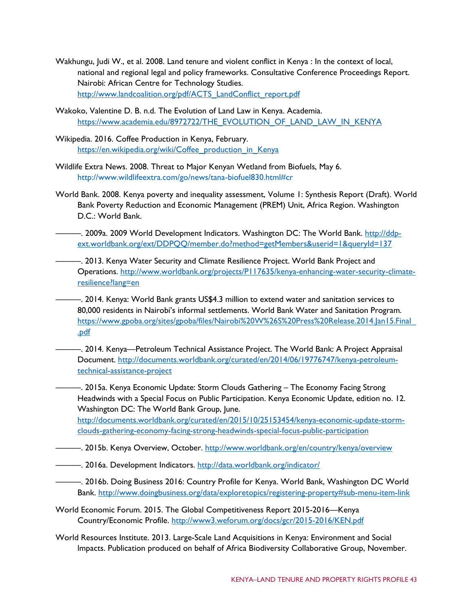- Wakhungu, Judi W., et al. 2008. Land tenure and violent conflict in Kenya : In the context of local, national and regional legal and policy frameworks. Consultative Conference Proceedings Report. Nairobi: African Centre for Technology Studies. [http://www.landcoalition.org/pdf/ACTS\\_LandConflict\\_report.pdf](http://www.landcoalition.org/pdf/ACTS_LandConflict_report.pdf)
- Wakoko, Valentine D. B. n.d. The Evolution of Land Law in Kenya. Academia. [https://www.academia.edu/8972722/THE\\_EVOLUTION\\_OF\\_LAND\\_LAW\\_IN\\_KENYA](https://www.academia.edu/8972722/THE_EVOLUTION_OF_LAND_LAW_IN_KENYA)
- Wikipedia. 2016. Coffee Production in Kenya, February. [https://en.wikipedia.org/wiki/Coffee\\_production\\_in\\_Kenya](https://en.wikipedia.org/wiki/Coffee_production_in_Kenya)
- Wildlife Extra News. 2008. Threat to Major Kenyan Wetland from Biofuels, May 6. http://www.wildlifeextra.com/go/news/tana-biofuel830.html#cr
- World Bank. 2008. Kenya poverty and inequality assessment, Volume 1: Synthesis Report (Draft). World Bank Poverty Reduction and Economic Management (PREM) Unit, Africa Region. Washington D.C.: World Bank.
- —. 2009a. 2009 World Development Indicators. Washington DC: The World Bank. [http://ddp](http://ddp-ext.worldbank.org/ext/DDPQQ/member.do?method=getMembers&userid=1&queryId=137)[ext.worldbank.org/ext/DDPQQ/member.do?method=getMembers&userid=1&queryId=137](http://ddp-ext.worldbank.org/ext/DDPQQ/member.do?method=getMembers&userid=1&queryId=137)
- ———. 2013. Kenya Water Security and Climate Resilience Project. World Bank Project and Operations. [http://www.worldbank.org/projects/P117635/kenya-enhancing-water-security-climate](http://www.worldbank.org/projects/P117635/kenya-enhancing-water-security-climate-resilience?lang=en)[resilience?lang=en](http://www.worldbank.org/projects/P117635/kenya-enhancing-water-security-climate-resilience?lang=en)
- ———. 2014. Kenya: World Bank grants US\$4.3 million to extend water and sanitation services to 80,000 residents in Nairobi's informal settlements. World Bank Water and Sanitation Program. [https://www.gpoba.org/sites/gpoba/files/Nairobi%20W%26S%20Press%20Release.2014.Jan15.Final\\_](https://www.gpoba.org/sites/gpoba/files/Nairobi%20W%26S%20Press%20Release.2014.Jan15.Final_.pdf) [.pdf](https://www.gpoba.org/sites/gpoba/files/Nairobi%20W%26S%20Press%20Release.2014.Jan15.Final_.pdf)
- ———. 2014. Kenya—Petroleum Technical Assistance Project. The World Bank: A Project Appraisal Document. [http://documents.worldbank.org/curated/en/2014/06/19776747/kenya-petroleum](http://documents.worldbank.org/curated/en/2014/06/19776747/kenya-petroleum-technical-assistance-project)[technical-assistance-project](http://documents.worldbank.org/curated/en/2014/06/19776747/kenya-petroleum-technical-assistance-project)
	- ———. 2015a. Kenya Economic Update: Storm Clouds Gathering The Economy Facing Strong Headwinds with a Special Focus on Public Participation. Kenya Economic Update, edition no. 12. Washington DC: The World Bank Group, June. [http://documents.worldbank.org/curated/en/2015/10/25153454/kenya-economic-update-storm-](http://documents.worldbank.org/curated/en/2015/10/25153454/kenya-economic-update-storm-clouds-gathering-economy-facing-strong-headwinds-special-focus-public-participation)

[clouds-gathering-economy-facing-strong-headwinds-special-focus-public-participation](http://documents.worldbank.org/curated/en/2015/10/25153454/kenya-economic-update-storm-clouds-gathering-economy-facing-strong-headwinds-special-focus-public-participation)

- ———. 2015b. Kenya Overview, October.<http://www.worldbank.org/en/country/kenya/overview>
- —. 2016a. Development Indicators.<http://data.worldbank.org/indicator/>
- ———. 2016b. Doing Business 2016: Country Profile for Kenya. World Bank, Washington DC World Bank.<http://www.doingbusiness.org/data/exploretopics/registering-property#sub-menu-item-link>
- World Economic Forum. 2015. The Global Competitiveness Report 2015-2016—Kenya Country/Economic Profile.<http://www3.weforum.org/docs/gcr/2015-2016/KEN.pdf>
- World Resources Institute. 2013. Large-Scale Land Acquisitions in Kenya: Environment and Social lmpacts. Publication produced on behalf of Africa Biodiversity Collaborative Group, November.